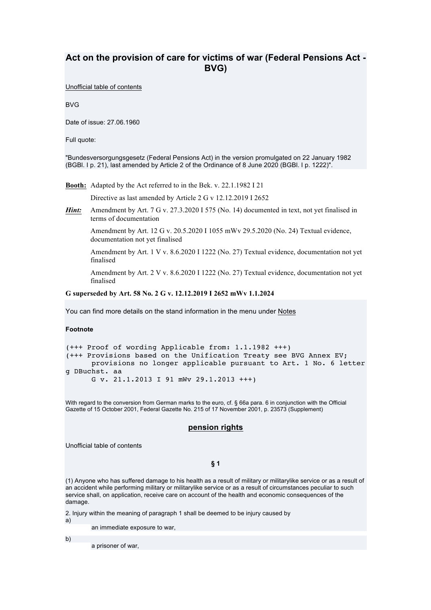# **Act on the provision of care for victims of war (Federal Pensions Act - BVG)**

Unofficial table of contents

BVG

Date of issue: 27.06.1960

Full quote:

"Bundesversorgungsgesetz (Federal Pensions Act) in the version promulgated on 22 January 1982 (BGBl. I p. 21), last amended by Article 2 of the Ordinance of 8 June 2020 (BGBl. I p. 1222)".

**Booth:** Adapted by the Act referred to in the Bek. v. 22.1.1982 I 21

Directive as last amended by Article 2 G v 12.12.2019 I 2652

*Hint:* Amendment by Art. 7 G v. 27.3.2020 I 575 (No. 14) documented in text, not yet finalised in terms of documentation

Amendment by Art. 12 G v. 20.5.2020 I 1055 mWv 29.5.2020 (No. 24) Textual evidence, documentation not yet finalised

Amendment by Art. 1 V v. 8.6.2020 I 1222 (No. 27) Textual evidence, documentation not yet finalised

Amendment by Art. 2 V v. 8.6.2020 I 1222 (No. 27) Textual evidence, documentation not yet finalised

### **G superseded by Art. 58 No. 2 G v. 12.12.2019 I 2652 mWv 1.1.2024**

You can find more details on the stand information in the menu under Notes

### **Footnote**

```
(+++ Proof of wording Applicable from: 1.1.1982 +++)
(+++ Provisions based on the Unification Treaty see BVG Annex EV;
       provisions no longer applicable pursuant to Art. 1 No. 6 letter 
g DBuchst. aa
       G v. 21.1.2013 I 91 mWv 29.1.2013 +++)
```
With regard to the conversion from German marks to the euro, cf. § 66a para. 6 in conjunction with the Official Gazette of 15 October 2001, Federal Gazette No. 215 of 17 November 2001, p. 23573 (Supplement)

## **pension rights**

Unofficial table of contents

**§ 1** 

(1) Anyone who has suffered damage to his health as a result of military or militarylike service or as a result of an accident while performing military or militarylike service or as a result of circumstances peculiar to such service shall, on application, receive care on account of the health and economic consequences of the damage.

2. Injury within the meaning of paragraph 1 shall be deemed to be injury caused by

a)

an immediate exposure to war,

b)

a prisoner of war,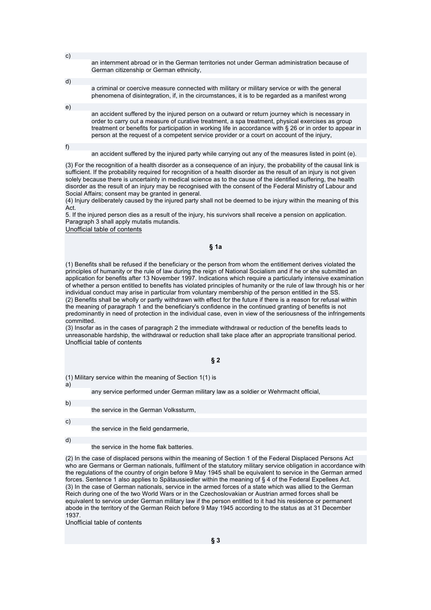- an internment abroad or in the German territories not under German administration because of German citizenship or German ethnicity,
- d)

c)

- a criminal or coercive measure connected with military or military service or with the general phenomena of disintegration, if, in the circumstances, it is to be regarded as a manifest wrong
- an accident suffered by the injured person on a outward or return journey which is necessary in order to carry out a measure of curative treatment, a spa treatment, physical exercises as group treatment or benefits for participation in working life in accordance with § 26 or in order to appear in person at the request of a competent service provider or a court on account of the injury,

f)

e)

an accident suffered by the injured party while carrying out any of the measures listed in point (e).

(3) For the recognition of a health disorder as a consequence of an injury, the probability of the causal link is sufficient. If the probability required for recognition of a health disorder as the result of an injury is not given solely because there is uncertainty in medical science as to the cause of the identified suffering, the health disorder as the result of an injury may be recognised with the consent of the Federal Ministry of Labour and Social Affairs; consent may be granted in general.

(4) Injury deliberately caused by the injured party shall not be deemed to be injury within the meaning of this Act.

5. If the injured person dies as a result of the injury, his survivors shall receive a pension on application. Paragraph 3 shall apply mutatis mutandis.

Unofficial table of contents

#### **§ 1a**

(1) Benefits shall be refused if the beneficiary or the person from whom the entitlement derives violated the principles of humanity or the rule of law during the reign of National Socialism and if he or she submitted an application for benefits after 13 November 1997. Indications which require a particularly intensive examination of whether a person entitled to benefits has violated principles of humanity or the rule of law through his or her individual conduct may arise in particular from voluntary membership of the person entitled in the SS. (2) Benefits shall be wholly or partly withdrawn with effect for the future if there is a reason for refusal within the meaning of paragraph 1 and the beneficiary's confidence in the continued granting of benefits is not predominantly in need of protection in the individual case, even in view of the seriousness of the infringements committed.

(3) Insofar as in the cases of paragraph 2 the immediate withdrawal or reduction of the benefits leads to unreasonable hardship, the withdrawal or reduction shall take place after an appropriate transitional period. Unofficial table of contents

#### **§ 2**

(1) Military service within the meaning of Section 1(1) is

a)

any service performed under German military law as a soldier or Wehrmacht official,

b)

the service in the German Volkssturm,

c)

the service in the field gendarmerie,

d)

the service in the home flak batteries.

(2) In the case of displaced persons within the meaning of Section 1 of the Federal Displaced Persons Act who are Germans or German nationals, fulfilment of the statutory military service obligation in accordance with the regulations of the country of origin before 9 May 1945 shall be equivalent to service in the German armed forces. Sentence 1 also applies to Spätaussiedler within the meaning of § 4 of the Federal Expellees Act. (3) In the case of German nationals, service in the armed forces of a state which was allied to the German Reich during one of the two World Wars or in the Czechoslovakian or Austrian armed forces shall be equivalent to service under German military law if the person entitled to it had his residence or permanent abode in the territory of the German Reich before 9 May 1945 according to the status as at 31 December 1937.

Unofficial table of contents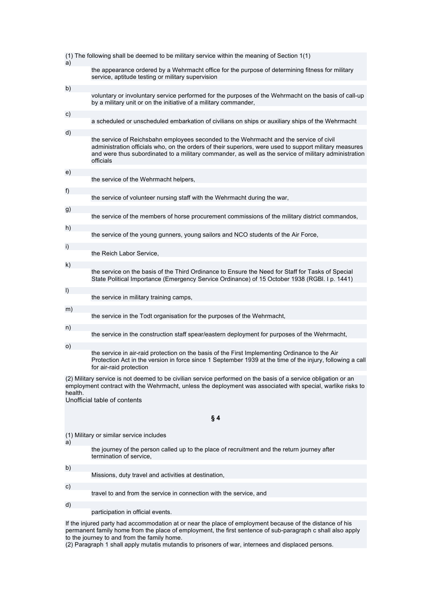| (1) The following shall be deemed to be military service within the meaning of Section 1(1)                                                                                                                                                                              |                                                                                                                                                                                                                                                                                                                        |  |  |
|--------------------------------------------------------------------------------------------------------------------------------------------------------------------------------------------------------------------------------------------------------------------------|------------------------------------------------------------------------------------------------------------------------------------------------------------------------------------------------------------------------------------------------------------------------------------------------------------------------|--|--|
| a)                                                                                                                                                                                                                                                                       | the appearance ordered by a Wehrmacht office for the purpose of determining fitness for military<br>service, aptitude testing or military supervision                                                                                                                                                                  |  |  |
| b)                                                                                                                                                                                                                                                                       |                                                                                                                                                                                                                                                                                                                        |  |  |
|                                                                                                                                                                                                                                                                          | voluntary or involuntary service performed for the purposes of the Wehrmacht on the basis of call-up<br>by a military unit or on the initiative of a military commander,                                                                                                                                               |  |  |
| c)                                                                                                                                                                                                                                                                       | a scheduled or unscheduled embarkation of civilians on ships or auxiliary ships of the Wehrmacht                                                                                                                                                                                                                       |  |  |
| d)                                                                                                                                                                                                                                                                       | the service of Reichsbahn employees seconded to the Wehrmacht and the service of civil<br>administration officials who, on the orders of their superiors, were used to support military measures<br>and were thus subordinated to a military commander, as well as the service of military administration<br>officials |  |  |
| e)                                                                                                                                                                                                                                                                       | the service of the Wehrmacht helpers,                                                                                                                                                                                                                                                                                  |  |  |
| f)                                                                                                                                                                                                                                                                       | the service of volunteer nursing staff with the Wehrmacht during the war,                                                                                                                                                                                                                                              |  |  |
| g)                                                                                                                                                                                                                                                                       | the service of the members of horse procurement commissions of the military district commandos,                                                                                                                                                                                                                        |  |  |
| h)                                                                                                                                                                                                                                                                       | the service of the young gunners, young sailors and NCO students of the Air Force,                                                                                                                                                                                                                                     |  |  |
| $\mathsf{i}$                                                                                                                                                                                                                                                             | the Reich Labor Service,                                                                                                                                                                                                                                                                                               |  |  |
| k)                                                                                                                                                                                                                                                                       | the service on the basis of the Third Ordinance to Ensure the Need for Staff for Tasks of Special<br>State Political Importance (Emergency Service Ordinance) of 15 October 1938 (RGBI. I p. 1441)                                                                                                                     |  |  |
| $\vert$                                                                                                                                                                                                                                                                  | the service in military training camps,                                                                                                                                                                                                                                                                                |  |  |
| m)                                                                                                                                                                                                                                                                       | the service in the Todt organisation for the purposes of the Wehrmacht,                                                                                                                                                                                                                                                |  |  |
| n)                                                                                                                                                                                                                                                                       | the service in the construction staff spear/eastern deployment for purposes of the Wehrmacht,                                                                                                                                                                                                                          |  |  |
| $\circ)$                                                                                                                                                                                                                                                                 | the service in air-raid protection on the basis of the First Implementing Ordinance to the Air<br>Protection Act in the version in force since 1 September 1939 at the time of the injury, following a call<br>for air-raid protection                                                                                 |  |  |
| (2) Military service is not deemed to be civilian service performed on the basis of a service obligation or an<br>employment contract with the Wehrmacht, unless the deployment was associated with special, warlike risks to<br>health.<br>Unofficial table of contents |                                                                                                                                                                                                                                                                                                                        |  |  |
| § 4                                                                                                                                                                                                                                                                      |                                                                                                                                                                                                                                                                                                                        |  |  |
|                                                                                                                                                                                                                                                                          |                                                                                                                                                                                                                                                                                                                        |  |  |
| a)                                                                                                                                                                                                                                                                       | (1) Military or similar service includes                                                                                                                                                                                                                                                                               |  |  |
|                                                                                                                                                                                                                                                                          | the journey of the person called up to the place of recruitment and the return journey after<br>termination of service.                                                                                                                                                                                                |  |  |
| b)                                                                                                                                                                                                                                                                       | Missions, duty travel and activities at destination,                                                                                                                                                                                                                                                                   |  |  |
| C)                                                                                                                                                                                                                                                                       | travel to and from the service in connection with the service, and                                                                                                                                                                                                                                                     |  |  |
| d)                                                                                                                                                                                                                                                                       |                                                                                                                                                                                                                                                                                                                        |  |  |
|                                                                                                                                                                                                                                                                          | participation in official events.                                                                                                                                                                                                                                                                                      |  |  |
| If the injured party had accommodation at or near the place of employment because of the distance of his<br>permanent family home from the place of employment, the first sentence of sub-paragraph c shall also apply<br>to the journey to and from the family home.    |                                                                                                                                                                                                                                                                                                                        |  |  |

(2) Paragraph 1 shall apply mutatis mutandis to prisoners of war, internees and displaced persons.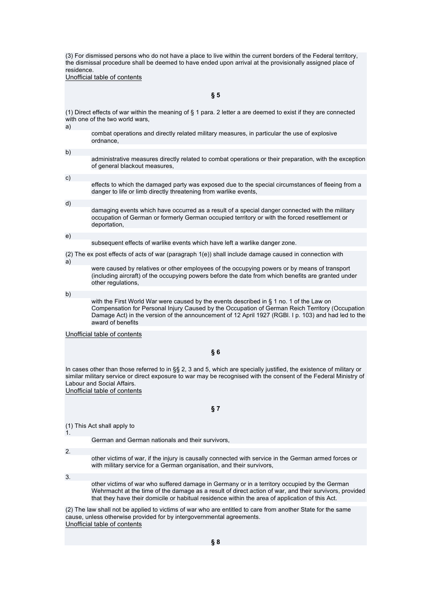(3) For dismissed persons who do not have a place to live within the current borders of the Federal territory, the dismissal procedure shall be deemed to have ended upon arrival at the provisionally assigned place of residence.

Unofficial table of contents

**§ 5** 

(1) Direct effects of war within the meaning of § 1 para. 2 letter a are deemed to exist if they are connected with one of the two world wars,

a)

combat operations and directly related military measures, in particular the use of explosive ordnance,

b) administrative measures directly related to combat operations or their preparation, with the exception of general blackout measures, c) effects to which the damaged party was exposed due to the special circumstances of fleeing from a danger to life or limb directly threatening from warlike events,

damaging events which have occurred as a result of a special danger connected with the military occupation of German or formerly German occupied territory or with the forced resettlement or deportation,

e)

d)

subsequent effects of warlike events which have left a warlike danger zone.

(2) The ex post effects of acts of war (paragraph 1(e)) shall include damage caused in connection with

were caused by relatives or other employees of the occupying powers or by means of transport (including aircraft) of the occupying powers before the date from which benefits are granted under other regulations,

b)

a)

with the First World War were caused by the events described in § 1 no. 1 of the Law on Compensation for Personal Injury Caused by the Occupation of German Reich Territory (Occupation Damage Act) in the version of the announcement of 12 April 1927 (RGBl. I p. 103) and had led to the award of benefits

Unofficial table of contents

**§ 6** 

In cases other than those referred to in §§ 2, 3 and 5, which are specially justified, the existence of military or similar military service or direct exposure to war may be recognised with the consent of the Federal Ministry of Labour and Social Affairs.

Unofficial table of contents

**§ 7** 

(1) This Act shall apply to

German and German nationals and their survivors,

2.

1.

other victims of war, if the injury is causally connected with service in the German armed forces or with military service for a German organisation, and their survivors,

3.

other victims of war who suffered damage in Germany or in a territory occupied by the German Wehrmacht at the time of the damage as a result of direct action of war, and their survivors, provided that they have their domicile or habitual residence within the area of application of this Act.

(2) The law shall not be applied to victims of war who are entitled to care from another State for the same cause, unless otherwise provided for by intergovernmental agreements. Unofficial table of contents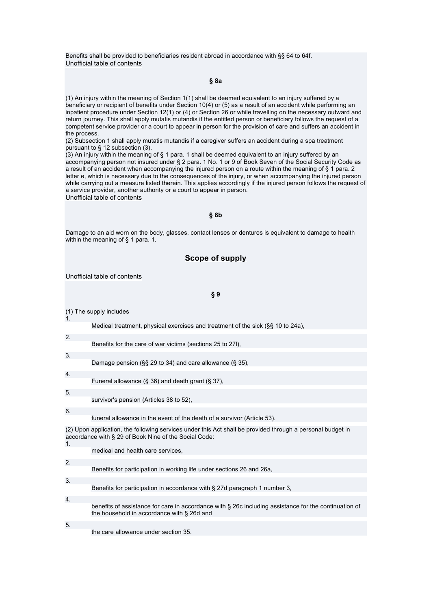Benefits shall be provided to beneficiaries resident abroad in accordance with §§ 64 to 64f. Unofficial table of contents

#### **§ 8a**

(1) An injury within the meaning of Section 1(1) shall be deemed equivalent to an injury suffered by a beneficiary or recipient of benefits under Section 10(4) or (5) as a result of an accident while performing an inpatient procedure under Section 12(1) or (4) or Section 26 or while travelling on the necessary outward and return journey. This shall apply mutatis mutandis if the entitled person or beneficiary follows the request of a competent service provider or a court to appear in person for the provision of care and suffers an accident in the process.

(2) Subsection 1 shall apply mutatis mutandis if a caregiver suffers an accident during a spa treatment pursuant to § 12 subsection (3).

 $(3)$  An injury within the meaning of § 1 para. 1 shall be deemed equivalent to an injury suffered by an accompanying person not insured under § 2 para. 1 No. 1 or 9 of Book Seven of the Social Security Code as a result of an accident when accompanying the injured person on a route within the meaning of § 1 para. 2 letter e, which is necessary due to the consequences of the injury, or when accompanying the injured person while carrying out a measure listed therein. This applies accordingly if the injured person follows the request of a service provider, another authority or a court to appear in person. Unofficial table of contents

#### **§ 8b**

Damage to an aid worn on the body, glasses, contact lenses or dentures is equivalent to damage to health within the meaning of § 1 para. 1.

### **Scope of supply**

Unofficial table of contents

#### **§ 9**

(1) The supply includes

1.

Medical treatment, physical exercises and treatment of the sick (§§ 10 to 24a),

| 2. | Benefits for the care of war victims (sections 25 to 27I),                                                                                                          |
|----|---------------------------------------------------------------------------------------------------------------------------------------------------------------------|
|    |                                                                                                                                                                     |
| 3. |                                                                                                                                                                     |
|    | Damage pension ( $\S$ § 29 to 34) and care allowance (§ 35).                                                                                                        |
| 4. |                                                                                                                                                                     |
|    | Funeral allowance (§ 36) and death grant (§ 37).                                                                                                                    |
| 5. |                                                                                                                                                                     |
|    | survivor's pension (Articles 38 to 52).                                                                                                                             |
| 6. |                                                                                                                                                                     |
|    | funeral allowance in the event of the death of a survivor (Article 53).                                                                                             |
| 1. | (2) Upon application, the following services under this Act shall be provided through a personal budget in<br>accordance with § 29 of Book Nine of the Social Code: |

|                  | medical and health care services.                                                                                                                   |
|------------------|-----------------------------------------------------------------------------------------------------------------------------------------------------|
|                  |                                                                                                                                                     |
| 2.               |                                                                                                                                                     |
|                  | Benefits for participation in working life under sections 26 and 26a,                                                                               |
|                  |                                                                                                                                                     |
| 3.               |                                                                                                                                                     |
|                  | Benefits for participation in accordance with § 27d paragraph 1 number 3,                                                                           |
|                  |                                                                                                                                                     |
| $\overline{4}$ . |                                                                                                                                                     |
|                  | benefits of assistance for care in accordance with § 26c including assistance for the continuation of<br>the household in accordance with § 26d and |
|                  |                                                                                                                                                     |
| 5.               |                                                                                                                                                     |
|                  | the care allowance under section 35.                                                                                                                |
|                  |                                                                                                                                                     |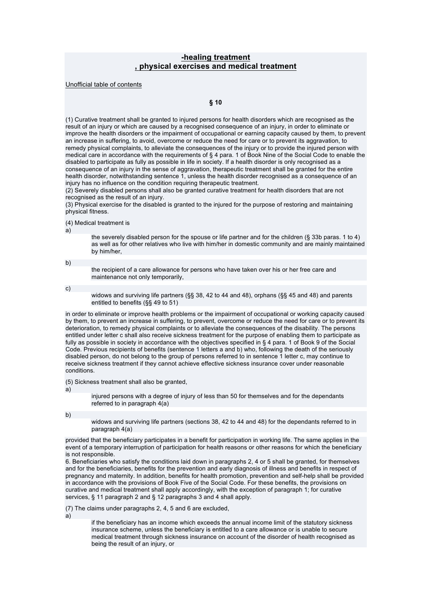## **-healing treatment , physical exercises and medical treatment**

Unofficial table of contents

## **§ 10**

(1) Curative treatment shall be granted to injured persons for health disorders which are recognised as the result of an injury or which are caused by a recognised consequence of an injury, in order to eliminate or improve the health disorders or the impairment of occupational or earning capacity caused by them, to prevent an increase in suffering, to avoid, overcome or reduce the need for care or to prevent its aggravation, to remedy physical complaints, to alleviate the consequences of the injury or to provide the injured person with medical care in accordance with the requirements of § 4 para. 1 of Book Nine of the Social Code to enable the disabled to participate as fully as possible in life in society. If a health disorder is only recognised as a consequence of an injury in the sense of aggravation, therapeutic treatment shall be granted for the entire health disorder, notwithstanding sentence 1, unless the health disorder recognised as a consequence of an injury has no influence on the condition requiring therapeutic treatment.

(2) Severely disabled persons shall also be granted curative treatment for health disorders that are not recognised as the result of an injury.

(3) Physical exercise for the disabled is granted to the injured for the purpose of restoring and maintaining physical fitness.

(4) Medical treatment is

a)

the severely disabled person for the spouse or life partner and for the children (§ 33b paras. 1 to 4) as well as for other relatives who live with him/her in domestic community and are mainly maintained by him/her,

b)

the recipient of a care allowance for persons who have taken over his or her free care and maintenance not only temporarily,

c)

widows and surviving life partners (§§ 38, 42 to 44 and 48), orphans (§§ 45 and 48) and parents entitled to benefits (§§ 49 to 51)

in order to eliminate or improve health problems or the impairment of occupational or working capacity caused by them, to prevent an increase in suffering, to prevent, overcome or reduce the need for care or to prevent its deterioration, to remedy physical complaints or to alleviate the consequences of the disability. The persons entitled under letter c shall also receive sickness treatment for the purpose of enabling them to participate as fully as possible in society in accordance with the objectives specified in § 4 para. 1 of Book 9 of the Social Code. Previous recipients of benefits (sentence 1 letters a and b) who, following the death of the seriously disabled person, do not belong to the group of persons referred to in sentence 1 letter c, may continue to receive sickness treatment if they cannot achieve effective sickness insurance cover under reasonable conditions.

(5) Sickness treatment shall also be granted,

a)

injured persons with a degree of injury of less than 50 for themselves and for the dependants referred to in paragraph  $4(a)$ 

b)

widows and surviving life partners (sections 38, 42 to 44 and 48) for the dependants referred to in paragraph 4(a)

provided that the beneficiary participates in a benefit for participation in working life. The same applies in the event of a temporary interruption of participation for health reasons or other reasons for which the beneficiary is not responsible.

6. Beneficiaries who satisfy the conditions laid down in paragraphs 2, 4 or 5 shall be granted, for themselves and for the beneficiaries, benefits for the prevention and early diagnosis of illness and benefits in respect of pregnancy and maternity. In addition, benefits for health promotion, prevention and self-help shall be provided in accordance with the provisions of Book Five of the Social Code. For these benefits, the provisions on curative and medical treatment shall apply accordingly, with the exception of paragraph 1; for curative services, § 11 paragraph 2 and § 12 paragraphs 3 and 4 shall apply.

(7) The claims under paragraphs 2, 4, 5 and 6 are excluded,

a)

if the beneficiary has an income which exceeds the annual income limit of the statutory sickness insurance scheme, unless the beneficiary is entitled to a care allowance or is unable to secure medical treatment through sickness insurance on account of the disorder of health recognised as being the result of an injury, or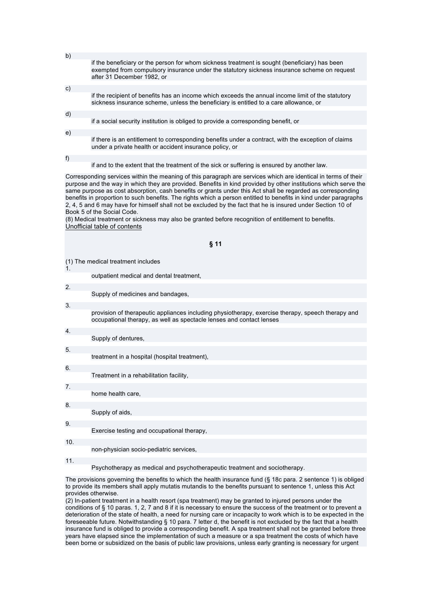|    | if the beneficiary or the person for whom sickness treatment is sought (beneficiary) has been<br>exempted from compulsory insurance under the statutory sickness insurance scheme on request<br>after 31 December 1982, or |
|----|----------------------------------------------------------------------------------------------------------------------------------------------------------------------------------------------------------------------------|
|    |                                                                                                                                                                                                                            |
| c) |                                                                                                                                                                                                                            |
|    | if the recipient of benefits has an income which exceeds the annual income limit of the statutory<br>sickness insurance scheme, unless the beneficiary is entitled to a care allowance, or                                 |
|    |                                                                                                                                                                                                                            |
| d) |                                                                                                                                                                                                                            |
|    | if a social security institution is obliged to provide a corresponding benefit, or                                                                                                                                         |
|    |                                                                                                                                                                                                                            |
| e) |                                                                                                                                                                                                                            |
|    | if there is an entitlement to corresponding benefits under a contract, with the exception of claims<br>under a private health or accident insurance policy, or                                                             |

if and to the extent that the treatment of the sick or suffering is ensured by another law.

Corresponding services within the meaning of this paragraph are services which are identical in terms of their purpose and the way in which they are provided. Benefits in kind provided by other institutions which serve the same purpose as cost absorption, cash benefits or grants under this Act shall be regarded as corresponding benefits in proportion to such benefits. The rights which a person entitled to benefits in kind under paragraphs 2, 4, 5 and 6 may have for himself shall not be excluded by the fact that he is insured under Section 10 of Book 5 of the Social Code.

(8) Medical treatment or sickness may also be granted before recognition of entitlement to benefits. Unofficial table of contents

(1) The medical treatment includes

outpatient medical and dental treatment,

 $\overline{2}$ Supply of medicines and bandages, 3. provision of therapeutic appliances including physiotherapy, exercise therapy, speech therapy and occupational therapy, as well as spectacle lenses and contact lenses 4. Supply of dentures, 5. treatment in a hospital (hospital treatment), 6. Treatment in a rehabilitation facility, 7. home health care, 8. Supply of aids, 9. Exercise testing and occupational therapy, 10. non-physician socio-pediatric services,

11.

 $h)$ 

f)

1.

Psychotherapy as medical and psychotherapeutic treatment and sociotherapy.

The provisions governing the benefits to which the health insurance fund (§ 18c para. 2 sentence 1) is obliged to provide its members shall apply mutatis mutandis to the benefits pursuant to sentence 1, unless this Act provides otherwise.

(2) In-patient treatment in a health resort (spa treatment) may be granted to injured persons under the conditions of § 10 paras. 1, 2, 7 and 8 if it is necessary to ensure the success of the treatment or to prevent a deterioration of the state of health, a need for nursing care or incapacity to work which is to be expected in the foreseeable future. Notwithstanding § 10 para. 7 letter d, the benefit is not excluded by the fact that a health insurance fund is obliged to provide a corresponding benefit. A spa treatment shall not be granted before three years have elapsed since the implementation of such a measure or a spa treatment the costs of which have been borne or subsidized on the basis of public law provisions, unless early granting is necessary for urgent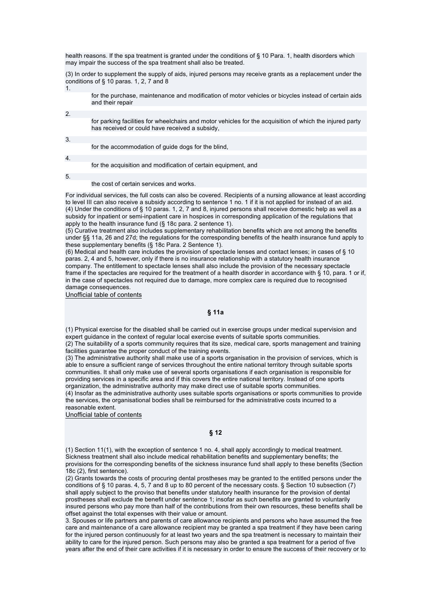health reasons. If the spa treatment is granted under the conditions of § 10 Para. 1, health disorders which may impair the success of the spa treatment shall also be treated.

(3) In order to supplement the supply of aids, injured persons may receive grants as a replacement under the conditions of § 10 paras. 1, 2, 7 and 8

1.

for the purchase, maintenance and modification of motor vehicles or bicycles instead of certain aids and their repair

 $\overline{2}$ for parking facilities for wheelchairs and motor vehicles for the acquisition of which the injured party has received or could have received a subsidy,

3.

for the accommodation of guide dogs for the blind,

4.

for the acquisition and modification of certain equipment, and

5.

the cost of certain services and works.

For individual services, the full costs can also be covered. Recipients of a nursing allowance at least according to level III can also receive a subsidy according to sentence 1 no. 1 if it is not applied for instead of an aid. (4) Under the conditions of § 10 paras. 1, 2, 7 and 8, injured persons shall receive domestic help as well as a subsidy for inpatient or semi-inpatient care in hospices in corresponding application of the regulations that apply to the health insurance fund (§ 18c para. 2 sentence 1).

(5) Curative treatment also includes supplementary rehabilitation benefits which are not among the benefits under §§ 11a, 26 and 27d; the regulations for the corresponding benefits of the health insurance fund apply to these supplementary benefits (§ 18c Para. 2 Sentence 1).

(6) Medical and health care includes the provision of spectacle lenses and contact lenses; in cases of § 10 paras. 2, 4 and 5, however, only if there is no insurance relationship with a statutory health insurance company. The entitlement to spectacle lenses shall also include the provision of the necessary spectacle frame if the spectacles are required for the treatment of a health disorder in accordance with § 10, para. 1 or if, in the case of spectacles not required due to damage, more complex care is required due to recognised damage consequences.

Unofficial table of contents

**§ 11a** 

(1) Physical exercise for the disabled shall be carried out in exercise groups under medical supervision and expert guidance in the context of regular local exercise events of suitable sports communities. (2) The suitability of a sports community requires that its size, medical care, sports management and training facilities guarantee the proper conduct of the training events.

(3) The administrative authority shall make use of a sports organisation in the provision of services, which is able to ensure a sufficient range of services throughout the entire national territory through suitable sports communities. It shall only make use of several sports organisations if each organisation is responsible for providing services in a specific area and if this covers the entire national territory. Instead of one sports organization, the administrative authority may make direct use of suitable sports communities. (4) Insofar as the administrative authority uses suitable sports organisations or sports communities to provide the services, the organisational bodies shall be reimbursed for the administrative costs incurred to a reasonable extent.

Unofficial table of contents

## **§ 12**

(1) Section 11(1), with the exception of sentence 1 no. 4, shall apply accordingly to medical treatment. Sickness treatment shall also include medical rehabilitation benefits and supplementary benefits; the provisions for the corresponding benefits of the sickness insurance fund shall apply to these benefits (Section 18c (2), first sentence).

(2) Grants towards the costs of procuring dental prostheses may be granted to the entitled persons under the conditions of § 10 paras. 4, 5, 7 and 8 up to 80 percent of the necessary costs. § Section 10 subsection (7) shall apply subject to the proviso that benefits under statutory health insurance for the provision of dental prostheses shall exclude the benefit under sentence 1; insofar as such benefits are granted to voluntarily insured persons who pay more than half of the contributions from their own resources, these benefits shall be offset against the total expenses with their value or amount.

3. Spouses or life partners and parents of care allowance recipients and persons who have assumed the free care and maintenance of a care allowance recipient may be granted a spa treatment if they have been caring for the injured person continuously for at least two years and the spa treatment is necessary to maintain their ability to care for the injured person. Such persons may also be granted a spa treatment for a period of five years after the end of their care activities if it is necessary in order to ensure the success of their recovery or to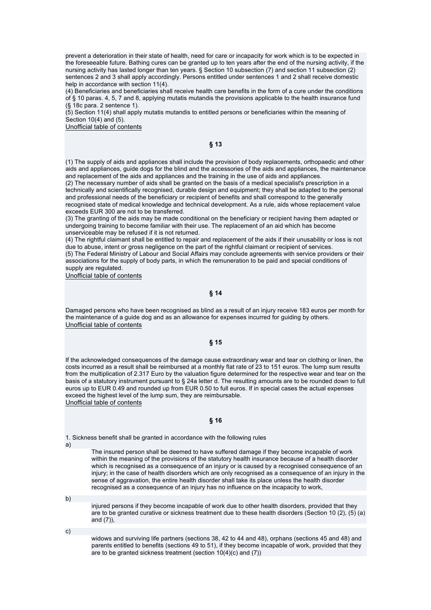prevent a deterioration in their state of health, need for care or incapacity for work which is to be expected in the foreseeable future. Bathing cures can be granted up to ten years after the end of the nursing activity, if the nursing activity has lasted longer than ten years. § Section 10 subsection (7) and section 11 subsection (2) sentences 2 and 3 shall apply accordingly. Persons entitled under sentences 1 and 2 shall receive domestic help in accordance with section 11(4).

(4) Beneficiaries and beneficiaries shall receive health care benefits in the form of a cure under the conditions of § 10 paras. 4, 5, 7 and 8, applying mutatis mutandis the provisions applicable to the health insurance fund (§ 18c para. 2 sentence 1).

(5) Section 11(4) shall apply mutatis mutandis to entitled persons or beneficiaries within the meaning of Section 10(4) and (5).

Unofficial table of contents

**§ 13** 

(1) The supply of aids and appliances shall include the provision of body replacements, orthopaedic and other aids and appliances, guide dogs for the blind and the accessories of the aids and appliances, the maintenance and replacement of the aids and appliances and the training in the use of aids and appliances.

(2) The necessary number of aids shall be granted on the basis of a medical specialist's prescription in a technically and scientifically recognised, durable design and equipment; they shall be adapted to the personal and professional needs of the beneficiary or recipient of benefits and shall correspond to the generally recognised state of medical knowledge and technical development. As a rule, aids whose replacement value exceeds EUR 300 are not to be transferred.

(3) The granting of the aids may be made conditional on the beneficiary or recipient having them adapted or undergoing training to become familiar with their use. The replacement of an aid which has become unserviceable may be refused if it is not returned.

(4) The rightful claimant shall be entitled to repair and replacement of the aids if their unusability or loss is not due to abuse, intent or gross negligence on the part of the rightful claimant or recipient of services.

(5) The Federal Ministry of Labour and Social Affairs may conclude agreements with service providers or their associations for the supply of body parts, in which the remuneration to be paid and special conditions of supply are regulated.

Unofficial table of contents

### **§ 14**

Damaged persons who have been recognised as blind as a result of an injury receive 183 euros per month for the maintenance of a guide dog and as an allowance for expenses incurred for guiding by others. Unofficial table of contents

#### **§ 15**

If the acknowledged consequences of the damage cause extraordinary wear and tear on clothing or linen, the costs incurred as a result shall be reimbursed at a monthly flat rate of 23 to 151 euros. The lump sum results from the multiplication of 2.317 Euro by the valuation figure determined for the respective wear and tear on the basis of a statutory instrument pursuant to § 24a letter d. The resulting amounts are to be rounded down to full euros up to EUR 0.49 and rounded up from EUR 0.50 to full euros. If in special cases the actual expenses exceed the highest level of the lump sum, they are reimbursable. Unofficial table of contents

#### **§ 16**

1. Sickness benefit shall be granted in accordance with the following rules

a)

The insured person shall be deemed to have suffered damage if they become incapable of work within the meaning of the provisions of the statutory health insurance because of a health disorder which is recognised as a consequence of an injury or is caused by a recognised consequence of an injury; in the case of health disorders which are only recognised as a consequence of an injury in the sense of aggravation, the entire health disorder shall take its place unless the health disorder recognised as a consequence of an injury has no influence on the incapacity to work,

b)

injured persons if they become incapable of work due to other health disorders, provided that they are to be granted curative or sickness treatment due to these health disorders (Section 10 (2), (5) (a) and (7)),

c)

widows and surviving life partners (sections 38, 42 to 44 and 48), orphans (sections 45 and 48) and parents entitled to benefits (sections 49 to 51), if they become incapable of work, provided that they are to be granted sickness treatment (section 10(4)(c) and (7))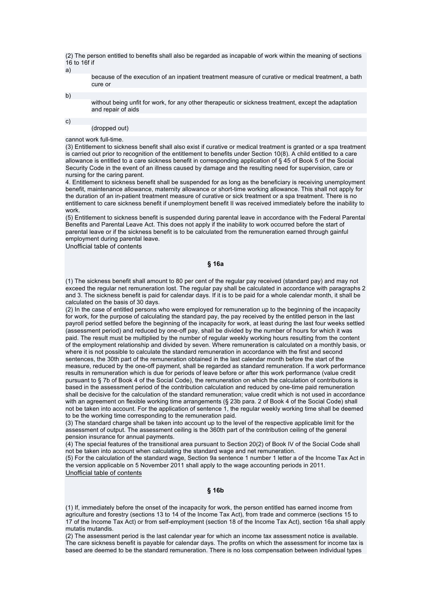(2) The person entitled to benefits shall also be regarded as incapable of work within the meaning of sections 16 to 16f if

a)

because of the execution of an inpatient treatment measure of curative or medical treatment, a bath cure or

b)

without being unfit for work, for any other therapeutic or sickness treatment, except the adaptation and repair of aids

c)

#### (dropped out)

## cannot work full-time.

(3) Entitlement to sickness benefit shall also exist if curative or medical treatment is granted or a spa treatment is carried out prior to recognition of the entitlement to benefits under Section 10(8). A child entitled to a care allowance is entitled to a care sickness benefit in corresponding application of § 45 of Book 5 of the Social Security Code in the event of an illness caused by damage and the resulting need for supervision, care or nursing for the caring parent.

4. Entitlement to sickness benefit shall be suspended for as long as the beneficiary is receiving unemployment benefit, maintenance allowance, maternity allowance or short-time working allowance. This shall not apply for the duration of an in-patient treatment measure of curative or sick treatment or a spa treatment. There is no entitlement to care sickness benefit if unemployment benefit II was received immediately before the inability to work.

(5) Entitlement to sickness benefit is suspended during parental leave in accordance with the Federal Parental Benefits and Parental Leave Act. This does not apply if the inability to work occurred before the start of parental leave or if the sickness benefit is to be calculated from the remuneration earned through gainful employment during parental leave.

Unofficial table of contents

#### **§ 16a**

(1) The sickness benefit shall amount to 80 per cent of the regular pay received (standard pay) and may not exceed the regular net remuneration lost. The regular pay shall be calculated in accordance with paragraphs 2 and 3. The sickness benefit is paid for calendar days. If it is to be paid for a whole calendar month, it shall be calculated on the basis of 30 days.

(2) In the case of entitled persons who were employed for remuneration up to the beginning of the incapacity for work, for the purpose of calculating the standard pay, the pay received by the entitled person in the last payroll period settled before the beginning of the incapacity for work, at least during the last four weeks settled (assessment period) and reduced by one-off pay, shall be divided by the number of hours for which it was paid. The result must be multiplied by the number of regular weekly working hours resulting from the content of the employment relationship and divided by seven. Where remuneration is calculated on a monthly basis, or where it is not possible to calculate the standard remuneration in accordance with the first and second sentences, the 30th part of the remuneration obtained in the last calendar month before the start of the measure, reduced by the one-off payment, shall be regarded as standard remuneration. If a work performance results in remuneration which is due for periods of leave before or after this work performance (value credit pursuant to § 7b of Book 4 of the Social Code), the remuneration on which the calculation of contributions is based in the assessment period of the contribution calculation and reduced by one-time paid remuneration shall be decisive for the calculation of the standard remuneration; value credit which is not used in accordance with an agreement on flexible working time arrangements (§ 23b para. 2 of Book 4 of the Social Code) shall not be taken into account. For the application of sentence 1, the regular weekly working time shall be deemed to be the working time corresponding to the remuneration paid.

(3) The standard charge shall be taken into account up to the level of the respective applicable limit for the assessment of output. The assessment ceiling is the 360th part of the contribution ceiling of the general pension insurance for annual payments.

(4) The special features of the transitional area pursuant to Section 20(2) of Book IV of the Social Code shall not be taken into account when calculating the standard wage and net remuneration.

(5) For the calculation of the standard wage, Section 9a sentence 1 number 1 letter a of the Income Tax Act in the version applicable on 5 November 2011 shall apply to the wage accounting periods in 2011. Unofficial table of contents

## **§ 16b**

(1) If, immediately before the onset of the incapacity for work, the person entitled has earned income from agriculture and forestry (sections 13 to 14 of the Income Tax Act), from trade and commerce (sections 15 to 17 of the Income Tax Act) or from self-employment (section 18 of the Income Tax Act), section 16a shall apply mutatis mutandis.

(2) The assessment period is the last calendar year for which an income tax assessment notice is available. The care sickness benefit is payable for calendar days. The profits on which the assessment for income tax is based are deemed to be the standard remuneration. There is no loss compensation between individual types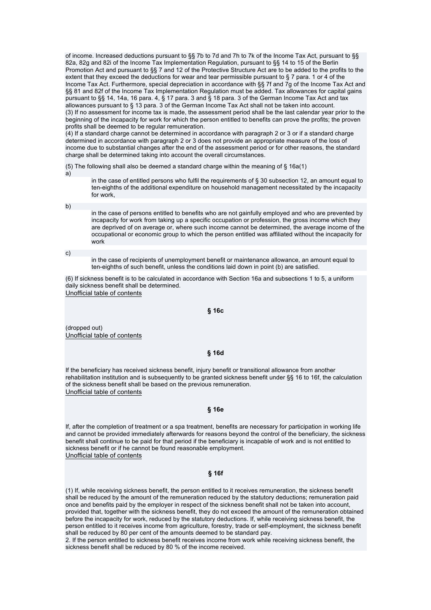of income. Increased deductions pursuant to §§ 7b to 7d and 7h to 7k of the Income Tax Act, pursuant to §§ 82a, 82g and 82i of the Income Tax Implementation Regulation, pursuant to §§ 14 to 15 of the Berlin Promotion Act and pursuant to §§ 7 and 12 of the Protective Structure Act are to be added to the profits to the extent that they exceed the deductions for wear and tear permissible pursuant to § 7 para. 1 or 4 of the Income Tax Act. Furthermore, special depreciation in accordance with §§ 7f and 7g of the Income Tax Act and §§ 81 and 82f of the Income Tax Implementation Regulation must be added. Tax allowances for capital gains pursuant to §§ 14, 14a, 16 para. 4, § 17 para. 3 and § 18 para. 3 of the German Income Tax Act and tax allowances pursuant to § 13 para. 3 of the German Income Tax Act shall not be taken into account. (3) If no assessment for income tax is made, the assessment period shall be the last calendar year prior to the beginning of the incapacity for work for which the person entitled to benefits can prove the profits; the proven profits shall be deemed to be regular remuneration.

(4) If a standard charge cannot be determined in accordance with paragraph 2 or 3 or if a standard charge determined in accordance with paragraph 2 or 3 does not provide an appropriate measure of the loss of income due to substantial changes after the end of the assessment period or for other reasons, the standard charge shall be determined taking into account the overall circumstances.

(5) The following shall also be deemed a standard charge within the meaning of § 16a(1)

in the case of entitled persons who fulfil the requirements of § 30 subsection 12, an amount equal to ten-eighths of the additional expenditure on household management necessitated by the incapacity for work,

b)

a)

in the case of persons entitled to benefits who are not gainfully employed and who are prevented by incapacity for work from taking up a specific occupation or profession, the gross income which they are deprived of on average or, where such income cannot be determined, the average income of the occupational or economic group to which the person entitled was affiliated without the incapacity for work

c)

in the case of recipients of unemployment benefit or maintenance allowance, an amount equal to ten-eighths of such benefit, unless the conditions laid down in point (b) are satisfied.

(6) If sickness benefit is to be calculated in accordance with Section 16a and subsections 1 to 5, a uniform daily sickness benefit shall be determined. Unofficial table of contents

#### **§ 16c**

(dropped out) Unofficial table of contents

#### **§ 16d**

If the beneficiary has received sickness benefit, injury benefit or transitional allowance from another rehabilitation institution and is subsequently to be granted sickness benefit under §§ 16 to 16f, the calculation of the sickness benefit shall be based on the previous remuneration. Unofficial table of contents

### **§ 16e**

If, after the completion of treatment or a spa treatment, benefits are necessary for participation in working life and cannot be provided immediately afterwards for reasons beyond the control of the beneficiary, the sickness benefit shall continue to be paid for that period if the beneficiary is incapable of work and is not entitled to sickness benefit or if he cannot be found reasonable employment. Unofficial table of contents

#### **§ 16f**

(1) If, while receiving sickness benefit, the person entitled to it receives remuneration, the sickness benefit shall be reduced by the amount of the remuneration reduced by the statutory deductions; remuneration paid once and benefits paid by the employer in respect of the sickness benefit shall not be taken into account, provided that, together with the sickness benefit, they do not exceed the amount of the remuneration obtained before the incapacity for work, reduced by the statutory deductions. If, while receiving sickness benefit, the person entitled to it receives income from agriculture, forestry, trade or self-employment, the sickness benefit shall be reduced by 80 per cent of the amounts deemed to be standard pay.

2. If the person entitled to sickness benefit receives income from work while receiving sickness benefit, the sickness benefit shall be reduced by 80 % of the income received.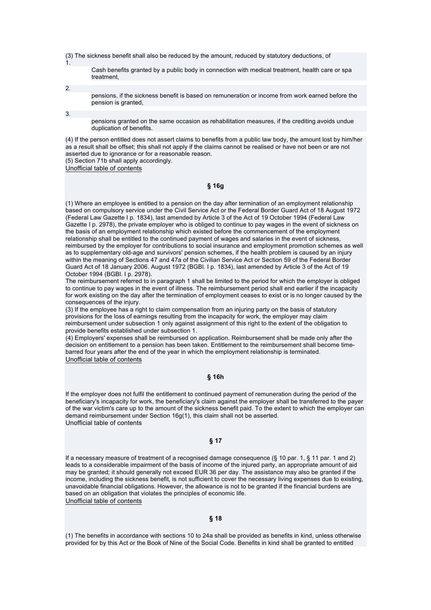(3) The sickness benefit shall also be reduced by the amount, reduced by statutory deductions, of

Cash benefits granted by a public body in connection with medical treatment, health care or spa treatment,

2.

1.

pensions, if the sickness benefit is based on remuneration or income from work earned before the pension is granted,

3.

pensions granted on the same occasion as rehabilitation measures, if the crediting avoids undue duplication of benefits.

(4) If the person entitled does not assert claims to benefits from a public law body, the amount lost by him/her as a result shall be offset; this shall not apply if the claims cannot be realised or have not been or are not asserted due to ignorance or for a reasonable reason. (5) Section 71b shall apply accordingly.

Unofficial table of contents

**§ 16g** 

(1) Where an employee is entitled to a pension on the day after termination of an employment relationship based on compulsory service under the Civil Service Act or the Federal Border Guard Act of 18 August 1972 (Federal Law Gazette I p. 1834), last amended by Article 3 of the Act of 19 October 1994 (Federal Law Gazette I p. 2978), the private employer who is obliged to continue to pay wages in the event of sickness on the basis of an employment relationship which existed before the commencement of the employment relationship shall be entitled to the continued payment of wages and salaries in the event of sickness, reimbursed by the employer for contributions to social insurance and employment promotion schemes as well as to supplementary old-age and survivors' pension schemes, if the health problem is caused by an injury within the meaning of Sections 47 and 47a of the Civilian Service Act or Section 59 of the Federal Border Guard Act of 18 January 2006. August 1972 (BGBl. I p. 1834), last amended by Article 3 of the Act of 19 October 1994 (BGBl. I p. 2978).

The reimbursement referred to in paragraph 1 shall be limited to the period for which the employer is obliged to continue to pay wages in the event of illness. The reimbursement period shall end earlier if the incapacity for work existing on the day after the termination of employment ceases to exist or is no longer caused by the consequences of the injury.

(3) If the employee has a right to claim compensation from an injuring party on the basis of statutory provisions for the loss of earnings resulting from the incapacity for work, the employer may claim reimbursement under subsection 1 only against assignment of this right to the extent of the obligation to provide benefits established under subsection 1.

(4) Employers' expenses shall be reimbursed on application. Reimbursement shall be made only after the decision on entitlement to a pension has been taken. Entitlement to the reimbursement shall become timebarred four years after the end of the year in which the employment relationship is terminated. Unofficial table of contents

### **§ 16h**

If the employer does not fulfil the entitlement to continued payment of remuneration during the period of the beneficiary's incapacity for work, the beneficiary's claim against the employer shall be transferred to the payer of the war victim's care up to the amount of the sickness benefit paid. To the extent to which the employer can demand reimbursement under Section 16g(1), this claim shall not be asserted. Unofficial table of contents

### **§ 17**

If a necessary measure of treatment of a recognised damage consequence (§ 10 par. 1, § 11 par. 1 and 2) leads to a considerable impairment of the basis of income of the injured party, an appropriate amount of aid may be granted; it should generally not exceed EUR 36 per day. The assistance may also be granted if the income, including the sickness benefit, is not sufficient to cover the necessary living expenses due to existing, unavoidable financial obligations. However, the allowance is not to be granted if the financial burdens are based on an obligation that violates the principles of economic life. Unofficial table of contents

### **§ 18**

(1) The benefits in accordance with sections 10 to 24a shall be provided as benefits in kind, unless otherwise provided for by this Act or the Book of Nine of the Social Code. Benefits in kind shall be granted to entitled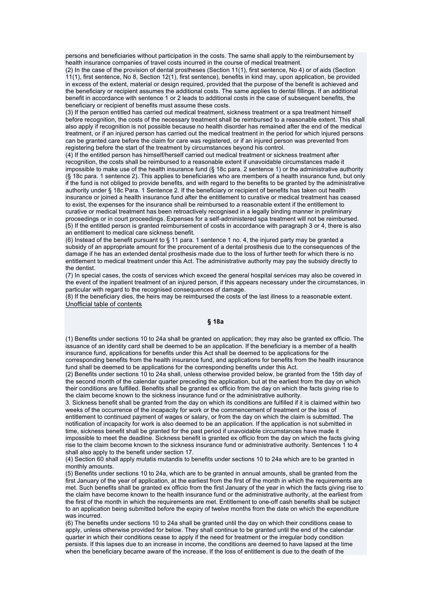persons and beneficiaries without participation in the costs. The same shall apply to the reimbursement by health insurance companies of travel costs incurred in the course of medical treatment.

(2) In the case of the provision of dental prostheses (Section 11(1), first sentence, No 4) or of aids (Section 11(1), first sentence, No 8, Section 12(1), first sentence), benefits in kind may, upon application, be provided in excess of the extent, material or design required, provided that the purpose of the benefit is achieved and the beneficiary or recipient assumes the additional costs. The same applies to dental fillings. If an additional benefit in accordance with sentence 1 or 2 leads to additional costs in the case of subsequent benefits, the beneficiary or recipient of benefits must assume these costs.

(3) If the person entitled has carried out medical treatment, sickness treatment or a spa treatment himself before recognition, the costs of the necessary treatment shall be reimbursed to a reasonable extent. This shall also apply if recognition is not possible because no health disorder has remained after the end of the medical treatment, or if an injured person has carried out the medical treatment in the period for which injured persons can be granted care before the claim for care was registered, or if an injured person was prevented from registering before the start of the treatment by circumstances beyond his control.

(4) If the entitled person has himself/herself carried out medical treatment or sickness treatment after recognition, the costs shall be reimbursed to a reasonable extent if unavoidable circumstances made it impossible to make use of the health insurance fund (§ 18c para. 2 sentence 1) or the administrative authority (§ 18c para. 1 sentence 2). This applies to beneficiaries who are members of a health insurance fund, but only if the fund is not obliged to provide benefits, and with regard to the benefits to be granted by the administrative authority under § 18c Para. 1 Sentence 2. If the beneficiary or recipient of benefits has taken out health insurance or joined a health insurance fund after the entitlement to curative or medical treatment has ceased to exist, the expenses for the insurance shall be reimbursed to a reasonable extent if the entitlement to curative or medical treatment has been retroactively recognised in a legally binding manner in preliminary proceedings or in court proceedings. Expenses for a self-administered spa treatment will not be reimbursed. (5) If the entitled person is granted reimbursement of costs in accordance with paragraph 3 or 4, there is also an entitlement to medical care sickness benefit.

(6) Instead of the benefit pursuant to § 11 para. 1 sentence 1 no. 4, the injured party may be granted a subsidy of an appropriate amount for the procurement of a dental prosthesis due to the consequences of the damage if he has an extended dental prosthesis made due to the loss of further teeth for which there is no entitlement to medical treatment under this Act. The administrative authority may pay the subsidy directly to the dentist.

(7) In special cases, the costs of services which exceed the general hospital services may also be covered in the event of the inpatient treatment of an injured person, if this appears necessary under the circumstances, in particular with regard to the recognised consequences of damage.

(8) If the beneficiary dies, the heirs may be reimbursed the costs of the last illness to a reasonable extent. Unofficial table of contents

### **§ 18a**

(1) Benefits under sections 10 to 24a shall be granted on application; they may also be granted ex officio. The issuance of an identity card shall be deemed to be an application. If the beneficiary is a member of a health insurance fund, applications for benefits under this Act shall be deemed to be applications for the corresponding benefits from the health insurance fund, and applications for benefits from the health insurance fund shall be deemed to be applications for the corresponding benefits under this Act.

(2) Benefits under sections 10 to 24a shall, unless otherwise provided below, be granted from the 15th day of the second month of the calendar quarter preceding the application, but at the earliest from the day on which their conditions are fulfilled. Benefits shall be granted ex officio from the day on which the facts giving rise to the claim become known to the sickness insurance fund or the administrative authority.

3. Sickness benefit shall be granted from the day on which its conditions are fulfilled if it is claimed within two weeks of the occurrence of the incapacity for work or the commencement of treatment or the loss of entitlement to continued payment of wages or salary, or from the day on which the claim is submitted. The notification of incapacity for work is also deemed to be an application. If the application is not submitted in time, sickness benefit shall be granted for the past period if unavoidable circumstances have made it

impossible to meet the deadline. Sickness benefit is granted ex officio from the day on which the facts giving rise to the claim become known to the sickness insurance fund or administrative authority. Sentences 1 to 4 shall also apply to the benefit under section 17.

(4) Section 60 shall apply mutatis mutandis to benefits under sections 10 to 24a which are to be granted in monthly amounts.

(5) Benefits under sections 10 to 24a, which are to be granted in annual amounts, shall be granted from the first January of the year of application, at the earliest from the first of the month in which the requirements are met. Such benefits shall be granted ex officio from the first January of the year in which the facts giving rise to the claim have become known to the health insurance fund or the administrative authority, at the earliest from the first of the month in which the requirements are met. Entitlement to one-off cash benefits shall be subject to an application being submitted before the expiry of twelve months from the date on which the expenditure was incurred.

(6) The benefits under sections 10 to 24a shall be granted until the day on which their conditions cease to apply, unless otherwise provided for below. They shall continue to be granted until the end of the calendar quarter in which their conditions cease to apply if the need for treatment or the irregular body condition persists. If this lapses due to an increase in income, the conditions are deemed to have lapsed at the time when the beneficiary became aware of the increase. If the loss of entitlement is due to the death of the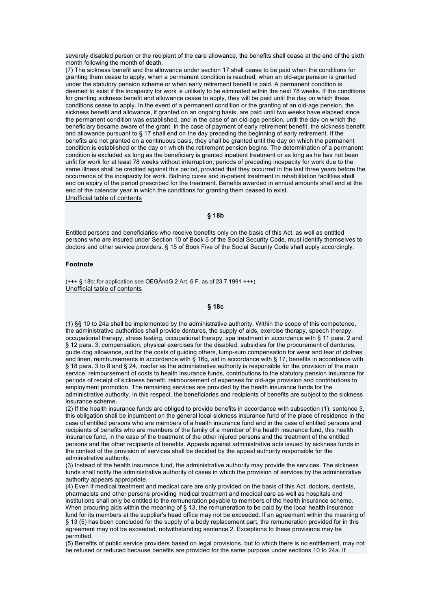severely disabled person or the recipient of the care allowance, the benefits shall cease at the end of the sixth month following the month of death.

(7) The sickness benefit and the allowance under section 17 shall cease to be paid when the conditions for granting them cease to apply, when a permanent condition is reached, when an old-age pension is granted under the statutory pension scheme or when early retirement benefit is paid. A permanent condition is deemed to exist if the incapacity for work is unlikely to be eliminated within the next 78 weeks. If the conditions for granting sickness benefit and allowance cease to apply, they will be paid until the day on which these conditions cease to apply. In the event of a permanent condition or the granting of an old-age pension, the sickness benefit and allowance, if granted on an ongoing basis, are paid until two weeks have elapsed since the permanent condition was established, and in the case of an old-age pension, until the day on which the beneficiary became aware of the grant. In the case of payment of early retirement benefit, the sickness benefit and allowance pursuant to § 17 shall end on the day preceding the beginning of early retirement. If the benefits are not granted on a continuous basis, they shall be granted until the day on which the permanent condition is established or the day on which the retirement pension begins. The determination of a permanent condition is excluded as long as the beneficiary is granted inpatient treatment or as long as he has not been unfit for work for at least 78 weeks without interruption; periods of preceding incapacity for work due to the same illness shall be credited against this period, provided that they occurred in the last three years before the occurrence of the incapacity for work. Bathing cures and in-patient treatment in rehabilitation facilities shall end on expiry of the period prescribed for the treatment. Benefits awarded in annual amounts shall end at the end of the calendar year in which the conditions for granting them ceased to exist. Unofficial table of contents

#### **§ 18b**

Entitled persons and beneficiaries who receive benefits only on the basis of this Act, as well as entitled persons who are insured under Section 10 of Book 5 of the Social Security Code, must identify themselves to doctors and other service providers. § 15 of Book Five of the Social Security Code shall apply accordingly.

#### **Footnote**

(+++ § 18b: for application see OEGÄndG 2 Art. 6 F. as of 23.7.1991 +++) Unofficial table of contents

### **§ 18c**

(1) §§ 10 to 24a shall be implemented by the administrative authority. Within the scope of this competence, the administrative authorities shall provide dentures, the supply of aids, exercise therapy, speech therapy, occupational therapy, stress testing, occupational therapy, spa treatment in accordance with § 11 para. 2 and § 12 para. 3, compensation, physical exercises for the disabled, subsidies for the procurement of dentures, guide dog allowance, aid for the costs of guiding others, lump-sum compensation for wear and tear of clothes and linen, reimbursements in accordance with § 16g, aid in accordance with § 17, benefits in accordance with § 18 para. 3 to 8 and § 24, insofar as the administrative authority is responsible for the provision of the main service, reimbursement of costs to health insurance funds, contributions to the statutory pension insurance for periods of receipt of sickness benefit, reimbursement of expenses for old-age provision and contributions to employment promotion. The remaining services are provided by the health insurance funds for the administrative authority. In this respect, the beneficiaries and recipients of benefits are subject to the sickness insurance scheme.

(2) If the health insurance funds are obliged to provide benefits in accordance with subsection (1), sentence 3, this obligation shall be incumbent on the general local sickness insurance fund of the place of residence in the case of entitled persons who are members of a health insurance fund and in the case of entitled persons and recipients of benefits who are members of the family of a member of the health insurance fund, this health insurance fund, in the case of the treatment of the other injured persons and the treatment of the entitled persons and the other recipients of benefits. Appeals against administrative acts issued by sickness funds in the context of the provision of services shall be decided by the appeal authority responsible for the administrative authority.

(3) Instead of the health insurance fund, the administrative authority may provide the services. The sickness funds shall notify the administrative authority of cases in which the provision of services by the administrative authority appears appropriate.

(4) Even if medical treatment and medical care are only provided on the basis of this Act, doctors, dentists, pharmacists and other persons providing medical treatment and medical care as well as hospitals and institutions shall only be entitled to the remuneration payable to members of the health insurance scheme. When procuring aids within the meaning of § 13, the remuneration to be paid by the local health insurance fund for its members at the supplier's head office may not be exceeded. If an agreement within the meaning of § 13 (5) has been concluded for the supply of a body replacement part, the remuneration provided for in this agreement may not be exceeded, notwithstanding sentence 2. Exceptions to these provisions may be permitted.

(5) Benefits of public service providers based on legal provisions, but to which there is no entitlement, may not be refused or reduced because benefits are provided for the same purpose under sections 10 to 24a. If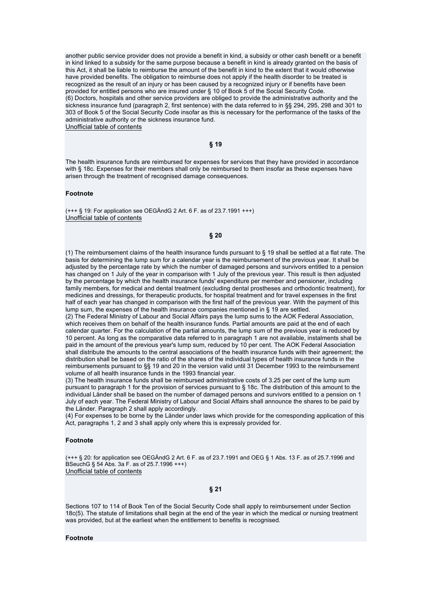another public service provider does not provide a benefit in kind, a subsidy or other cash benefit or a benefit in kind linked to a subsidy for the same purpose because a benefit in kind is already granted on the basis of this Act, it shall be liable to reimburse the amount of the benefit in kind to the extent that it would otherwise have provided benefits. The obligation to reimburse does not apply if the health disorder to be treated is recognized as the result of an injury or has been caused by a recognized injury or if benefits have been provided for entitled persons who are insured under § 10 of Book 5 of the Social Security Code. (6) Doctors, hospitals and other service providers are obliged to provide the administrative authority and the sickness insurance fund (paragraph 2, first sentence) with the data referred to in §§ 294, 295, 298 and 301 to 303 of Book 5 of the Social Security Code insofar as this is necessary for the performance of the tasks of the administrative authority or the sickness insurance fund. Unofficial table of contents

**§ 19** 

The health insurance funds are reimbursed for expenses for services that they have provided in accordance with § 18c. Expenses for their members shall only be reimbursed to them insofar as these expenses have arisen through the treatment of recognised damage consequences.

#### **Footnote**

(+++ § 19: For application see OEGÄndG 2 Art. 6 F. as of 23.7.1991 +++) Unofficial table of contents

#### **§ 20**

(1) The reimbursement claims of the health insurance funds pursuant to § 19 shall be settled at a flat rate. The basis for determining the lump sum for a calendar year is the reimbursement of the previous year. It shall be adjusted by the percentage rate by which the number of damaged persons and survivors entitled to a pension has changed on 1 July of the year in comparison with 1 July of the previous year. This result is then adjusted by the percentage by which the health insurance funds' expenditure per member and pensioner, including family members, for medical and dental treatment (excluding dental prostheses and orthodontic treatment), for medicines and dressings, for therapeutic products, for hospital treatment and for travel expenses in the first half of each year has changed in comparison with the first half of the previous year. With the payment of this lump sum, the expenses of the health insurance companies mentioned in § 19 are settled.

(2) The Federal Ministry of Labour and Social Affairs pays the lump sums to the AOK Federal Association, which receives them on behalf of the health insurance funds. Partial amounts are paid at the end of each calendar quarter. For the calculation of the partial amounts, the lump sum of the previous year is reduced by 10 percent. As long as the comparative data referred to in paragraph 1 are not available, instalments shall be paid in the amount of the previous year's lump sum, reduced by 10 per cent. The AOK Federal Association shall distribute the amounts to the central associations of the health insurance funds with their agreement; the distribution shall be based on the ratio of the shares of the individual types of health insurance funds in the reimbursements pursuant to §§ 19 and 20 in the version valid until 31 December 1993 to the reimbursement volume of all health insurance funds in the 1993 financial year.

(3) The health insurance funds shall be reimbursed administrative costs of 3.25 per cent of the lump sum pursuant to paragraph 1 for the provision of services pursuant to § 18c. The distribution of this amount to the individual Länder shall be based on the number of damaged persons and survivors entitled to a pension on 1 July of each year. The Federal Ministry of Labour and Social Affairs shall announce the shares to be paid by the Länder. Paragraph 2 shall apply accordingly.

(4) For expenses to be borne by the Länder under laws which provide for the corresponding application of this Act, paragraphs 1, 2 and 3 shall apply only where this is expressly provided for.

#### **Footnote**

(+++ § 20: for application see OEGÄndG 2 Art. 6 F. as of 23.7.1991 and OEG § 1 Abs. 13 F. as of 25.7.1996 and BSeuchG § 54 Abs. 3a F. as of 25.7.1996 +++) Unofficial table of contents

#### **§ 21**

Sections 107 to 114 of Book Ten of the Social Security Code shall apply to reimbursement under Section 18c(5). The statute of limitations shall begin at the end of the year in which the medical or nursing treatment was provided, but at the earliest when the entitlement to benefits is recognised.

#### **Footnote**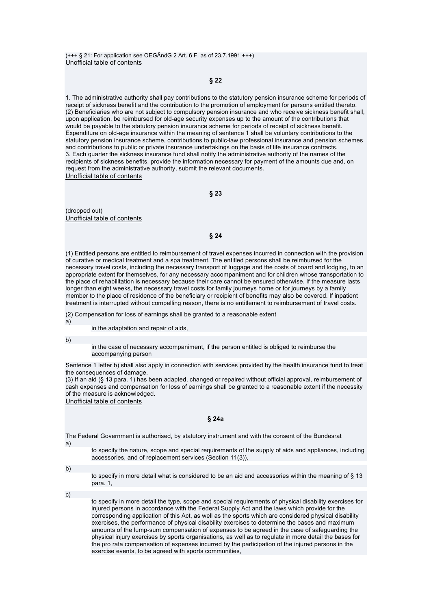(+++ § 21: For application see OEGÄndG 2 Art. 6 F. as of 23.7.1991 +++) Unofficial table of contents

**§ 22** 

1. The administrative authority shall pay contributions to the statutory pension insurance scheme for periods of receipt of sickness benefit and the contribution to the promotion of employment for persons entitled thereto. (2) Beneficiaries who are not subject to compulsory pension insurance and who receive sickness benefit shall, upon application, be reimbursed for old-age security expenses up to the amount of the contributions that would be payable to the statutory pension insurance scheme for periods of receipt of sickness benefit. Expenditure on old-age insurance within the meaning of sentence 1 shall be voluntary contributions to the statutory pension insurance scheme, contributions to public-law professional insurance and pension schemes and contributions to public or private insurance undertakings on the basis of life insurance contracts. 3. Each quarter the sickness insurance fund shall notify the administrative authority of the names of the recipients of sickness benefits, provide the information necessary for payment of the amounts due and, on request from the administrative authority, submit the relevant documents. Unofficial table of contents

**§ 23** 

(dropped out) Unofficial table of contents

**§ 24** 

(1) Entitled persons are entitled to reimbursement of travel expenses incurred in connection with the provision of curative or medical treatment and a spa treatment. The entitled persons shall be reimbursed for the necessary travel costs, including the necessary transport of luggage and the costs of board and lodging, to an appropriate extent for themselves, for any necessary accompaniment and for children whose transportation to the place of rehabilitation is necessary because their care cannot be ensured otherwise. If the measure lasts longer than eight weeks, the necessary travel costs for family journeys home or for journeys by a family member to the place of residence of the beneficiary or recipient of benefits may also be covered. If inpatient treatment is interrupted without compelling reason, there is no entitlement to reimbursement of travel costs.

(2) Compensation for loss of earnings shall be granted to a reasonable extent a)

in the adaptation and repair of aids,

b)

in the case of necessary accompaniment, if the person entitled is obliged to reimburse the accompanying person

Sentence 1 letter b) shall also apply in connection with services provided by the health insurance fund to treat the consequences of damage.

(3) If an aid (§ 13 para. 1) has been adapted, changed or repaired without official approval, reimbursement of cash expenses and compensation for loss of earnings shall be granted to a reasonable extent if the necessity of the measure is acknowledged.

Unofficial table of contents

#### **§ 24a**

The Federal Government is authorised, by statutory instrument and with the consent of the Bundesrat

a)

to specify the nature, scope and special requirements of the supply of aids and appliances, including accessories, and of replacement services (Section 11(3)),

b)

to specify in more detail what is considered to be an aid and accessories within the meaning of § 13 para. 1,

c)

to specify in more detail the type, scope and special requirements of physical disability exercises for injured persons in accordance with the Federal Supply Act and the laws which provide for the corresponding application of this Act, as well as the sports which are considered physical disability exercises, the performance of physical disability exercises to determine the bases and maximum amounts of the lump-sum compensation of expenses to be agreed in the case of safeguarding the physical injury exercises by sports organisations, as well as to regulate in more detail the bases for the pro rata compensation of expenses incurred by the participation of the injured persons in the exercise events, to be agreed with sports communities,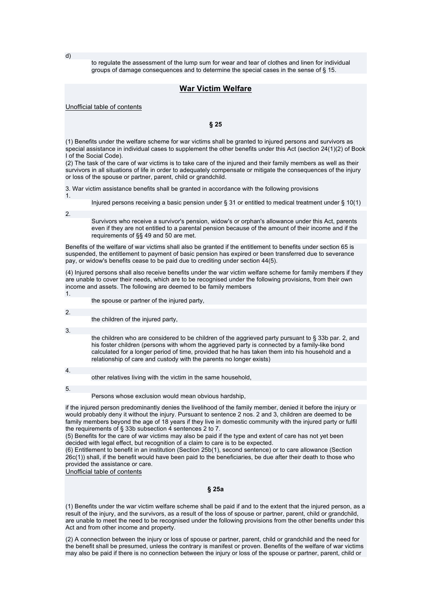d)

to regulate the assessment of the lump sum for wear and tear of clothes and linen for individual groups of damage consequences and to determine the special cases in the sense of § 15.

## **War Victim Welfare**

Unofficial table of contents

**§ 25** 

(1) Benefits under the welfare scheme for war victims shall be granted to injured persons and survivors as special assistance in individual cases to supplement the other benefits under this Act (section 24(1)(2) of Book I of the Social Code).

(2) The task of the care of war victims is to take care of the injured and their family members as well as their survivors in all situations of life in order to adequately compensate or mitigate the consequences of the injury or loss of the spouse or partner, parent, child or grandchild.

3. War victim assistance benefits shall be granted in accordance with the following provisions

1.

Injured persons receiving a basic pension under § 31 or entitled to medical treatment under § 10(1)

2.

Survivors who receive a survivor's pension, widow's or orphan's allowance under this Act, parents even if they are not entitled to a parental pension because of the amount of their income and if the requirements of §§ 49 and 50 are met.

Benefits of the welfare of war victims shall also be granted if the entitlement to benefits under section 65 is suspended, the entitlement to payment of basic pension has expired or been transferred due to severance pay, or widow's benefits cease to be paid due to crediting under section 44(5).

(4) Injured persons shall also receive benefits under the war victim welfare scheme for family members if they are unable to cover their needs, which are to be recognised under the following provisions, from their own income and assets. The following are deemed to be family members

the spouse or partner of the injured party,

2.

1.

the children of the injured party,

3.

the children who are considered to be children of the aggrieved party pursuant to § 33b par. 2, and his foster children (persons with whom the aggrieved party is connected by a family-like bond calculated for a longer period of time, provided that he has taken them into his household and a relationship of care and custody with the parents no longer exists)

4.

other relatives living with the victim in the same household,

5.

Persons whose exclusion would mean obvious hardship,

if the injured person predominantly denies the livelihood of the family member, denied it before the injury or would probably deny it without the injury. Pursuant to sentence 2 nos. 2 and 3, children are deemed to be family members beyond the age of 18 years if they live in domestic community with the injured party or fulfil the requirements of § 33b subsection 4 sentences 2 to 7.

(5) Benefits for the care of war victims may also be paid if the type and extent of care has not yet been decided with legal effect, but recognition of a claim to care is to be expected.

(6) Entitlement to benefit in an institution (Section 25b(1), second sentence) or to care allowance (Section 26c(1)) shall, if the benefit would have been paid to the beneficiaries, be due after their death to those who provided the assistance or care.

Unofficial table of contents

### **§ 25a**

(1) Benefits under the war victim welfare scheme shall be paid if and to the extent that the injured person, as a result of the injury, and the survivors, as a result of the loss of spouse or partner, parent, child or grandchild, are unable to meet the need to be recognised under the following provisions from the other benefits under this Act and from other income and property.

(2) A connection between the injury or loss of spouse or partner, parent, child or grandchild and the need for the benefit shall be presumed, unless the contrary is manifest or proven. Benefits of the welfare of war victims may also be paid if there is no connection between the injury or loss of the spouse or partner, parent, child or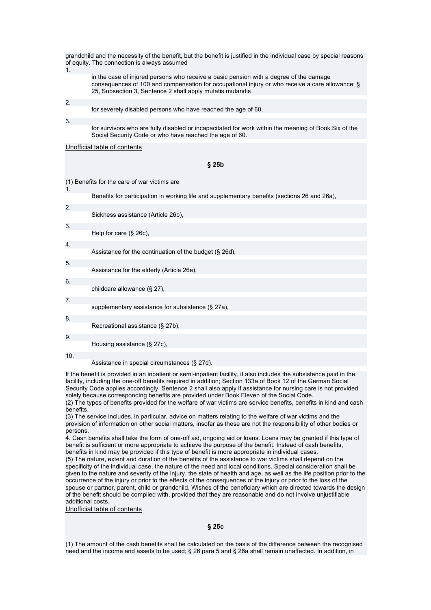| grandchild and the necessity of the benefit, but the benefit is justified in the individual case by special reasons<br>of equity. The connection is always assumed<br>1. |                                                                                                                                                                                                                                                        |  |
|--------------------------------------------------------------------------------------------------------------------------------------------------------------------------|--------------------------------------------------------------------------------------------------------------------------------------------------------------------------------------------------------------------------------------------------------|--|
|                                                                                                                                                                          | in the case of injured persons who receive a basic pension with a degree of the damage<br>consequences of 100 and compensation for occupational injury or who receive a care allowance; §<br>25, Subsection 3, Sentence 2 shall apply mutatis mutandis |  |
| 2.                                                                                                                                                                       |                                                                                                                                                                                                                                                        |  |
|                                                                                                                                                                          | for severely disabled persons who have reached the age of 60,                                                                                                                                                                                          |  |
| 3.                                                                                                                                                                       | for survivors who are fully disabled or incapacitated for work within the meaning of Book Six of the<br>Social Security Code or who have reached the age of 60.                                                                                        |  |
|                                                                                                                                                                          | Unofficial table of contents                                                                                                                                                                                                                           |  |
|                                                                                                                                                                          |                                                                                                                                                                                                                                                        |  |
|                                                                                                                                                                          | $§$ 25b                                                                                                                                                                                                                                                |  |
|                                                                                                                                                                          |                                                                                                                                                                                                                                                        |  |
| 1.                                                                                                                                                                       | (1) Benefits for the care of war victims are                                                                                                                                                                                                           |  |
|                                                                                                                                                                          | Benefits for participation in working life and supplementary benefits (sections 26 and 26a),                                                                                                                                                           |  |
| 2.                                                                                                                                                                       |                                                                                                                                                                                                                                                        |  |
|                                                                                                                                                                          | Sickness assistance (Article 26b),                                                                                                                                                                                                                     |  |
| 3.                                                                                                                                                                       |                                                                                                                                                                                                                                                        |  |
|                                                                                                                                                                          | Help for care $(\S 26c)$ ,                                                                                                                                                                                                                             |  |
| 4.                                                                                                                                                                       |                                                                                                                                                                                                                                                        |  |
|                                                                                                                                                                          | Assistance for the continuation of the budget (§ 26d),                                                                                                                                                                                                 |  |
| 5.                                                                                                                                                                       |                                                                                                                                                                                                                                                        |  |
|                                                                                                                                                                          | Assistance for the elderly (Article 26e),                                                                                                                                                                                                              |  |
| 6.                                                                                                                                                                       | childcare allowance (§ 27),                                                                                                                                                                                                                            |  |
| 7.                                                                                                                                                                       |                                                                                                                                                                                                                                                        |  |
|                                                                                                                                                                          | supplementary assistance for subsistence (§ 27a),                                                                                                                                                                                                      |  |
| 8.                                                                                                                                                                       |                                                                                                                                                                                                                                                        |  |
|                                                                                                                                                                          | Recreational assistance (§ 27b),                                                                                                                                                                                                                       |  |
| 9.                                                                                                                                                                       |                                                                                                                                                                                                                                                        |  |
|                                                                                                                                                                          | Housing assistance (§ 27c),                                                                                                                                                                                                                            |  |
| 10.                                                                                                                                                                      |                                                                                                                                                                                                                                                        |  |
|                                                                                                                                                                          | Assistance in special circumstances (§ 27d).                                                                                                                                                                                                           |  |

If the benefit is provided in an inpatient or semi-inpatient facility, it also includes the subsistence paid in the facility, including the one-off benefits required in addition; Section 133a of Book 12 of the German Social Security Code applies accordingly. Sentence 2 shall also apply if assistance for nursing care is not provided solely because corresponding benefits are provided under Book Eleven of the Social Code. (2) The types of benefits provided for the welfare of war victims are service benefits, benefits in kind and cash **benefits** 

(3) The service includes, in particular, advice on matters relating to the welfare of war victims and the provision of information on other social matters, insofar as these are not the responsibility of other bodies or persons.

4. Cash benefits shall take the form of one-off aid, ongoing aid or loans. Loans may be granted if this type of benefit is sufficient or more appropriate to achieve the purpose of the benefit. Instead of cash benefits, benefits in kind may be provided if this type of benefit is more appropriate in individual cases.

(5) The nature, extent and duration of the benefits of the assistance to war victims shall depend on the specificity of the individual case, the nature of the need and local conditions. Special consideration shall be given to the nature and severity of the injury, the state of health and age, as well as the life position prior to the occurrence of the injury or prior to the effects of the consequences of the injury or prior to the loss of the spouse or partner, parent, child or grandchild. Wishes of the beneficiary which are directed towards the design of the benefit should be complied with, provided that they are reasonable and do not involve unjustifiable additional costs.

Unofficial table of contents

## **§ 25c**

(1) The amount of the cash benefits shall be calculated on the basis of the difference between the recognised need and the income and assets to be used; § 26 para 5 and § 26a shall remain unaffected. In addition, in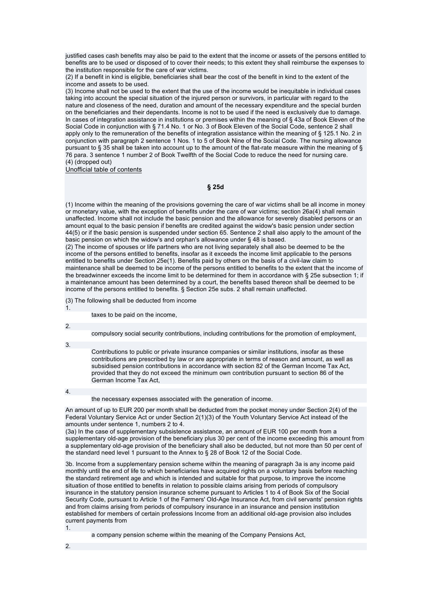justified cases cash benefits may also be paid to the extent that the income or assets of the persons entitled to benefits are to be used or disposed of to cover their needs; to this extent they shall reimburse the expenses to the institution responsible for the care of war victims.

(2) If a benefit in kind is eligible, beneficiaries shall bear the cost of the benefit in kind to the extent of the income and assets to be used.

(3) Income shall not be used to the extent that the use of the income would be inequitable in individual cases taking into account the special situation of the injured person or survivors, in particular with regard to the nature and closeness of the need, duration and amount of the necessary expenditure and the special burden on the beneficiaries and their dependants. Income is not to be used if the need is exclusively due to damage. In cases of integration assistance in institutions or premises within the meaning of § 43a of Book Eleven of the Social Code in conjunction with § 71.4 No. 1 or No. 3 of Book Eleven of the Social Code, sentence 2 shall apply only to the remuneration of the benefits of integration assistance within the meaning of § 125.1 No. 2 in conjunction with paragraph 2 sentence 1 Nos. 1 to 5 of Book Nine of the Social Code. The nursing allowance pursuant to § 35 shall be taken into account up to the amount of the flat-rate measure within the meaning of § 76 para. 3 sentence 1 number 2 of Book Twelfth of the Social Code to reduce the need for nursing care. (4) (dropped out)

Unofficial table of contents

### **§ 25d**

(1) Income within the meaning of the provisions governing the care of war victims shall be all income in money or monetary value, with the exception of benefits under the care of war victims; section 26a(4) shall remain unaffected. Income shall not include the basic pension and the allowance for severely disabled persons or an amount equal to the basic pension if benefits are credited against the widow's basic pension under section 44(5) or if the basic pension is suspended under section 65. Sentence 2 shall also apply to the amount of the basic pension on which the widow's and orphan's allowance under § 48 is based.

(2) The income of spouses or life partners who are not living separately shall also be deemed to be the income of the persons entitled to benefits, insofar as it exceeds the income limit applicable to the persons entitled to benefits under Section 25e(1). Benefits paid by others on the basis of a civil-law claim to maintenance shall be deemed to be income of the persons entitled to benefits to the extent that the income of the breadwinner exceeds the income limit to be determined for them in accordance with § 25e subsection 1; if a maintenance amount has been determined by a court, the benefits based thereon shall be deemed to be income of the persons entitled to benefits. § Section 25e subs. 2 shall remain unaffected.

- (3) The following shall be deducted from income
- 1.

taxes to be paid on the income,

 $\mathcal{P}$ 

compulsory social security contributions, including contributions for the promotion of employment,

3.

Contributions to public or private insurance companies or similar institutions, insofar as these contributions are prescribed by law or are appropriate in terms of reason and amount, as well as subsidised pension contributions in accordance with section 82 of the German Income Tax Act, provided that they do not exceed the minimum own contribution pursuant to section 86 of the German Income Tax Act,

4.

the necessary expenses associated with the generation of income.

An amount of up to EUR 200 per month shall be deducted from the pocket money under Section 2(4) of the Federal Voluntary Service Act or under Section 2(1)(3) of the Youth Voluntary Service Act instead of the amounts under sentence 1, numbers 2 to 4.

(3a) In the case of supplementary subsistence assistance, an amount of EUR 100 per month from a supplementary old-age provision of the beneficiary plus 30 per cent of the income exceeding this amount from a supplementary old-age provision of the beneficiary shall also be deducted, but not more than 50 per cent of the standard need level 1 pursuant to the Annex to § 28 of Book 12 of the Social Code.

3b. Income from a supplementary pension scheme within the meaning of paragraph 3a is any income paid monthly until the end of life to which beneficiaries have acquired rights on a voluntary basis before reaching the standard retirement age and which is intended and suitable for that purpose, to improve the income situation of those entitled to benefits in relation to possible claims arising from periods of compulsory insurance in the statutory pension insurance scheme pursuant to Articles 1 to 4 of Book Six of the Social Security Code, pursuant to Article 1 of the Farmers' Old-Age Insurance Act, from civil servants' pension rights and from claims arising from periods of compulsory insurance in an insurance and pension institution established for members of certain professions Income from an additional old-age provision also includes current payments from 1.

a company pension scheme within the meaning of the Company Pensions Act,

2.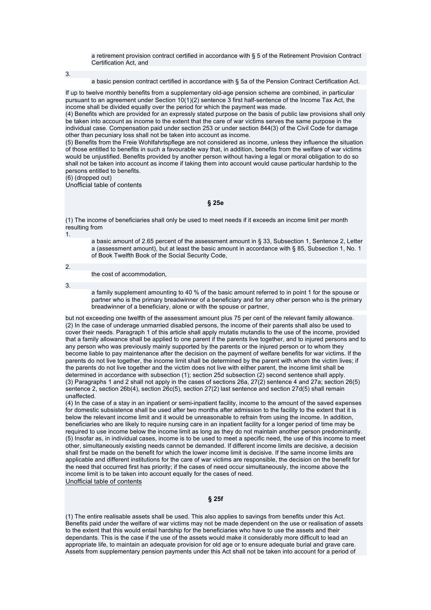a retirement provision contract certified in accordance with § 5 of the Retirement Provision Contract Certification Act, and

3.

a basic pension contract certified in accordance with § 5a of the Pension Contract Certification Act.

If up to twelve monthly benefits from a supplementary old-age pension scheme are combined, in particular pursuant to an agreement under Section 10(1)(2) sentence 3 first half-sentence of the Income Tax Act, the income shall be divided equally over the period for which the payment was made.

(4) Benefits which are provided for an expressly stated purpose on the basis of public law provisions shall only be taken into account as income to the extent that the care of war victims serves the same purpose in the individual case. Compensation paid under section 253 or under section 844(3) of the Civil Code for damage other than pecuniary loss shall not be taken into account as income.

(5) Benefits from the Freie Wohlfahrtspflege are not considered as income, unless they influence the situation of those entitled to benefits in such a favourable way that, in addition, benefits from the welfare of war victims would be unjustified. Benefits provided by another person without having a legal or moral obligation to do so shall not be taken into account as income if taking them into account would cause particular hardship to the persons entitled to benefits.

(6) (dropped out)

Unofficial table of contents

#### **§ 25e**

(1) The income of beneficiaries shall only be used to meet needs if it exceeds an income limit per month resulting from 1.

a basic amount of 2.65 percent of the assessment amount in § 33, Subsection 1, Sentence 2, Letter a (assessment amount), but at least the basic amount in accordance with § 85, Subsection 1, No. 1 of Book Twelfth Book of the Social Security Code,

2.

the cost of accommodation,

3.

a family supplement amounting to 40 % of the basic amount referred to in point 1 for the spouse or partner who is the primary breadwinner of a beneficiary and for any other person who is the primary breadwinner of a beneficiary, alone or with the spouse or partner,

but not exceeding one twelfth of the assessment amount plus 75 per cent of the relevant family allowance. (2) In the case of underage unmarried disabled persons, the income of their parents shall also be used to cover their needs. Paragraph 1 of this article shall apply mutatis mutandis to the use of the income, provided that a family allowance shall be applied to one parent if the parents live together, and to injured persons and to any person who was previously mainly supported by the parents or the injured person or to whom they become liable to pay maintenance after the decision on the payment of welfare benefits for war victims. If the parents do not live together, the income limit shall be determined by the parent with whom the victim lives; if the parents do not live together and the victim does not live with either parent, the income limit shall be determined in accordance with subsection (1); section 25d subsection (2) second sentence shall apply. (3) Paragraphs 1 and 2 shall not apply in the cases of sections 26a, 27(2) sentence 4 and 27a; section 26(5) sentence 2, section 26b(4), section 26c(5), section 27(2) last sentence and section 27d(5) shall remain unaffected.

(4) In the case of a stay in an inpatient or semi-inpatient facility, income to the amount of the saved expenses for domestic subsistence shall be used after two months after admission to the facility to the extent that it is below the relevant income limit and it would be unreasonable to refrain from using the income. In addition, beneficiaries who are likely to require nursing care in an inpatient facility for a longer period of time may be required to use income below the income limit as long as they do not maintain another person predominantly. (5) Insofar as, in individual cases, income is to be used to meet a specific need, the use of this income to meet other, simultaneously existing needs cannot be demanded. If different income limits are decisive, a decision shall first be made on the benefit for which the lower income limit is decisive. If the same income limits are applicable and different institutions for the care of war victims are responsible, the decision on the benefit for the need that occurred first has priority; if the cases of need occur simultaneously, the income above the income limit is to be taken into account equally for the cases of need. Unofficial table of contents

# **§ 25f**

(1) The entire realisable assets shall be used. This also applies to savings from benefits under this Act. Benefits paid under the welfare of war victims may not be made dependent on the use or realisation of assets to the extent that this would entail hardship for the beneficiaries who have to use the assets and their dependants. This is the case if the use of the assets would make it considerably more difficult to lead an appropriate life, to maintain an adequate provision for old age or to ensure adequate burial and grave care. Assets from supplementary pension payments under this Act shall not be taken into account for a period of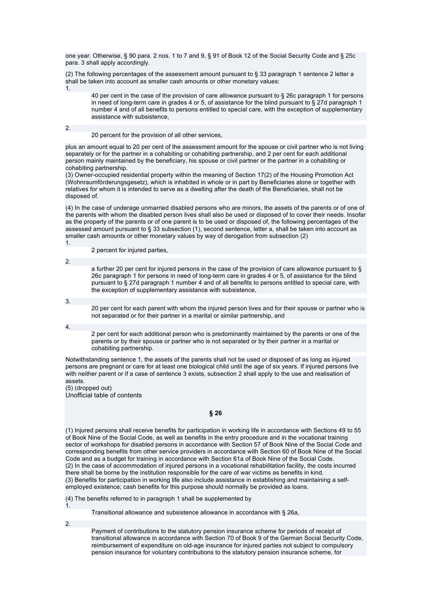one year. Otherwise, § 90 para. 2 nos. 1 to 7 and 9, § 91 of Book 12 of the Social Security Code and § 25c para. 3 shall apply accordingly.

(2) The following percentages of the assessment amount pursuant to § 33 paragraph 1 sentence 2 letter a shall be taken into account as smaller cash amounts or other monetary values: 1.

40 per cent in the case of the provision of care allowance pursuant to § 26c paragraph 1 for persons in need of long-term care in grades 4 or 5, of assistance for the blind pursuant to § 27d paragraph 1 number 4 and of all benefits to persons entitled to special care, with the exception of supplementary assistance with subsistence,

2.

20 percent for the provision of all other services,

plus an amount equal to 20 per cent of the assessment amount for the spouse or civil partner who is not living separately or for the partner in a cohabiting or cohabiting partnership, and 2 per cent for each additional person mainly maintained by the beneficiary, his spouse or civil partner or the partner in a cohabiting or cohabiting partnership.

(3) Owner-occupied residential property within the meaning of Section 17(2) of the Housing Promotion Act (Wohnraumförderungsgesetz), which is inhabited in whole or in part by Beneficiaries alone or together with relatives for whom it is intended to serve as a dwelling after the death of the Beneficiaries, shall not be disposed of.

(4) In the case of underage unmarried disabled persons who are minors, the assets of the parents or of one of the parents with whom the disabled person lives shall also be used or disposed of to cover their needs. Insofar as the property of the parents or of one parent is to be used or disposed of, the following percentages of the assessed amount pursuant to § 33 subsection (1), second sentence, letter a, shall be taken into account as smaller cash amounts or other monetary values by way of derogation from subsection (2) 1.

2 percent for injured parties,

2.

a further 20 per cent for injured persons in the case of the provision of care allowance pursuant to § 26c paragraph 1 for persons in need of long-term care in grades 4 or 5, of assistance for the blind pursuant to § 27d paragraph 1 number 4 and of all benefits to persons entitled to special care, with the exception of supplementary assistance with subsistence,

3.

20 per cent for each parent with whom the injured person lives and for their spouse or partner who is not separated or for their partner in a marital or similar partnership, and

4.

2 per cent for each additional person who is predominantly maintained by the parents or one of the parents or by their spouse or partner who is not separated or by their partner in a marital or cohabiting partnership.

Notwithstanding sentence 1, the assets of the parents shall not be used or disposed of as long as injured persons are pregnant or care for at least one biological child until the age of six years. If injured persons live with neither parent or if a case of sentence 3 exists, subsection 2 shall apply to the use and realisation of assets.

(5) (dropped out) Unofficial table of contents

**§ 26** 

(1) Injured persons shall receive benefits for participation in working life in accordance with Sections 49 to 55 of Book Nine of the Social Code, as well as benefits in the entry procedure and in the vocational training sector of workshops for disabled persons in accordance with Section 57 of Book Nine of the Social Code and corresponding benefits from other service providers in accordance with Section 60 of Book Nine of the Social Code and as a budget for training in accordance with Section 61a of Book Nine of the Social Code. (2) In the case of accommodation of injured persons in a vocational rehabilitation facility, the costs incurred there shall be borne by the institution responsible for the care of war victims as benefits in kind. (3) Benefits for participation in working life also include assistance in establishing and maintaining a selfemployed existence; cash benefits for this purpose should normally be provided as loans.

(4) The benefits referred to in paragraph 1 shall be supplemented by

Transitional allowance and subsistence allowance in accordance with § 26a,

2.

1.

Payment of contributions to the statutory pension insurance scheme for periods of receipt of transitional allowance in accordance with Section 70 of Book 9 of the German Social Security Code, reimbursement of expenditure on old-age insurance for injured parties not subject to compulsory pension insurance for voluntary contributions to the statutory pension insurance scheme, for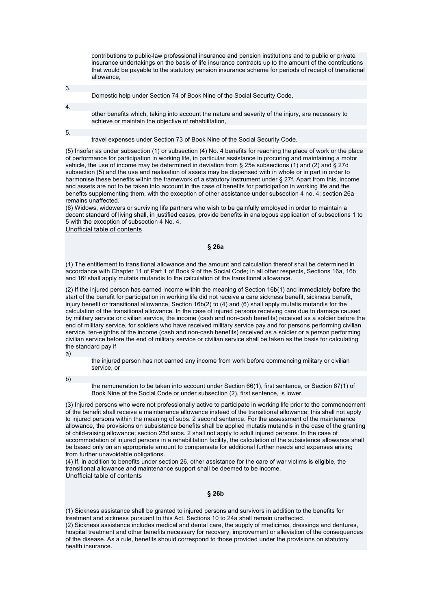contributions to public-law professional insurance and pension institutions and to public or private insurance undertakings on the basis of life insurance contracts up to the amount of the contributions that would be payable to the statutory pension insurance scheme for periods of receipt of transitional allowance,

3.

Domestic help under Section 74 of Book Nine of the Social Security Code,

4.

5.

other benefits which, taking into account the nature and severity of the injury, are necessary to

achieve or maintain the objective of rehabilitation,

travel expenses under Section 73 of Book Nine of the Social Security Code.

(5) Insofar as under subsection (1) or subsection (4) No. 4 benefits for reaching the place of work or the place of performance for participation in working life, in particular assistance in procuring and maintaining a motor vehicle, the use of income may be determined in deviation from § 25e subsections (1) and (2) and § 27d subsection (5) and the use and realisation of assets may be dispensed with in whole or in part in order to harmonise these benefits within the framework of a statutory instrument under § 27f. Apart from this, income and assets are not to be taken into account in the case of benefits for participation in working life and the benefits supplementing them, with the exception of other assistance under subsection 4 no. 4; section 26a remains unaffected.

(6) Widows, widowers or surviving life partners who wish to be gainfully employed in order to maintain a decent standard of living shall, in justified cases, provide benefits in analogous application of subsections 1 to 5 with the exception of subsection 4 No. 4.

Unofficial table of contents

#### **§ 26a**

(1) The entitlement to transitional allowance and the amount and calculation thereof shall be determined in accordance with Chapter 11 of Part 1 of Book 9 of the Social Code; in all other respects, Sections 16a, 16b and 16f shall apply mutatis mutandis to the calculation of the transitional allowance.

(2) If the injured person has earned income within the meaning of Section 16b(1) and immediately before the start of the benefit for participation in working life did not receive a care sickness benefit, sickness benefit, injury benefit or transitional allowance, Section 16b(2) to (4) and (6) shall apply mutatis mutandis for the calculation of the transitional allowance. In the case of injured persons receiving care due to damage caused by military service or civilian service, the income (cash and non-cash benefits) received as a soldier before the end of military service, for soldiers who have received military service pay and for persons performing civilian service, ten-eighths of the income (cash and non-cash benefits) received as a soldier or a person performing civilian service before the end of military service or civilian service shall be taken as the basis for calculating the standard pay if

a)

the injured person has not earned any income from work before commencing military or civilian service, or

b)

the remuneration to be taken into account under Section 66(1), first sentence, or Section 67(1) of Book Nine of the Social Code or under subsection (2), first sentence, is lower.

(3) Injured persons who were not professionally active to participate in working life prior to the commencement of the benefit shall receive a maintenance allowance instead of the transitional allowance; this shall not apply to injured persons within the meaning of subs. 2 second sentence. For the assessment of the maintenance allowance, the provisions on subsistence benefits shall be applied mutatis mutandis in the case of the granting of child-raising allowance; section 25d subs. 2 shall not apply to adult injured persons. In the case of accommodation of injured persons in a rehabilitation facility, the calculation of the subsistence allowance shall be based only on an appropriate amount to compensate for additional further needs and expenses arising from further unavoidable obligations.

(4) If, in addition to benefits under section 26, other assistance for the care of war victims is eligible, the transitional allowance and maintenance support shall be deemed to be income. Unofficial table of contents

#### **§ 26b**

(1) Sickness assistance shall be granted to injured persons and survivors in addition to the benefits for treatment and sickness pursuant to this Act. Sections 10 to 24a shall remain unaffected.

(2) Sickness assistance includes medical and dental care, the supply of medicines, dressings and dentures, hospital treatment and other benefits necessary for recovery, improvement or alleviation of the consequences of the disease. As a rule, benefits should correspond to those provided under the provisions on statutory health insurance.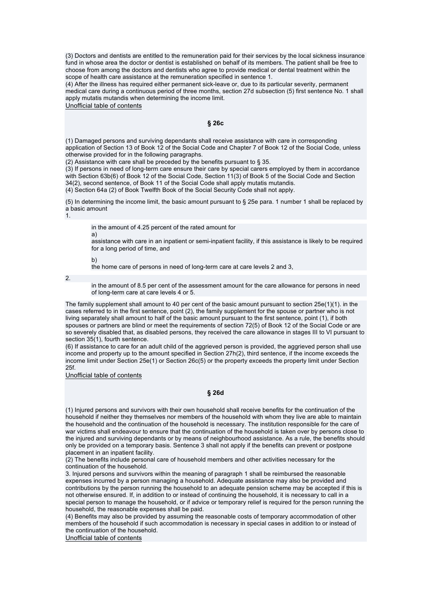(3) Doctors and dentists are entitled to the remuneration paid for their services by the local sickness insurance fund in whose area the doctor or dentist is established on behalf of its members. The patient shall be free to choose from among the doctors and dentists who agree to provide medical or dental treatment within the scope of health care assistance at the remuneration specified in sentence 1.

(4) After the illness has required either permanent sick-leave or, due to its particular severity, permanent medical care during a continuous period of three months, section 27d subsection (5) first sentence No. 1 shall apply mutatis mutandis when determining the income limit.

Unofficial table of contents

### **§ 26c**

(1) Damaged persons and surviving dependants shall receive assistance with care in corresponding application of Section 13 of Book 12 of the Social Code and Chapter 7 of Book 12 of the Social Code, unless otherwise provided for in the following paragraphs.

(2) Assistance with care shall be preceded by the benefits pursuant to § 35.

(3) If persons in need of long-term care ensure their care by special carers employed by them in accordance with Section 63b(6) of Book 12 of the Social Code, Section 11(3) of Book 5 of the Social Code and Section 34(2), second sentence, of Book 11 of the Social Code shall apply mutatis mutandis.

(4) Section 64a (2) of Book Twelfth Book of the Social Security Code shall not apply.

(5) In determining the income limit, the basic amount pursuant to § 25e para. 1 number 1 shall be replaced by a basic amount

1.

in the amount of 4.25 percent of the rated amount for

a)

assistance with care in an inpatient or semi-inpatient facility, if this assistance is likely to be required for a long period of time, and

b)

the home care of persons in need of long-term care at care levels 2 and 3,

2.

in the amount of 8.5 per cent of the assessment amount for the care allowance for persons in need of long-term care at care levels 4 or 5.

The family supplement shall amount to 40 per cent of the basic amount pursuant to section  $25e(1)(1)$ . in the cases referred to in the first sentence, point (2), the family supplement for the spouse or partner who is not living separately shall amount to half of the basic amount pursuant to the first sentence, point (1), if both spouses or partners are blind or meet the requirements of section 72(5) of Book 12 of the Social Code or are so severely disabled that, as disabled persons, they received the care allowance in stages III to VI pursuant to section 35(1), fourth sentence.

(6) If assistance to care for an adult child of the aggrieved person is provided, the aggrieved person shall use income and property up to the amount specified in Section 27h(2), third sentence, if the income exceeds the income limit under Section 25e(1) or Section 26c(5) or the property exceeds the property limit under Section 25f.

Unofficial table of contents

### **§ 26d**

(1) Injured persons and survivors with their own household shall receive benefits for the continuation of the household if neither they themselves nor members of the household with whom they live are able to maintain the household and the continuation of the household is necessary. The institution responsible for the care of war victims shall endeavour to ensure that the continuation of the household is taken over by persons close to the injured and surviving dependants or by means of neighbourhood assistance. As a rule, the benefits should only be provided on a temporary basis. Sentence 3 shall not apply if the benefits can prevent or postpone placement in an inpatient facility.

(2) The benefits include personal care of household members and other activities necessary for the continuation of the household.

3. Injured persons and survivors within the meaning of paragraph 1 shall be reimbursed the reasonable expenses incurred by a person managing a household. Adequate assistance may also be provided and contributions by the person running the household to an adequate pension scheme may be accepted if this is not otherwise ensured. If, in addition to or instead of continuing the household, it is necessary to call in a special person to manage the household, or if advice or temporary relief is required for the person running the household, the reasonable expenses shall be paid.

(4) Benefits may also be provided by assuming the reasonable costs of temporary accommodation of other members of the household if such accommodation is necessary in special cases in addition to or instead of the continuation of the household.

Unofficial table of contents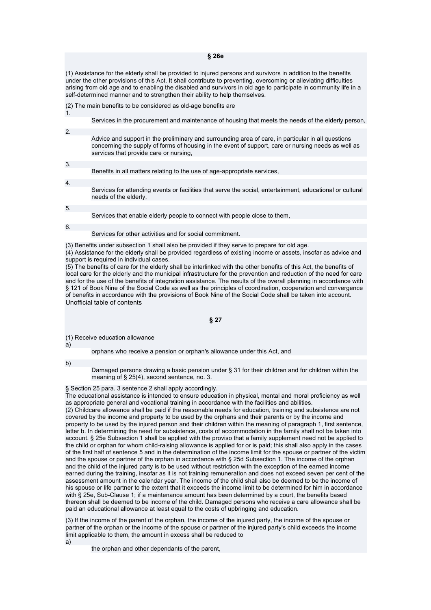(1) Assistance for the elderly shall be provided to injured persons and survivors in addition to the benefits under the other provisions of this Act. It shall contribute to preventing, overcoming or alleviating difficulties arising from old age and to enabling the disabled and survivors in old age to participate in community life in a self-determined manner and to strengthen their ability to help themselves.

| (2) The main benefits to be considered as old-age benefits are |
|----------------------------------------------------------------|
|----------------------------------------------------------------|

| $\mathbf{1}$ .   |                                                                                                                                                                                                                                                     |
|------------------|-----------------------------------------------------------------------------------------------------------------------------------------------------------------------------------------------------------------------------------------------------|
|                  | Services in the procurement and maintenance of housing that meets the needs of the elderly person,                                                                                                                                                  |
| 2.               |                                                                                                                                                                                                                                                     |
|                  | Advice and support in the preliminary and surrounding area of care, in particular in all questions<br>concerning the supply of forms of housing in the event of support, care or nursing needs as well as<br>services that provide care or nursing, |
|                  |                                                                                                                                                                                                                                                     |
| 3.               |                                                                                                                                                                                                                                                     |
|                  | Benefits in all matters relating to the use of age-appropriate services,                                                                                                                                                                            |
|                  |                                                                                                                                                                                                                                                     |
| $\overline{4}$ . |                                                                                                                                                                                                                                                     |
|                  | Services for attending events or facilities that serve the social, entertainment, educational or cultural<br>needs of the elderly.                                                                                                                  |
|                  |                                                                                                                                                                                                                                                     |
| 5.               |                                                                                                                                                                                                                                                     |
|                  | Services that enable elderly people to connect with people close to them.                                                                                                                                                                           |
|                  |                                                                                                                                                                                                                                                     |
| 6.               |                                                                                                                                                                                                                                                     |

Services for other activities and for social commitment.

(3) Benefits under subsection 1 shall also be provided if they serve to prepare for old age.

(4) Assistance for the elderly shall be provided regardless of existing income or assets, insofar as advice and support is required in individual cases.

(5) The benefits of care for the elderly shall be interlinked with the other benefits of this Act, the benefits of local care for the elderly and the municipal infrastructure for the prevention and reduction of the need for care and for the use of the benefits of integration assistance. The results of the overall planning in accordance with § 121 of Book Nine of the Social Code as well as the principles of coordination, cooperation and convergence of benefits in accordance with the provisions of Book Nine of the Social Code shall be taken into account. Unofficial table of contents

### **§ 27**

(1) Receive education allowance

orphans who receive a pension or orphan's allowance under this Act, and

b)

a)

Damaged persons drawing a basic pension under § 31 for their children and for children within the meaning of § 25(4), second sentence, no. 3.

§ Section 25 para. 3 sentence 2 shall apply accordingly.

The educational assistance is intended to ensure education in physical, mental and moral proficiency as well as appropriate general and vocational training in accordance with the facilities and abilities.

(2) Childcare allowance shall be paid if the reasonable needs for education, training and subsistence are not covered by the income and property to be used by the orphans and their parents or by the income and property to be used by the injured person and their children within the meaning of paragraph 1, first sentence, letter b. In determining the need for subsistence, costs of accommodation in the family shall not be taken into account. § 25e Subsection 1 shall be applied with the proviso that a family supplement need not be applied to the child or orphan for whom child-raising allowance is applied for or is paid; this shall also apply in the cases of the first half of sentence 5 and in the determination of the income limit for the spouse or partner of the victim and the spouse or partner of the orphan in accordance with § 25d Subsection 1. The income of the orphan and the child of the injured party is to be used without restriction with the exception of the earned income earned during the training, insofar as it is not training remuneration and does not exceed seven per cent of the assessment amount in the calendar year. The income of the child shall also be deemed to be the income of his spouse or life partner to the extent that it exceeds the income limit to be determined for him in accordance with § 25e, Sub-Clause 1; if a maintenance amount has been determined by a court, the benefits based thereon shall be deemed to be income of the child. Damaged persons who receive a care allowance shall be paid an educational allowance at least equal to the costs of upbringing and education.

(3) If the income of the parent of the orphan, the income of the injured party, the income of the spouse or partner of the orphan or the income of the spouse or partner of the injured party's child exceeds the income limit applicable to them, the amount in excess shall be reduced to a)

the orphan and other dependants of the parent,

#### **§ 26e**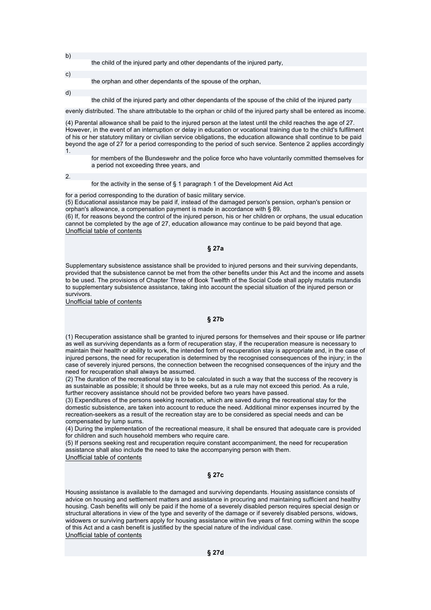b)

the child of the injured party and other dependants of the injured party,

the orphan and other dependants of the spouse of the orphan,

d)

c)

the child of the injured party and other dependants of the spouse of the child of the injured party

evenly distributed. The share attributable to the orphan or child of the injured party shall be entered as income.

(4) Parental allowance shall be paid to the injured person at the latest until the child reaches the age of 27. However, in the event of an interruption or delay in education or vocational training due to the child's fulfilment of his or her statutory military or civilian service obligations, the education allowance shall continue to be paid beyond the age of 27 for a period corresponding to the period of such service. Sentence 2 applies accordingly 1.

for members of the Bundeswehr and the police force who have voluntarily committed themselves for a period not exceeding three years, and

2.

#### for the activity in the sense of § 1 paragraph 1 of the Development Aid Act

for a period corresponding to the duration of basic military service.

(5) Educational assistance may be paid if, instead of the damaged person's pension, orphan's pension or orphan's allowance, a compensation payment is made in accordance with § 89.

(6) If, for reasons beyond the control of the injured person, his or her children or orphans, the usual education cannot be completed by the age of 27, education allowance may continue to be paid beyond that age. Unofficial table of contents

### **§ 27a**

Supplementary subsistence assistance shall be provided to injured persons and their surviving dependants, provided that the subsistence cannot be met from the other benefits under this Act and the income and assets to be used. The provisions of Chapter Three of Book Twelfth of the Social Code shall apply mutatis mutandis to supplementary subsistence assistance, taking into account the special situation of the injured person or survivors.

Unofficial table of contents

#### **§ 27b**

(1) Recuperation assistance shall be granted to injured persons for themselves and their spouse or life partner as well as surviving dependants as a form of recuperation stay, if the recuperation measure is necessary to maintain their health or ability to work, the intended form of recuperation stay is appropriate and, in the case of injured persons, the need for recuperation is determined by the recognised consequences of the injury; in the case of severely injured persons, the connection between the recognised consequences of the injury and the need for recuperation shall always be assumed.

(2) The duration of the recreational stay is to be calculated in such a way that the success of the recovery is as sustainable as possible; it should be three weeks, but as a rule may not exceed this period. As a rule, further recovery assistance should not be provided before two years have passed.

(3) Expenditures of the persons seeking recreation, which are saved during the recreational stay for the domestic subsistence, are taken into account to reduce the need. Additional minor expenses incurred by the recreation-seekers as a result of the recreation stay are to be considered as special needs and can be compensated by lump sums.

(4) During the implementation of the recreational measure, it shall be ensured that adequate care is provided for children and such household members who require care.

(5) If persons seeking rest and recuperation require constant accompaniment, the need for recuperation assistance shall also include the need to take the accompanying person with them.

Unofficial table of contents

### **§ 27c**

Housing assistance is available to the damaged and surviving dependants. Housing assistance consists of advice on housing and settlement matters and assistance in procuring and maintaining sufficient and healthy housing. Cash benefits will only be paid if the home of a severely disabled person requires special design or structural alterations in view of the type and severity of the damage or if severely disabled persons, widows, widowers or surviving partners apply for housing assistance within five years of first coming within the scope of this Act and a cash benefit is justified by the special nature of the individual case. Unofficial table of contents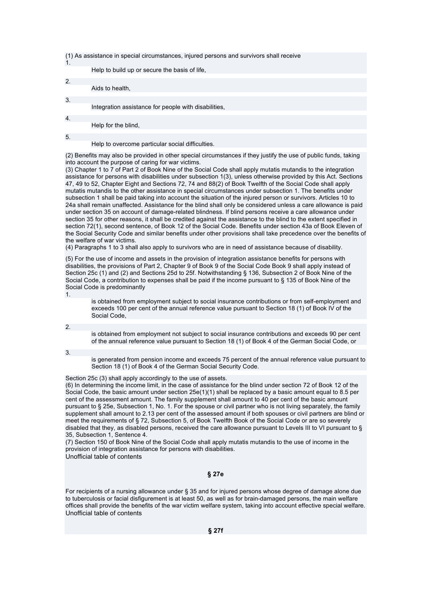(1) As assistance in special circumstances, injured persons and survivors shall receive

| $\mathbf{1}$ .   |                                                      |
|------------------|------------------------------------------------------|
|                  | Help to build up or secure the basis of life,        |
|                  |                                                      |
| 2.               |                                                      |
|                  | Aids to health,                                      |
|                  |                                                      |
| 3.               |                                                      |
|                  | Integration assistance for people with disabilities, |
|                  |                                                      |
| $\overline{4}$ . |                                                      |
|                  | Help for the blind.                                  |
|                  |                                                      |
| 5.               |                                                      |
|                  | Help to overcome particular social difficulties.     |

(2) Benefits may also be provided in other special circumstances if they justify the use of public funds, taking into account the purpose of caring for war victims.

(3) Chapter 1 to 7 of Part 2 of Book Nine of the Social Code shall apply mutatis mutandis to the integration assistance for persons with disabilities under subsection 1(3), unless otherwise provided by this Act. Sections 47, 49 to 52, Chapter Eight and Sections 72, 74 and 88(2) of Book Twelfth of the Social Code shall apply mutatis mutandis to the other assistance in special circumstances under subsection 1. The benefits under subsection 1 shall be paid taking into account the situation of the injured person or survivors. Articles 10 to 24a shall remain unaffected. Assistance for the blind shall only be considered unless a care allowance is paid under section 35 on account of damage-related blindness. If blind persons receive a care allowance under section 35 for other reasons, it shall be credited against the assistance to the blind to the extent specified in section 72(1), second sentence, of Book 12 of the Social Code. Benefits under section 43a of Book Eleven of the Social Security Code and similar benefits under other provisions shall take precedence over the benefits of the welfare of war victims.

(4) Paragraphs 1 to 3 shall also apply to survivors who are in need of assistance because of disability.

(5) For the use of income and assets in the provision of integration assistance benefits for persons with disabilities, the provisions of Part 2, Chapter 9 of Book 9 of the Social Code Book 9 shall apply instead of Section 25c (1) and (2) and Sections 25d to 25f. Notwithstanding § 136, Subsection 2 of Book Nine of the Social Code, a contribution to expenses shall be paid if the income pursuant to § 135 of Book Nine of the Social Code is predominantly

is obtained from employment subject to social insurance contributions or from self-employment and exceeds 100 per cent of the annual reference value pursuant to Section 18 (1) of Book IV of the Social Code,

2.

1.

is obtained from employment not subject to social insurance contributions and exceeds 90 per cent of the annual reference value pursuant to Section 18 (1) of Book 4 of the German Social Code, or

3.

is generated from pension income and exceeds 75 percent of the annual reference value pursuant to Section 18 (1) of Book 4 of the German Social Security Code.

Section 25c (3) shall apply accordingly to the use of assets.

(6) In determining the income limit, in the case of assistance for the blind under section 72 of Book 12 of the Social Code, the basic amount under section  $25e(1)(1)$  shall be replaced by a basic amount equal to 8.5 per cent of the assessment amount. The family supplement shall amount to 40 per cent of the basic amount pursuant to § 25e, Subsection 1, No. 1. For the spouse or civil partner who is not living separately, the family supplement shall amount to 2.13 per cent of the assessed amount if both spouses or civil partners are blind or meet the requirements of § 72, Subsection 5, of Book Twelfth Book of the Social Code or are so severely disabled that they, as disabled persons, received the care allowance pursuant to Levels III to VI pursuant to § 35, Subsection 1, Sentence 4.

(7) Section 150 of Book Nine of the Social Code shall apply mutatis mutandis to the use of income in the provision of integration assistance for persons with disabilities.

Unofficial table of contents

## **§ 27e**

For recipients of a nursing allowance under § 35 and for injured persons whose degree of damage alone due to tuberculosis or facial disfigurement is at least 50, as well as for brain-damaged persons, the main welfare offices shall provide the benefits of the war victim welfare system, taking into account effective special welfare. Unofficial table of contents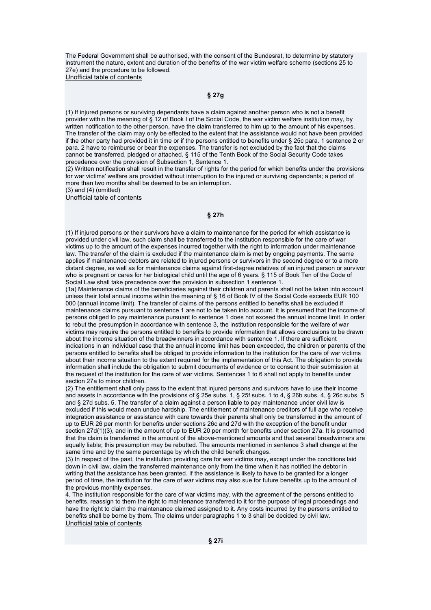The Federal Government shall be authorised, with the consent of the Bundesrat, to determine by statutory instrument the nature, extent and duration of the benefits of the war victim welfare scheme (sections 25 to 27e) and the procedure to be followed.

Unofficial table of contents

## **§ 27g**

(1) If injured persons or surviving dependants have a claim against another person who is not a benefit provider within the meaning of § 12 of Book I of the Social Code, the war victim welfare institution may, by written notification to the other person, have the claim transferred to him up to the amount of his expenses. The transfer of the claim may only be effected to the extent that the assistance would not have been provided if the other party had provided it in time or if the persons entitled to benefits under § 25c para. 1 sentence 2 or para. 2 have to reimburse or bear the expenses. The transfer is not excluded by the fact that the claims cannot be transferred, pledged or attached. § 115 of the Tenth Book of the Social Security Code takes precedence over the provision of Subsection 1, Sentence 1.

(2) Written notification shall result in the transfer of rights for the period for which benefits under the provisions for war victims' welfare are provided without interruption to the injured or surviving dependants; a period of more than two months shall be deemed to be an interruption.

 $(3)$  and  $(4)$  (omitted)

Unofficial table of contents

### **§ 27h**

(1) If injured persons or their survivors have a claim to maintenance for the period for which assistance is provided under civil law, such claim shall be transferred to the institution responsible for the care of war victims up to the amount of the expenses incurred together with the right to information under maintenance law. The transfer of the claim is excluded if the maintenance claim is met by ongoing payments. The same applies if maintenance debtors are related to injured persons or survivors in the second degree or to a more distant degree, as well as for maintenance claims against first-degree relatives of an injured person or survivor who is pregnant or cares for her biological child until the age of 6 years. § 115 of Book Ten of the Code of Social Law shall take precedence over the provision in subsection 1 sentence 1.

(1a) Maintenance claims of the beneficiaries against their children and parents shall not be taken into account unless their total annual income within the meaning of § 16 of Book IV of the Social Code exceeds EUR 100 000 (annual income limit). The transfer of claims of the persons entitled to benefits shall be excluded if maintenance claims pursuant to sentence 1 are not to be taken into account. It is presumed that the income of persons obliged to pay maintenance pursuant to sentence 1 does not exceed the annual income limit. In order to rebut the presumption in accordance with sentence 3, the institution responsible for the welfare of war victims may require the persons entitled to benefits to provide information that allows conclusions to be drawn about the income situation of the breadwinners in accordance with sentence 1. If there are sufficient indications in an individual case that the annual income limit has been exceeded, the children or parents of the persons entitled to benefits shall be obliged to provide information to the institution for the care of war victims about their income situation to the extent required for the implementation of this Act. The obligation to provide information shall include the obligation to submit documents of evidence or to consent to their submission at the request of the institution for the care of war victims. Sentences 1 to 6 shall not apply to benefits under section 27a to minor children.

(2) The entitlement shall only pass to the extent that injured persons and survivors have to use their income and assets in accordance with the provisions of § 25e subs. 1, § 25f subs. 1 to 4, § 26b subs. 4, § 26c subs. 5 and § 27d subs. 5. The transfer of a claim against a person liable to pay maintenance under civil law is excluded if this would mean undue hardship. The entitlement of maintenance creditors of full age who receive integration assistance or assistance with care towards their parents shall only be transferred in the amount of up to EUR 26 per month for benefits under sections 26c and 27d with the exception of the benefit under section 27d(1)(3), and in the amount of up to EUR 20 per month for benefits under section 27a. It is presumed that the claim is transferred in the amount of the above-mentioned amounts and that several breadwinners are equally liable; this presumption may be rebutted. The amounts mentioned in sentence 3 shall change at the same time and by the same percentage by which the child benefit changes.

(3) In respect of the past, the institution providing care for war victims may, except under the conditions laid down in civil law, claim the transferred maintenance only from the time when it has notified the debtor in writing that the assistance has been granted. If the assistance is likely to have to be granted for a longer period of time, the institution for the care of war victims may also sue for future benefits up to the amount of the previous monthly expenses.

4. The institution responsible for the care of war victims may, with the agreement of the persons entitled to benefits, reassign to them the right to maintenance transferred to it for the purpose of legal proceedings and have the right to claim the maintenance claimed assigned to it. Any costs incurred by the persons entitled to benefits shall be borne by them. The claims under paragraphs 1 to 3 shall be decided by civil law. Unofficial table of contents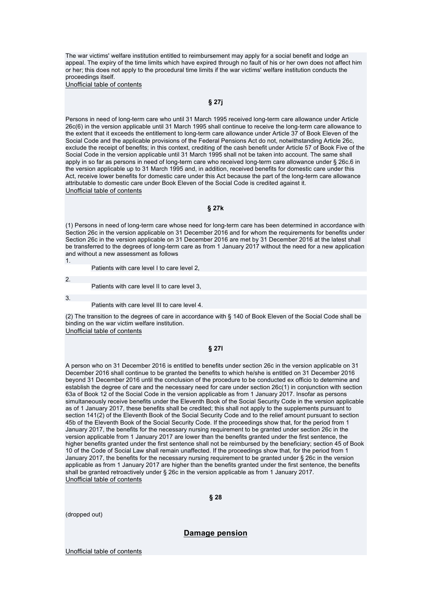The war victims' welfare institution entitled to reimbursement may apply for a social benefit and lodge an appeal. The expiry of the time limits which have expired through no fault of his or her own does not affect him or her; this does not apply to the procedural time limits if the war victims' welfare institution conducts the proceedings itself.

Unofficial table of contents

## **§ 27j**

Persons in need of long-term care who until 31 March 1995 received long-term care allowance under Article 26c(6) in the version applicable until 31 March 1995 shall continue to receive the long-term care allowance to the extent that it exceeds the entitlement to long-term care allowance under Article 37 of Book Eleven of the Social Code and the applicable provisions of the Federal Pensions Act do not, notwithstanding Article 26c, exclude the receipt of benefits; in this context, crediting of the cash benefit under Article 57 of Book Five of the Social Code in the version applicable until 31 March 1995 shall not be taken into account. The same shall apply in so far as persons in need of long-term care who received long-term care allowance under § 26c.6 in the version applicable up to 31 March 1995 and, in addition, received benefits for domestic care under this Act, receive lower benefits for domestic care under this Act because the part of the long-term care allowance attributable to domestic care under Book Eleven of the Social Code is credited against it. Unofficial table of contents

#### **§ 27k**

(1) Persons in need of long-term care whose need for long-term care has been determined in accordance with Section 26c in the version applicable on 31 December 2016 and for whom the requirements for benefits under Section 26c in the version applicable on 31 December 2016 are met by 31 December 2016 at the latest shall be transferred to the degrees of long-term care as from 1 January 2017 without the need for a new application and without a new assessment as follows

1.

Patients with care level I to care level 2,

3.

 $\overline{2}$ 

Patients with care level II to care level 3, Patients with care level III to care level 4.

(2) The transition to the degrees of care in accordance with § 140 of Book Eleven of the Social Code shall be binding on the war victim welfare institution. Unofficial table of contents

#### **§ 27l**

A person who on 31 December 2016 is entitled to benefits under section 26c in the version applicable on 31 December 2016 shall continue to be granted the benefits to which he/she is entitled on 31 December 2016 beyond 31 December 2016 until the conclusion of the procedure to be conducted ex officio to determine and establish the degree of care and the necessary need for care under section 26c(1) in conjunction with section 63a of Book 12 of the Social Code in the version applicable as from 1 January 2017. Insofar as persons simultaneously receive benefits under the Eleventh Book of the Social Security Code in the version applicable as of 1 January 2017, these benefits shall be credited; this shall not apply to the supplements pursuant to section 141(2) of the Eleventh Book of the Social Security Code and to the relief amount pursuant to section 45b of the Eleventh Book of the Social Security Code. If the proceedings show that, for the period from 1 January 2017, the benefits for the necessary nursing requirement to be granted under section 26c in the version applicable from 1 January 2017 are lower than the benefits granted under the first sentence, the higher benefits granted under the first sentence shall not be reimbursed by the beneficiary; section 45 of Book 10 of the Code of Social Law shall remain unaffected. If the proceedings show that, for the period from 1 January 2017, the benefits for the necessary nursing requirement to be granted under § 26c in the version applicable as from 1 January 2017 are higher than the benefits granted under the first sentence, the benefits shall be granted retroactively under § 26c in the version applicable as from 1 January 2017. Unofficial table of contents

**§ 28** 

(dropped out)

**Damage pension**

Unofficial table of contents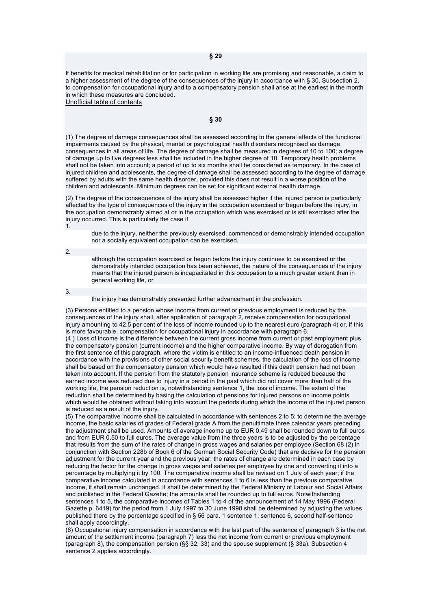If benefits for medical rehabilitation or for participation in working life are promising and reasonable, a claim to a higher assessment of the degree of the consequences of the injury in accordance with § 30, Subsection 2, to compensation for occupational injury and to a compensatory pension shall arise at the earliest in the month in which these measures are concluded.

Unofficial table of contents

#### **§ 30**

(1) The degree of damage consequences shall be assessed according to the general effects of the functional impairments caused by the physical, mental or psychological health disorders recognised as damage consequences in all areas of life. The degree of damage shall be measured in degrees of 10 to 100; a degree of damage up to five degrees less shall be included in the higher degree of 10. Temporary health problems shall not be taken into account; a period of up to six months shall be considered as temporary. In the case of injured children and adolescents, the degree of damage shall be assessed according to the degree of damage suffered by adults with the same health disorder, provided this does not result in a worse position of the children and adolescents. Minimum degrees can be set for significant external health damage.

(2) The degree of the consequences of the injury shall be assessed higher if the injured person is particularly affected by the type of consequences of the injury in the occupation exercised or begun before the injury, in the occupation demonstrably aimed at or in the occupation which was exercised or is still exercised after the injury occurred. This is particularly the case if

1.

due to the injury, neither the previously exercised, commenced or demonstrably intended occupation nor a socially equivalent occupation can be exercised,

2.

although the occupation exercised or begun before the injury continues to be exercised or the demonstrably intended occupation has been achieved, the nature of the consequences of the injury means that the injured person is incapacitated in this occupation to a much greater extent than in general working life, or

3.

the injury has demonstrably prevented further advancement in the profession.

(3) Persons entitled to a pension whose income from current or previous employment is reduced by the consequences of the injury shall, after application of paragraph 2, receive compensation for occupational injury amounting to 42.5 per cent of the loss of income rounded up to the nearest euro (paragraph 4) or, if this is more favourable, compensation for occupational injury in accordance with paragraph 6. (4 ) Loss of income is the difference between the current gross income from current or past employment plus the compensatory pension (current income) and the higher comparative income. By way of derogation from the first sentence of this paragraph, where the victim is entitled to an income-influenced death pension in accordance with the provisions of other social security benefit schemes, the calculation of the loss of income shall be based on the compensatory pension which would have resulted if this death pension had not been taken into account. If the pension from the statutory pension insurance scheme is reduced because the earned income was reduced due to injury in a period in the past which did not cover more than half of the working life, the pension reduction is, notwithstanding sentence 1, the loss of income. The extent of the reduction shall be determined by basing the calculation of pensions for injured persons on income points which would be obtained without taking into account the periods during which the income of the injured person is reduced as a result of the injury.

(5) The comparative income shall be calculated in accordance with sentences 2 to 5; to determine the average income, the basic salaries of grades of Federal grade A from the penultimate three calendar years preceding the adjustment shall be used. Amounts of average income up to EUR 0.49 shall be rounded down to full euros and from EUR 0.50 to full euros. The average value from the three years is to be adjusted by the percentage that results from the sum of the rates of change in gross wages and salaries per employee (Section 68 (2) in conjunction with Section 228b of Book 6 of the German Social Security Code) that are decisive for the pension adjustment for the current year and the previous year; the rates of change are determined in each case by reducing the factor for the change in gross wages and salaries per employee by one and converting it into a percentage by multiplying it by 100. The comparative income shall be revised on 1 July of each year; if the comparative income calculated in accordance with sentences 1 to 6 is less than the previous comparative income, it shall remain unchanged. It shall be determined by the Federal Ministry of Labour and Social Affairs and published in the Federal Gazette; the amounts shall be rounded up to full euros. Notwithstanding sentences 1 to 5, the comparative incomes of Tables 1 to 4 of the announcement of 14 May 1996 (Federal Gazette p. 6419) for the period from 1 July 1997 to 30 June 1998 shall be determined by adjusting the values published there by the percentage specified in § 56 para. 1 sentence 1; sentence 6, second half-sentence shall apply accordingly.

(6) Occupational injury compensation in accordance with the last part of the sentence of paragraph 3 is the net amount of the settlement income (paragraph 7) less the net income from current or previous employment (paragraph 8), the compensation pension (§§ 32, 33) and the spouse supplement (§ 33a). Subsection 4 sentence 2 applies accordingly.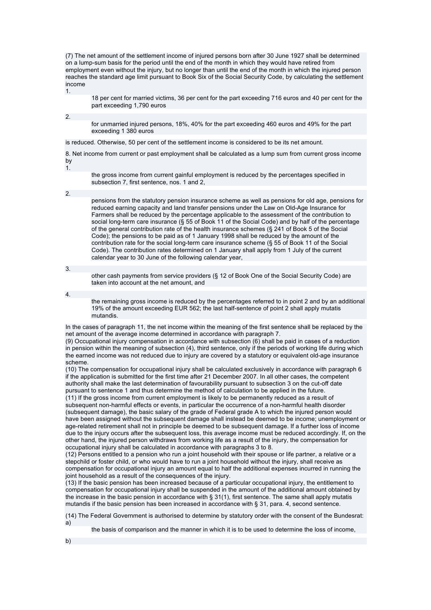(7) The net amount of the settlement income of injured persons born after 30 June 1927 shall be determined on a lump-sum basis for the period until the end of the month in which they would have retired from employment even without the injury, but no longer than until the end of the month in which the injured person reaches the standard age limit pursuant to Book Six of the Social Security Code, by calculating the settlement income 1.

18 per cent for married victims, 36 per cent for the part exceeding 716 euros and 40 per cent for the part exceeding 1,790 euros

2.

for unmarried injured persons, 18%, 40% for the part exceeding 460 euros and 49% for the part exceeding 1 380 euros

is reduced. Otherwise, 50 per cent of the settlement income is considered to be its net amount.

8. Net income from current or past employment shall be calculated as a lump sum from current gross income by

1.

the gross income from current gainful employment is reduced by the percentages specified in subsection 7, first sentence, nos. 1 and 2,

2.

pensions from the statutory pension insurance scheme as well as pensions for old age, pensions for reduced earning capacity and land transfer pensions under the Law on Old-Age Insurance for Farmers shall be reduced by the percentage applicable to the assessment of the contribution to social long-term care insurance (§ 55 of Book 11 of the Social Code) and by half of the percentage of the general contribution rate of the health insurance schemes (§ 241 of Book 5 of the Social Code); the pensions to be paid as of 1 January 1998 shall be reduced by the amount of the contribution rate for the social long-term care insurance scheme (§ 55 of Book 11 of the Social Code). The contribution rates determined on 1 January shall apply from 1 July of the current calendar year to 30 June of the following calendar year,

3.

other cash payments from service providers (§ 12 of Book One of the Social Security Code) are taken into account at the net amount, and

4.

the remaining gross income is reduced by the percentages referred to in point 2 and by an additional 19% of the amount exceeding EUR 562; the last half-sentence of point 2 shall apply mutatis mutandis.

In the cases of paragraph 11, the net income within the meaning of the first sentence shall be replaced by the net amount of the average income determined in accordance with paragraph 7.

(9) Occupational injury compensation in accordance with subsection (6) shall be paid in cases of a reduction in pension within the meaning of subsection (4), third sentence, only if the periods of working life during which the earned income was not reduced due to injury are covered by a statutory or equivalent old-age insurance scheme.

(10) The compensation for occupational injury shall be calculated exclusively in accordance with paragraph 6 if the application is submitted for the first time after 21 December 2007. In all other cases, the competent authority shall make the last determination of favourability pursuant to subsection 3 on the cut-off date pursuant to sentence 1 and thus determine the method of calculation to be applied in the future.

(11) If the gross income from current employment is likely to be permanently reduced as a result of subsequent non-harmful effects or events, in particular the occurrence of a non-harmful health disorder (subsequent damage), the basic salary of the grade of Federal grade A to which the injured person would have been assigned without the subsequent damage shall instead be deemed to be income; unemployment or age-related retirement shall not in principle be deemed to be subsequent damage. If a further loss of income due to the injury occurs after the subsequent loss, this average income must be reduced accordingly. If, on the other hand, the injured person withdraws from working life as a result of the injury, the compensation for occupational injury shall be calculated in accordance with paragraphs 3 to 8.

(12) Persons entitled to a pension who run a joint household with their spouse or life partner, a relative or a stepchild or foster child, or who would have to run a joint household without the injury, shall receive as compensation for occupational injury an amount equal to half the additional expenses incurred in running the joint household as a result of the consequences of the injury.

(13) If the basic pension has been increased because of a particular occupational injury, the entitlement to compensation for occupational injury shall be suspended in the amount of the additional amount obtained by the increase in the basic pension in accordance with § 31(1), first sentence. The same shall apply mutatis mutandis if the basic pension has been increased in accordance with § 31, para. 4, second sentence.

(14) The Federal Government is authorised to determine by statutory order with the consent of the Bundesrat: a)

the basis of comparison and the manner in which it is to be used to determine the loss of income,

b)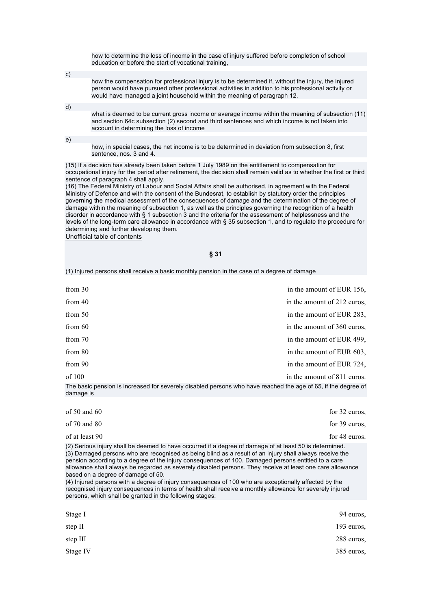how to determine the loss of income in the case of injury suffered before completion of school education or before the start of vocational training,

- how the compensation for professional injury is to be determined if, without the injury, the injured person would have pursued other professional activities in addition to his professional activity or would have managed a joint household within the meaning of paragraph 12,
- what is deemed to be current gross income or average income within the meaning of subsection (11) and section 64c subsection (2) second and third sentences and which income is not taken into account in determining the loss of income

e)

d)

c)

how, in special cases, the net income is to be determined in deviation from subsection 8, first sentence, nos. 3 and 4.

(15) If a decision has already been taken before 1 July 1989 on the entitlement to compensation for occupational injury for the period after retirement, the decision shall remain valid as to whether the first or third sentence of paragraph 4 shall apply.

(16) The Federal Ministry of Labour and Social Affairs shall be authorised, in agreement with the Federal Ministry of Defence and with the consent of the Bundesrat, to establish by statutory order the principles governing the medical assessment of the consequences of damage and the determination of the degree of damage within the meaning of subsection 1, as well as the principles governing the recognition of a health disorder in accordance with § 1 subsection 3 and the criteria for the assessment of helplessness and the levels of the long-term care allowance in accordance with § 35 subsection 1, and to regulate the procedure for determining and further developing them. Unofficial table of contents

**§ 31** 

(1) Injured persons shall receive a basic monthly pension in the case of a degree of damage

| from $30$ | in the amount of EUR 156,                                                                                    |
|-----------|--------------------------------------------------------------------------------------------------------------|
| from $40$ | in the amount of 212 euros,                                                                                  |
| from $50$ | in the amount of EUR 283,                                                                                    |
| from $60$ | in the amount of 360 euros,                                                                                  |
| from $70$ | in the amount of EUR 499,                                                                                    |
| from 80   | in the amount of EUR 603,                                                                                    |
| from 90   | in the amount of EUR 724,                                                                                    |
| of $100$  | in the amount of 811 euros.                                                                                  |
|           | The basic pension is increased for severely disabled persons who have reached the age of 65 if the degree of |

The basic pension is increased for severely disabled persons who have reached the age of 65, if the degree of damage is

| of $50$ and $60$                                                                                                                                                                                                                                                                                                                                                                                                                                                                                                                                                                                                                                                                                                                                              | for 32 euros. |
|---------------------------------------------------------------------------------------------------------------------------------------------------------------------------------------------------------------------------------------------------------------------------------------------------------------------------------------------------------------------------------------------------------------------------------------------------------------------------------------------------------------------------------------------------------------------------------------------------------------------------------------------------------------------------------------------------------------------------------------------------------------|---------------|
| of $70$ and $80$                                                                                                                                                                                                                                                                                                                                                                                                                                                                                                                                                                                                                                                                                                                                              | for 39 euros, |
| of at least 90                                                                                                                                                                                                                                                                                                                                                                                                                                                                                                                                                                                                                                                                                                                                                | for 48 euros. |
| (2) Serious injury shall be deemed to have occurred if a degree of damage of at least 50 is determined.<br>(3) Damaged persons who are recognised as being blind as a result of an injury shall always receive the<br>pension according to a degree of the injury consequences of 100. Damaged persons entitled to a care<br>allowance shall always be regarded as severely disabled persons. They receive at least one care allowance<br>based on a degree of damage of 50.<br>(4) Injured persons with a degree of injury consequences of 100 who are exceptionally affected by the<br>recognised injury consequences in terms of health shall receive a monthly allowance for severely injured<br>persons, which shall be granted in the following stages: |               |
| Stage I                                                                                                                                                                                                                                                                                                                                                                                                                                                                                                                                                                                                                                                                                                                                                       | 94 euros.     |
|                                                                                                                                                                                                                                                                                                                                                                                                                                                                                                                                                                                                                                                                                                                                                               |               |
| step II                                                                                                                                                                                                                                                                                                                                                                                                                                                                                                                                                                                                                                                                                                                                                       | $193$ euros.  |
| step III                                                                                                                                                                                                                                                                                                                                                                                                                                                                                                                                                                                                                                                                                                                                                      | 288 euros,    |

Stage IV 385 euros, and the state of the state of the state of the state of the state of the state of the state of the state of the state of the state of the state of the state of the state of the state of the state of the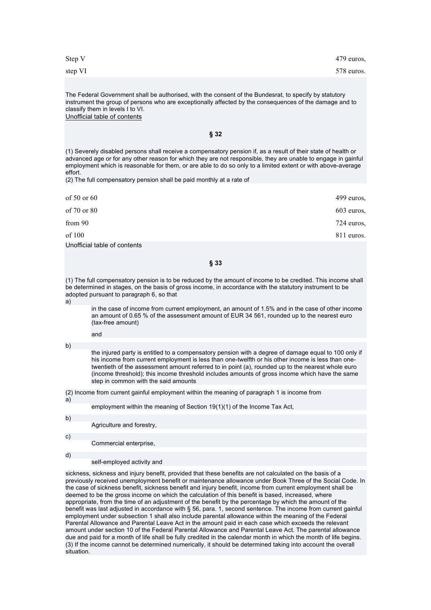step VI 578 euros.

The Federal Government shall be authorised, with the consent of the Bundesrat, to specify by statutory instrument the group of persons who are exceptionally affected by the consequences of the damage and to classify them in levels I to VI. Unofficial table of contents

**§ 32** 

(1) Severely disabled persons shall receive a compensatory pension if, as a result of their state of health or advanced age or for any other reason for which they are not responsible, they are unable to engage in gainful employment which is reasonable for them, or are able to do so only to a limited extent or with above-average effort.

(2) The full compensatory pension shall be paid monthly at a rate of

| of $50$ or $60$              | 499 euros, |
|------------------------------|------------|
| of 70 or 80                  | 603 euros, |
| from 90                      | 724 euros, |
| of 100                       | 811 euros. |
| Unofficial table of contents |            |

**§ 33** 

(1) The full compensatory pension is to be reduced by the amount of income to be credited. This income shall be determined in stages, on the basis of gross income, in accordance with the statutory instrument to be adopted pursuant to paragraph 6, so that

a)

in the case of income from current employment, an amount of 1.5% and in the case of other income an amount of 0.65 % of the assessment amount of EUR 34 561, rounded up to the nearest euro (tax-free amount)

b)

and

the injured party is entitled to a compensatory pension with a degree of damage equal to 100 only if his income from current employment is less than one-twelfth or his other income is less than onetwentieth of the assessment amount referred to in point (a), rounded up to the nearest whole euro (income threshold); this income threshold includes amounts of gross income which have the same step in common with the said amounts

(2) Income from current gainful employment within the meaning of paragraph 1 is income from

a)

employment within the meaning of Section 19(1)(1) of the Income Tax Act,

b)

Agriculture and forestry,

c)

Commercial enterprise,

d)

self-employed activity and

sickness, sickness and injury benefit, provided that these benefits are not calculated on the basis of a previously received unemployment benefit or maintenance allowance under Book Three of the Social Code. In the case of sickness benefit, sickness benefit and injury benefit, income from current employment shall be deemed to be the gross income on which the calculation of this benefit is based, increased, where appropriate, from the time of an adjustment of the benefit by the percentage by which the amount of the benefit was last adjusted in accordance with § 56, para. 1, second sentence. The income from current gainful employment under subsection 1 shall also include parental allowance within the meaning of the Federal Parental Allowance and Parental Leave Act in the amount paid in each case which exceeds the relevant amount under section 10 of the Federal Parental Allowance and Parental Leave Act. The parental allowance due and paid for a month of life shall be fully credited in the calendar month in which the month of life begins. (3) If the income cannot be determined numerically, it should be determined taking into account the overall situation.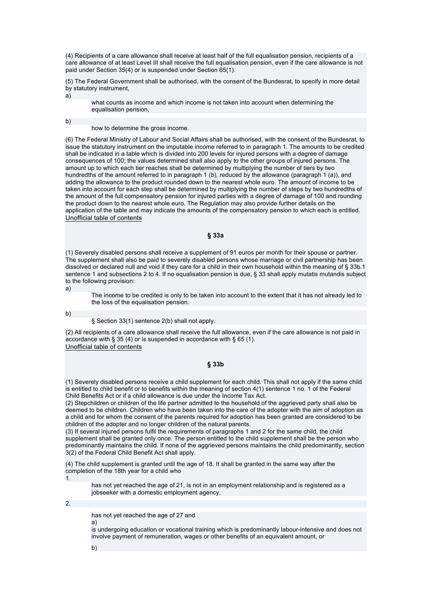(4) Recipients of a care allowance shall receive at least half of the full equalisation pension, recipients of a care allowance of at least Level III shall receive the full equalisation pension, even if the care allowance is not paid under Section 35(4) or is suspended under Section 65(1).

(5) The Federal Government shall be authorised, with the consent of the Bundesrat, to specify in more detail by statutory instrument,

a)

what counts as income and which income is not taken into account when determining the equalisation pension,

b)

#### how to determine the gross income.

(6) The Federal Ministry of Labour and Social Affairs shall be authorised, with the consent of the Bundesrat, to issue the statutory instrument on the imputable income referred to in paragraph 1. The amounts to be credited shall be indicated in a table which is divided into 200 levels for injured persons with a degree of damage consequences of 100; the values determined shall also apply to the other groups of injured persons. The amount up to which each tier reaches shall be determined by multiplying the number of tiers by two hundredths of the amount referred to in paragraph 1 (b), reduced by the allowance (paragraph 1 (a)), and adding the allowance to the product rounded down to the nearest whole euro. The amount of income to be taken into account for each step shall be determined by multiplying the number of steps by two hundredths of the amount of the full compensatory pension for injured parties with a degree of damage of 100 and rounding the product down to the nearest whole euro. The Regulation may also provide further details on the application of the table and may indicate the amounts of the compensatory pension to which each is entitled. Unofficial table of contents

**§ 33a** 

(1) Severely disabled persons shall receive a supplement of 91 euros per month for their spouse or partner. The supplement shall also be paid to severely disabled persons whose marriage or civil partnership has been dissolved or declared null and void if they care for a child in their own household within the meaning of § 33b.1 sentence 1 and subsections 2 to 4. If no equalisation pension is due, § 33 shall apply mutatis mutandis subject to the following provision:

a)

The income to be credited is only to be taken into account to the extent that it has not already led to the loss of the equalisation pension.

b)

§ Section 33(1) sentence 2(b) shall not apply.

(2) All recipients of a care allowance shall receive the full allowance, even if the care allowance is not paid in accordance with § 35 (4) or is suspended in accordance with § 65 (1). Unofficial table of contents

#### **§ 33b**

(1) Severely disabled persons receive a child supplement for each child. This shall not apply if the same child is entitled to child benefit or to benefits within the meaning of section 4(1) sentence 1 no. 1 of the Federal Child Benefits Act or if a child allowance is due under the Income Tax Act.

(2) Stepchildren or children of the life partner admitted to the household of the aggrieved party shall also be deemed to be children. Children who have been taken into the care of the adopter with the aim of adoption as a child and for whom the consent of the parents required for adoption has been granted are considered to be children of the adopter and no longer children of the natural parents.

(3) If several injured persons fulfil the requirements of paragraphs 1 and 2 for the same child, the child supplement shall be granted only once. The person entitled to the child supplement shall be the person who predominantly maintains the child. If none of the aggrieved persons maintains the child predominantly, section 3(2) of the Federal Child Benefit Act shall apply.

(4) The child supplement is granted until the age of 18. It shall be granted in the same way after the completion of the 18th year for a child who

1.

has not yet reached the age of 21, is not in an employment relationship and is registered as a jobseeker with a domestic employment agency,

2.

has not yet reached the age of 27 and a)

is undergoing education or vocational training which is predominantly labour-intensive and does not involve payment of remuneration, wages or other benefits of an equivalent amount, or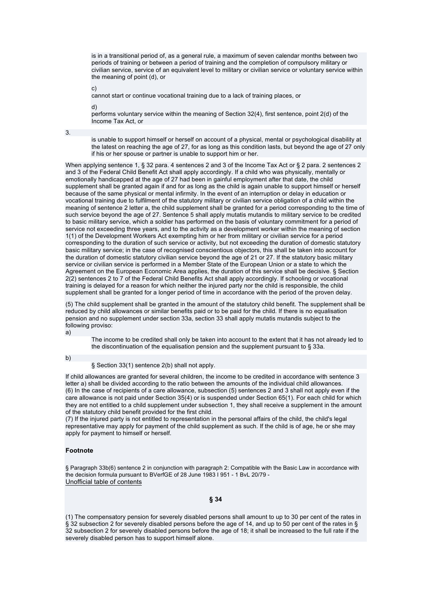is in a transitional period of, as a general rule, a maximum of seven calendar months between two periods of training or between a period of training and the completion of compulsory military or civilian service, service of an equivalent level to military or civilian service or voluntary service within the meaning of point (d), or

c)

cannot start or continue vocational training due to a lack of training places, or

d)

performs voluntary service within the meaning of Section 32(4), first sentence, point 2(d) of the Income Tax Act, or

3.

is unable to support himself or herself on account of a physical, mental or psychological disability at the latest on reaching the age of 27, for as long as this condition lasts, but beyond the age of 27 only if his or her spouse or partner is unable to support him or her.

When applying sentence 1, § 32 para. 4 sentences 2 and 3 of the Income Tax Act or § 2 para. 2 sentences 2 and 3 of the Federal Child Benefit Act shall apply accordingly. If a child who was physically, mentally or emotionally handicapped at the age of 27 had been in gainful employment after that date, the child supplement shall be granted again if and for as long as the child is again unable to support himself or herself because of the same physical or mental infirmity. In the event of an interruption or delay in education or vocational training due to fulfilment of the statutory military or civilian service obligation of a child within the meaning of sentence 2 letter a, the child supplement shall be granted for a period corresponding to the time of such service beyond the age of 27. Sentence 5 shall apply mutatis mutandis to military service to be credited to basic military service, which a soldier has performed on the basis of voluntary commitment for a period of service not exceeding three years, and to the activity as a development worker within the meaning of section 1(1) of the Development Workers Act exempting him or her from military or civilian service for a period corresponding to the duration of such service or activity, but not exceeding the duration of domestic statutory basic military service; in the case of recognised conscientious objectors, this shall be taken into account for the duration of domestic statutory civilian service beyond the age of 21 or 27. If the statutory basic military service or civilian service is performed in a Member State of the European Union or a state to which the Agreement on the European Economic Area applies, the duration of this service shall be decisive. § Section 2(2) sentences 2 to 7 of the Federal Child Benefits Act shall apply accordingly. If schooling or vocational training is delayed for a reason for which neither the injured party nor the child is responsible, the child supplement shall be granted for a longer period of time in accordance with the period of the proven delay.

(5) The child supplement shall be granted in the amount of the statutory child benefit. The supplement shall be reduced by child allowances or similar benefits paid or to be paid for the child. If there is no equalisation pension and no supplement under section 33a, section 33 shall apply mutatis mutandis subject to the following proviso:

a)

The income to be credited shall only be taken into account to the extent that it has not already led to the discontinuation of the equalisation pension and the supplement pursuant to § 33a.

b)

§ Section 33(1) sentence 2(b) shall not apply.

If child allowances are granted for several children, the income to be credited in accordance with sentence 3 letter a) shall be divided according to the ratio between the amounts of the individual child allowances. (6) In the case of recipients of a care allowance, subsection (5) sentences 2 and 3 shall not apply even if the care allowance is not paid under Section 35(4) or is suspended under Section 65(1). For each child for which they are not entitled to a child supplement under subsection 1, they shall receive a supplement in the amount of the statutory child benefit provided for the first child.

(7) If the injured party is not entitled to representation in the personal affairs of the child, the child's legal representative may apply for payment of the child supplement as such. If the child is of age, he or she may apply for payment to himself or herself.

#### **Footnote**

§ Paragraph 33b(6) sentence 2 in conjunction with paragraph 2: Compatible with the Basic Law in accordance with the decision formula pursuant to BVerfGE of 28 June 1983 I 951 - 1 BvL 20/79 - Unofficial table of contents

#### **§ 34**

(1) The compensatory pension for severely disabled persons shall amount to up to 30 per cent of the rates in § 32 subsection 2 for severely disabled persons before the age of 14, and up to 50 per cent of the rates in § 32 subsection 2 for severely disabled persons before the age of 18; it shall be increased to the full rate if the severely disabled person has to support himself alone.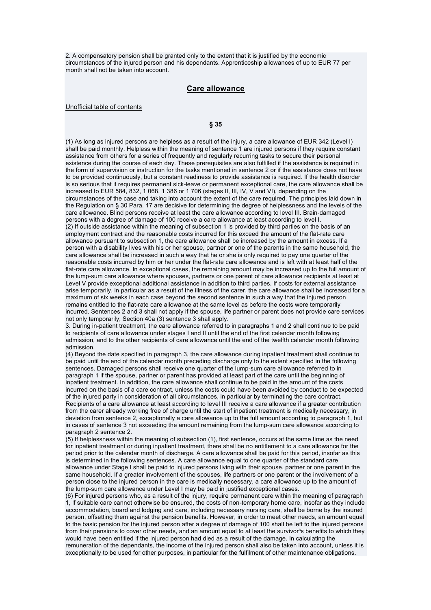2. A compensatory pension shall be granted only to the extent that it is justified by the economic circumstances of the injured person and his dependants. Apprenticeship allowances of up to EUR 77 per month shall not be taken into account.

### **Care allowance**

Unofficial table of contents

### **§ 35**

(1) As long as injured persons are helpless as a result of the injury, a care allowance of EUR 342 (Level I) shall be paid monthly. Helpless within the meaning of sentence 1 are injured persons if they require constant assistance from others for a series of frequently and regularly recurring tasks to secure their personal existence during the course of each day. These prerequisites are also fulfilled if the assistance is required in the form of supervision or instruction for the tasks mentioned in sentence 2 or if the assistance does not have to be provided continuously, but a constant readiness to provide assistance is required. If the health disorder is so serious that it requires permanent sick-leave or permanent exceptional care, the care allowance shall be increased to EUR 584, 832, 1 068, 1 386 or 1 706 (stages II, III, IV, V and VI), depending on the circumstances of the case and taking into account the extent of the care required. The principles laid down in the Regulation on § 30 Para. 17 are decisive for determining the degree of helplessness and the levels of the care allowance. Blind persons receive at least the care allowance according to level III. Brain-damaged persons with a degree of damage of 100 receive a care allowance at least according to level I. (2) If outside assistance within the meaning of subsection 1 is provided by third parties on the basis of an employment contract and the reasonable costs incurred for this exceed the amount of the flat-rate care allowance pursuant to subsection 1, the care allowance shall be increased by the amount in excess. If a person with a disability lives with his or her spouse, partner or one of the parents in the same household, the care allowance shall be increased in such a way that he or she is only required to pay one quarter of the reasonable costs incurred by him or her under the flat-rate care allowance and is left with at least half of the flat-rate care allowance. In exceptional cases, the remaining amount may be increased up to the full amount of the lump-sum care allowance where spouses, partners or one parent of care allowance recipients at least at Level V provide exceptional additional assistance in addition to third parties. If costs for external assistance arise temporarily, in particular as a result of the illness of the carer, the care allowance shall be increased for a maximum of six weeks in each case beyond the second sentence in such a way that the injured person remains entitled to the flat-rate care allowance at the same level as before the costs were temporarily incurred. Sentences 2 and 3 shall not apply if the spouse, life partner or parent does not provide care services not only temporarily; Section 40a (3) sentence 3 shall apply.

3. During in-patient treatment, the care allowance referred to in paragraphs 1 and 2 shall continue to be paid to recipients of care allowance under stages I and II until the end of the first calendar month following admission, and to the other recipients of care allowance until the end of the twelfth calendar month following admission.

(4) Beyond the date specified in paragraph 3, the care allowance during inpatient treatment shall continue to be paid until the end of the calendar month preceding discharge only to the extent specified in the following sentences. Damaged persons shall receive one quarter of the lump-sum care allowance referred to in paragraph 1 if the spouse, partner or parent has provided at least part of the care until the beginning of inpatient treatment. In addition, the care allowance shall continue to be paid in the amount of the costs incurred on the basis of a care contract, unless the costs could have been avoided by conduct to be expected of the injured party in consideration of all circumstances, in particular by terminating the care contract. Recipients of a care allowance at least according to level III receive a care allowance if a greater contribution from the carer already working free of charge until the start of inpatient treatment is medically necessary, in deviation from sentence 2, exceptionally a care allowance up to the full amount according to paragraph 1, but in cases of sentence 3 not exceeding the amount remaining from the lump-sum care allowance according to paragraph 2 sentence 2.

(5) If helplessness within the meaning of subsection (1), first sentence, occurs at the same time as the need for inpatient treatment or during inpatient treatment, there shall be no entitlement to a care allowance for the period prior to the calendar month of discharge. A care allowance shall be paid for this period, insofar as this is determined in the following sentences. A care allowance equal to one quarter of the standard care allowance under Stage I shall be paid to injured persons living with their spouse, partner or one parent in the same household. If a greater involvement of the spouses, life partners or one parent or the involvement of a person close to the injured person in the care is medically necessary, a care allowance up to the amount of

the lump-sum care allowance under Level I may be paid in justified exceptional cases. (6) For injured persons who, as a result of the injury, require permanent care within the meaning of paragraph 1, if suitable care cannot otherwise be ensured, the costs of non-temporary home care, insofar as they include

accommodation, board and lodging and care, including necessary nursing care, shall be borne by the insured person, offsetting them against the pension benefits. However, in order to meet other needs, an amount equal to the basic pension for the injured person after a degree of damage of 100 shall be left to the injured persons from their pensions to cover other needs, and an amount equal to at least the survivor<sup>3</sup>s benefits to which they would have been entitled if the injured person had died as a result of the damage. In calculating the

remuneration of the dependants, the income of the injured person shall also be taken into account, unless it is exceptionally to be used for other purposes, in particular for the fulfilment of other maintenance obligations.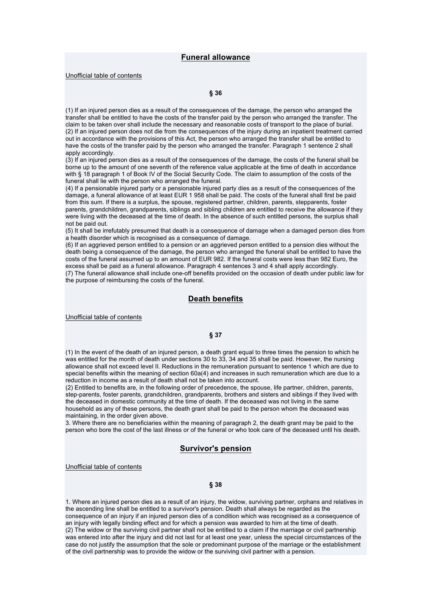Unofficial table of contents

### **§ 36**

(1) If an injured person dies as a result of the consequences of the damage, the person who arranged the transfer shall be entitled to have the costs of the transfer paid by the person who arranged the transfer. The claim to be taken over shall include the necessary and reasonable costs of transport to the place of burial. (2) If an injured person does not die from the consequences of the injury during an inpatient treatment carried out in accordance with the provisions of this Act, the person who arranged the transfer shall be entitled to have the costs of the transfer paid by the person who arranged the transfer. Paragraph 1 sentence 2 shall apply accordingly.

(3) If an injured person dies as a result of the consequences of the damage, the costs of the funeral shall be borne up to the amount of one seventh of the reference value applicable at the time of death in accordance with § 18 paragraph 1 of Book IV of the Social Security Code. The claim to assumption of the costs of the funeral shall lie with the person who arranged the funeral.

(4) If a pensionable injured party or a pensionable injured party dies as a result of the consequences of the damage, a funeral allowance of at least EUR 1 958 shall be paid. The costs of the funeral shall first be paid from this sum. If there is a surplus, the spouse, registered partner, children, parents, stepparents, foster parents, grandchildren, grandparents, siblings and sibling children are entitled to receive the allowance if they were living with the deceased at the time of death. In the absence of such entitled persons, the surplus shall not be paid out.

(5) It shall be irrefutably presumed that death is a consequence of damage when a damaged person dies from a health disorder which is recognised as a consequence of damage.

(6) If an aggrieved person entitled to a pension or an aggrieved person entitled to a pension dies without the death being a consequence of the damage, the person who arranged the funeral shall be entitled to have the costs of the funeral assumed up to an amount of EUR 982. If the funeral costs were less than 982 Euro, the excess shall be paid as a funeral allowance. Paragraph 4 sentences 3 and 4 shall apply accordingly. (7) The funeral allowance shall include one-off benefits provided on the occasion of death under public law for the purpose of reimbursing the costs of the funeral.

## **Death benefits**

Unofficial table of contents

#### **§ 37**

(1) In the event of the death of an injured person, a death grant equal to three times the pension to which he was entitled for the month of death under sections 30 to 33, 34 and 35 shall be paid. However, the nursing allowance shall not exceed level II. Reductions in the remuneration pursuant to sentence 1 which are due to special benefits within the meaning of section 60a(4) and increases in such remuneration which are due to a reduction in income as a result of death shall not be taken into account.

(2) Entitled to benefits are, in the following order of precedence, the spouse, life partner, children, parents, step-parents, foster parents, grandchildren, grandparents, brothers and sisters and siblings if they lived with the deceased in domestic community at the time of death. If the deceased was not living in the same household as any of these persons, the death grant shall be paid to the person whom the deceased was maintaining, in the order given above.

3. Where there are no beneficiaries within the meaning of paragraph 2, the death grant may be paid to the person who bore the cost of the last illness or of the funeral or who took care of the deceased until his death.

## **Survivor's pension**

Unofficial table of contents

### **§ 38**

1. Where an injured person dies as a result of an injury, the widow, surviving partner, orphans and relatives in the ascending line shall be entitled to a survivor's pension. Death shall always be regarded as the consequence of an injury if an injured person dies of a condition which was recognised as a consequence of an injury with legally binding effect and for which a pension was awarded to him at the time of death. (2) The widow or the surviving civil partner shall not be entitled to a claim if the marriage or civil partnership was entered into after the injury and did not last for at least one year, unless the special circumstances of the case do not justify the assumption that the sole or predominant purpose of the marriage or the establishment of the civil partnership was to provide the widow or the surviving civil partner with a pension.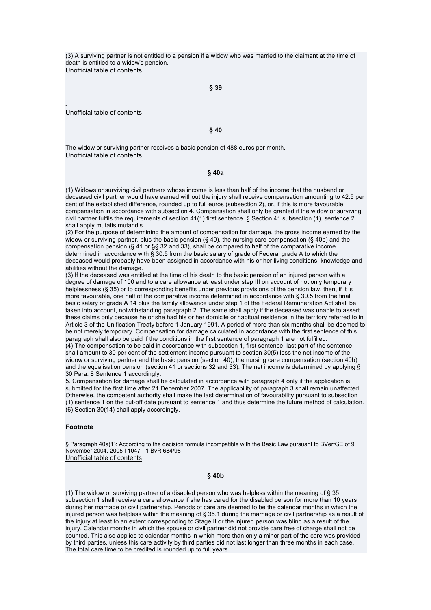(3) A surviving partner is not entitled to a pension if a widow who was married to the claimant at the time of death is entitled to a widow's pension. Unofficial table of contents

**§ 39** 

Unofficial table of contents

-

### **§ 40**

The widow or surviving partner receives a basic pension of 488 euros per month. Unofficial table of contents

## **§ 40a**

(1) Widows or surviving civil partners whose income is less than half of the income that the husband or deceased civil partner would have earned without the injury shall receive compensation amounting to 42.5 per cent of the established difference, rounded up to full euros (subsection 2), or, if this is more favourable, compensation in accordance with subsection 4. Compensation shall only be granted if the widow or surviving civil partner fulfils the requirements of section 41(1) first sentence. § Section 41 subsection (1), sentence 2 shall apply mutatis mutandis.

(2) For the purpose of determining the amount of compensation for damage, the gross income earned by the widow or surviving partner, plus the basic pension ( $\S$  40), the nursing care compensation ( $\S$  40b) and the compensation pension (§ 41 or §§ 32 and 33), shall be compared to half of the comparative income determined in accordance with § 30.5 from the basic salary of grade of Federal grade A to which the deceased would probably have been assigned in accordance with his or her living conditions, knowledge and abilities without the damage.

(3) If the deceased was entitled at the time of his death to the basic pension of an injured person with a degree of damage of 100 and to a care allowance at least under step III on account of not only temporary helplessness (§ 35) or to corresponding benefits under previous provisions of the pension law, then, if it is more favourable, one half of the comparative income determined in accordance with § 30.5 from the final basic salary of grade A 14 plus the family allowance under step 1 of the Federal Remuneration Act shall be taken into account, notwithstanding paragraph 2. The same shall apply if the deceased was unable to assert these claims only because he or she had his or her domicile or habitual residence in the territory referred to in Article 3 of the Unification Treaty before 1 January 1991. A period of more than six months shall be deemed to be not merely temporary. Compensation for damage calculated in accordance with the first sentence of this paragraph shall also be paid if the conditions in the first sentence of paragraph 1 are not fulfilled. (4) The compensation to be paid in accordance with subsection 1, first sentence, last part of the sentence shall amount to 30 per cent of the settlement income pursuant to section 30(5) less the net income of the widow or surviving partner and the basic pension (section 40), the nursing care compensation (section 40b) and the equalisation pension (section 41 or sections 32 and 33). The net income is determined by applying §

30 Para. 8 Sentence 1 accordingly.

5. Compensation for damage shall be calculated in accordance with paragraph 4 only if the application is submitted for the first time after 21 December 2007. The applicability of paragraph 3 shall remain unaffected. Otherwise, the competent authority shall make the last determination of favourability pursuant to subsection (1) sentence 1 on the cut-off date pursuant to sentence 1 and thus determine the future method of calculation. (6) Section 30(14) shall apply accordingly.

#### **Footnote**

§ Paragraph 40a(1): According to the decision formula incompatible with the Basic Law pursuant to BVerfGE of 9 November 2004, 2005 I 1047 - 1 BvR 684/98 - Unofficial table of contents

## **§ 40b**

(1) The widow or surviving partner of a disabled person who was helpless within the meaning of § 35 subsection 1 shall receive a care allowance if she has cared for the disabled person for more than 10 years during her marriage or civil partnership. Periods of care are deemed to be the calendar months in which the injured person was helpless within the meaning of § 35.1 during the marriage or civil partnership as a result of the injury at least to an extent corresponding to Stage II or the injured person was blind as a result of the injury. Calendar months in which the spouse or civil partner did not provide care free of charge shall not be counted. This also applies to calendar months in which more than only a minor part of the care was provided by third parties, unless this care activity by third parties did not last longer than three months in each case. The total care time to be credited is rounded up to full years.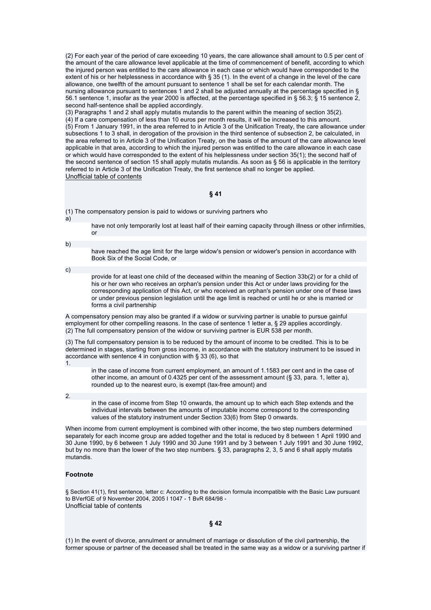(2) For each year of the period of care exceeding 10 years, the care allowance shall amount to 0.5 per cent of the amount of the care allowance level applicable at the time of commencement of benefit, according to which the injured person was entitled to the care allowance in each case or which would have corresponded to the extent of his or her helplessness in accordance with § 35 (1). In the event of a change in the level of the care allowance, one twelfth of the amount pursuant to sentence 1 shall be set for each calendar month. The nursing allowance pursuant to sentences 1 and 2 shall be adjusted annually at the percentage specified in § 56.1 sentence 1, insofar as the year 2000 is affected, at the percentage specified in § 56.3; § 15 sentence 2, second half-sentence shall be applied accordingly.

(3) Paragraphs 1 and 2 shall apply mutatis mutandis to the parent within the meaning of section 35(2). (4) If a care compensation of less than 10 euros per month results, it will be increased to this amount. (5) From 1 January 1991, in the area referred to in Article 3 of the Unification Treaty, the care allowance under subsections 1 to 3 shall, in derogation of the provision in the third sentence of subsection 2, be calculated, in the area referred to in Article 3 of the Unification Treaty, on the basis of the amount of the care allowance level applicable in that area, according to which the injured person was entitled to the care allowance in each case or which would have corresponded to the extent of his helplessness under section 35(1); the second half of the second sentence of section 15 shall apply mutatis mutandis. As soon as § 56 is applicable in the territory referred to in Article 3 of the Unification Treaty, the first sentence shall no longer be applied. Unofficial table of contents

## **§ 41**

(1) The compensatory pension is paid to widows or surviving partners who

a)

have not only temporarily lost at least half of their earning capacity through illness or other infirmities, or

#### b)

have reached the age limit for the large widow's pension or widower's pension in accordance with Book Six of the Social Code, or

c)

provide for at least one child of the deceased within the meaning of Section 33b(2) or for a child of his or her own who receives an orphan's pension under this Act or under laws providing for the corresponding application of this Act, or who received an orphan's pension under one of these laws or under previous pension legislation until the age limit is reached or until he or she is married or forms a civil partnership

A compensatory pension may also be granted if a widow or surviving partner is unable to pursue gainful employment for other compelling reasons. In the case of sentence 1 letter a, § 29 applies accordingly. (2) The full compensatory pension of the widow or surviving partner is EUR 538 per month.

(3) The full compensatory pension is to be reduced by the amount of income to be credited. This is to be determined in stages, starting from gross income, in accordance with the statutory instrument to be issued in accordance with sentence 4 in conjunction with § 33 (6), so that 1.

in the case of income from current employment, an amount of 1.1583 per cent and in the case of other income, an amount of 0.4325 per cent of the assessment amount  $(\S$  33, para. 1, letter a), rounded up to the nearest euro, is exempt (tax-free amount) and

2.

in the case of income from Step 10 onwards, the amount up to which each Step extends and the individual intervals between the amounts of imputable income correspond to the corresponding values of the statutory instrument under Section 33(6) from Step 0 onwards.

When income from current employment is combined with other income, the two step numbers determined separately for each income group are added together and the total is reduced by 8 between 1 April 1990 and 30 June 1990, by 6 between 1 July 1990 and 30 June 1991 and by 3 between 1 July 1991 and 30 June 1992, but by no more than the lower of the two step numbers. § 33, paragraphs 2, 3, 5 and 6 shall apply mutatis mutandis.

### **Footnote**

§ Section 41(1), first sentence, letter c: According to the decision formula incompatible with the Basic Law pursuant to BVerfGE of 9 November 2004, 2005 I 1047 - 1 BvR 684/98 - Unofficial table of contents

**§ 42** 

(1) In the event of divorce, annulment or annulment of marriage or dissolution of the civil partnership, the former spouse or partner of the deceased shall be treated in the same way as a widow or a surviving partner if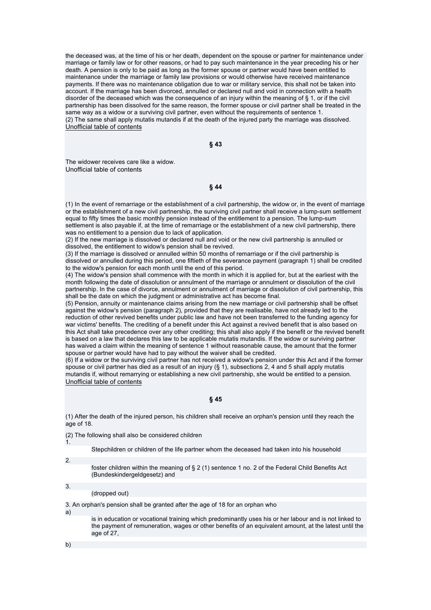the deceased was, at the time of his or her death, dependent on the spouse or partner for maintenance under marriage or family law or for other reasons, or had to pay such maintenance in the year preceding his or her death. A pension is only to be paid as long as the former spouse or partner would have been entitled to maintenance under the marriage or family law provisions or would otherwise have received maintenance payments. If there was no maintenance obligation due to war or military service, this shall not be taken into account. If the marriage has been divorced, annulled or declared null and void in connection with a health disorder of the deceased which was the consequence of an injury within the meaning of § 1, or if the civil partnership has been dissolved for the same reason, the former spouse or civil partner shall be treated in the same way as a widow or a surviving civil partner, even without the requirements of sentence 1. (2) The same shall apply mutatis mutandis if at the death of the injured party the marriage was dissolved. Unofficial table of contents

**§ 43** 

The widower receives care like a widow. Unofficial table of contents

**§ 44** 

(1) In the event of remarriage or the establishment of a civil partnership, the widow or, in the event of marriage or the establishment of a new civil partnership, the surviving civil partner shall receive a lump-sum settlement equal to fifty times the basic monthly pension instead of the entitlement to a pension. The lump-sum settlement is also payable if, at the time of remarriage or the establishment of a new civil partnership, there was no entitlement to a pension due to lack of application.

(2) If the new marriage is dissolved or declared null and void or the new civil partnership is annulled or dissolved, the entitlement to widow's pension shall be revived.

(3) If the marriage is dissolved or annulled within 50 months of remarriage or if the civil partnership is dissolved or annulled during this period, one fiftieth of the severance payment (paragraph 1) shall be credited to the widow's pension for each month until the end of this period.

(4) The widow's pension shall commence with the month in which it is applied for, but at the earliest with the month following the date of dissolution or annulment of the marriage or annulment or dissolution of the civil partnership. In the case of divorce, annulment or annulment of marriage or dissolution of civil partnership, this shall be the date on which the judgment or administrative act has become final.

(5) Pension, annuity or maintenance claims arising from the new marriage or civil partnership shall be offset against the widow's pension (paragraph 2), provided that they are realisable, have not already led to the reduction of other revived benefits under public law and have not been transferred to the funding agency for war victims' benefits. The crediting of a benefit under this Act against a revived benefit that is also based on this Act shall take precedence over any other crediting; this shall also apply if the benefit or the revived benefit is based on a law that declares this law to be applicable mutatis mutandis. If the widow or surviving partner has waived a claim within the meaning of sentence 1 without reasonable cause, the amount that the former spouse or partner would have had to pay without the waiver shall be credited.

(6) If a widow or the surviving civil partner has not received a widow's pension under this Act and if the former spouse or civil partner has died as a result of an injury (§ 1), subsections 2, 4 and 5 shall apply mutatis mutandis if, without remarrying or establishing a new civil partnership, she would be entitled to a pension. Unofficial table of contents

## **§ 45**

(1) After the death of the injured person, his children shall receive an orphan's pension until they reach the age of 18.

(2) The following shall also be considered children

Stepchildren or children of the life partner whom the deceased had taken into his household

2.

1.

foster children within the meaning of § 2 (1) sentence 1 no. 2 of the Federal Child Benefits Act (Bundeskindergeldgesetz) and

3. (dropped out)

3. An orphan's pension shall be granted after the age of 18 for an orphan who

a)

is in education or vocational training which predominantly uses his or her labour and is not linked to the payment of remuneration, wages or other benefits of an equivalent amount, at the latest until the age of 27,

b)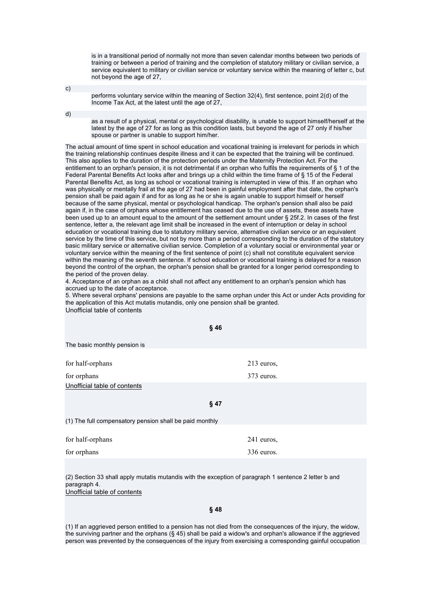is in a transitional period of normally not more than seven calendar months between two periods of training or between a period of training and the completion of statutory military or civilian service, a service equivalent to military or civilian service or voluntary service within the meaning of letter c, but not beyond the age of 27,

c)

performs voluntary service within the meaning of Section 32(4), first sentence, point 2(d) of the Income Tax Act, at the latest until the age of 27,

d)

as a result of a physical, mental or psychological disability, is unable to support himself/herself at the latest by the age of 27 for as long as this condition lasts, but beyond the age of 27 only if his/her spouse or partner is unable to support him/her.

The actual amount of time spent in school education and vocational training is irrelevant for periods in which the training relationship continues despite illness and it can be expected that the training will be continued. This also applies to the duration of the protection periods under the Maternity Protection Act. For the entitlement to an orphan's pension, it is not detrimental if an orphan who fulfils the requirements of § 1 of the Federal Parental Benefits Act looks after and brings up a child within the time frame of § 15 of the Federal Parental Benefits Act, as long as school or vocational training is interrupted in view of this. If an orphan who was physically or mentally frail at the age of 27 had been in gainful employment after that date, the orphan's pension shall be paid again if and for as long as he or she is again unable to support himself or herself because of the same physical, mental or psychological handicap. The orphan's pension shall also be paid again if, in the case of orphans whose entitlement has ceased due to the use of assets, these assets have been used up to an amount equal to the amount of the settlement amount under § 25f.2. In cases of the first sentence, letter a, the relevant age limit shall be increased in the event of interruption or delay in school education or vocational training due to statutory military service, alternative civilian service or an equivalent service by the time of this service, but not by more than a period corresponding to the duration of the statutory basic military service or alternative civilian service. Completion of a voluntary social or environmental year or voluntary service within the meaning of the first sentence of point (c) shall not constitute equivalent service within the meaning of the seventh sentence. If school education or vocational training is delayed for a reason beyond the control of the orphan, the orphan's pension shall be granted for a longer period corresponding to the period of the proven delay.

4. Acceptance of an orphan as a child shall not affect any entitlement to an orphan's pension which has accrued up to the date of acceptance.

5. Where several orphans' pensions are payable to the same orphan under this Act or under Acts providing for the application of this Act mutatis mutandis, only one pension shall be granted. Unofficial table of contents

| §46                                                     |              |  |
|---------------------------------------------------------|--------------|--|
| The basic monthly pension is                            |              |  |
| for half-orphans                                        | $213$ euros, |  |
| for orphans                                             | 373 euros.   |  |
| Unofficial table of contents                            |              |  |
| $§$ 47                                                  |              |  |
| (1) The full compensatory pension shall be paid monthly |              |  |
| for half-orphans                                        | 241 euros,   |  |
| for orphans                                             | 336 euros.   |  |
|                                                         |              |  |

(2) Section 33 shall apply mutatis mutandis with the exception of paragraph 1 sentence 2 letter b and paragraph 4. Unofficial table of contents

### **§ 48**

(1) If an aggrieved person entitled to a pension has not died from the consequences of the injury, the widow, the surviving partner and the orphans (§ 45) shall be paid a widow's and orphan's allowance if the aggrieved person was prevented by the consequences of the injury from exercising a corresponding gainful occupation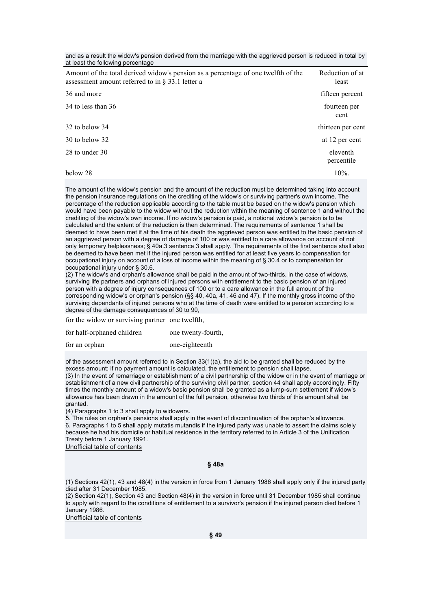and as a result the widow's pension derived from the marriage with the aggrieved person is reduced in total by at least the following percentage

| Amount of the total derived widow's pension as a percentage of one twelfth of the<br>assessment amount referred to in $\S$ 33.1 letter a | Reduction of at<br>least |
|------------------------------------------------------------------------------------------------------------------------------------------|--------------------------|
| 36 and more                                                                                                                              | fifteen percent          |
| 34 to less than 36                                                                                                                       | fourteen per<br>cent     |
| 32 to below 34                                                                                                                           | thirteen per cent        |
| $30$ to below $32$                                                                                                                       | at 12 per cent           |
| 28 to under 30                                                                                                                           | eleventh<br>percentile   |
| below 28                                                                                                                                 | $10\%$ .                 |

The amount of the widow's pension and the amount of the reduction must be determined taking into account the pension insurance regulations on the crediting of the widow's or surviving partner's own income. The percentage of the reduction applicable according to the table must be based on the widow's pension which would have been payable to the widow without the reduction within the meaning of sentence 1 and without the crediting of the widow's own income. If no widow's pension is paid, a notional widow's pension is to be calculated and the extent of the reduction is then determined. The requirements of sentence 1 shall be deemed to have been met if at the time of his death the aggrieved person was entitled to the basic pension of an aggrieved person with a degree of damage of 100 or was entitled to a care allowance on account of not only temporary helplessness; § 40a.3 sentence 3 shall apply. The requirements of the first sentence shall also be deemed to have been met if the injured person was entitled for at least five years to compensation for occupational injury on account of a loss of income within the meaning of § 30.4 or to compensation for occupational injury under § 30.6.

(2) The widow's and orphan's allowance shall be paid in the amount of two-thirds, in the case of widows, surviving life partners and orphans of injured persons with entitlement to the basic pension of an injured person with a degree of injury consequences of 100 or to a care allowance in the full amount of the corresponding widow's or orphan's pension (§§ 40, 40a, 41, 46 and 47). If the monthly gross income of the surviving dependants of injured persons who at the time of death were entitled to a pension according to a degree of the damage consequences of 30 to 90,

for the widow or surviving partner one twelfth,

| for half-orphaned children | one twenty-fourth, |
|----------------------------|--------------------|
| for an orphan              | one-eighteenth     |

of the assessment amount referred to in Section 33(1)(a), the aid to be granted shall be reduced by the excess amount; if no payment amount is calculated, the entitlement to pension shall lapse.

(3) In the event of remarriage or establishment of a civil partnership of the widow or in the event of marriage or establishment of a new civil partnership of the surviving civil partner, section 44 shall apply accordingly. Fifty times the monthly amount of a widow's basic pension shall be granted as a lump-sum settlement if widow's allowance has been drawn in the amount of the full pension, otherwise two thirds of this amount shall be granted.

(4) Paragraphs 1 to 3 shall apply to widowers.

5. The rules on orphan's pensions shall apply in the event of discontinuation of the orphan's allowance. 6. Paragraphs 1 to 5 shall apply mutatis mutandis if the injured party was unable to assert the claims solely because he had his domicile or habitual residence in the territory referred to in Article 3 of the Unification Treaty before 1 January 1991.

Unofficial table of contents

**§ 48a** 

(1) Sections 42(1), 43 and 48(4) in the version in force from 1 January 1986 shall apply only if the injured party died after 31 December 1985.

(2) Section 42(1), Section 43 and Section 48(4) in the version in force until 31 December 1985 shall continue to apply with regard to the conditions of entitlement to a survivor's pension if the injured person died before 1 January 1986.

Unofficial table of contents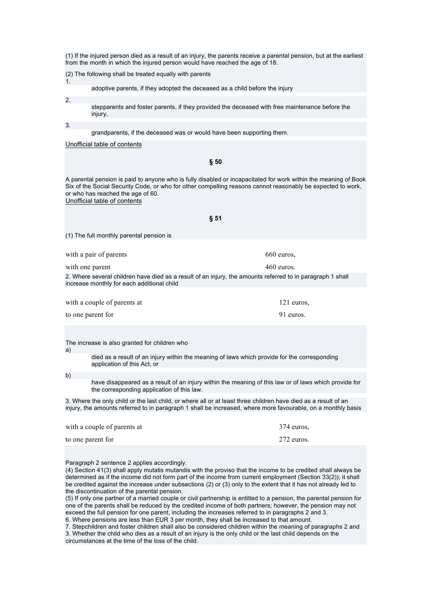(1) If the injured person died as a result of an injury, the parents receive a parental pension, but at the earliest from the month in which the injured person would have reached the age of 18.

(2) The following shall be treated equally with parents

adoptive parents, if they adopted the deceased as a child before the injury

2.

1.

stepparents and foster parents, if they provided the deceased with free maintenance before the injury,

3.

grandparents, if the deceased was or would have been supporting them.

### Unofficial table of contents

**§ 50** 

A parental pension is paid to anyone who is fully disabled or incapacitated for work within the meaning of Book Six of the Social Security Code, or who for other compelling reasons cannot reasonably be expected to work, or who has reached the age of 60.

Unofficial table of contents

| § 51                                                                                                                                                     |                            |  |
|----------------------------------------------------------------------------------------------------------------------------------------------------------|----------------------------|--|
| (1) The full monthly parental pension is                                                                                                                 |                            |  |
| with a pair of parents<br>with one parent                                                                                                                | 660 euros.<br>$460$ euros. |  |
| 2. Where several children have died as a result of an injury, the amounts referred to in paragraph 1 shall<br>increase monthly for each additional child |                            |  |
| with a couple of parents at<br>to one parent for                                                                                                         | $121$ euros.<br>91 euros.  |  |

The increase is also granted for children who

a)

died as a result of an injury within the meaning of laws which provide for the corresponding application of this Act, or

b)

have disappeared as a result of an injury within the meaning of this law or of laws which provide for the corresponding application of this law.

3. Where the only child or the last child, or where all or at least three children have died as a result of an injury, the amounts referred to in paragraph 1 shall be increased, where more favourable, on a monthly basis

| with a couple of parents at | $374$ euros. |
|-----------------------------|--------------|
| to one parent for           | 272 euros.   |

Paragraph 2 sentence 2 applies accordingly.

(4) Section 41(3) shall apply mutatis mutandis with the proviso that the income to be credited shall always be determined as if the income did not form part of the income from current employment (Section 33(2)); it shall be credited against the increase under subsections (2) or (3) only to the extent that it has not already led to the discontinuation of the parental pension.

(5) If only one partner of a married couple or civil partnership is entitled to a pension, the parental pension for one of the parents shall be reduced by the credited income of both partners; however, the pension may not exceed the full pension for one parent, including the increases referred to in paragraphs 2 and 3.

6. Where pensions are less than EUR 3 per month, they shall be increased to that amount.

7. Stepchildren and foster children shall also be considered children within the meaning of paragraphs 2 and 3. Whether the child who dies as a result of an injury is the only child or the last child depends on the circumstances at the time of the loss of the child.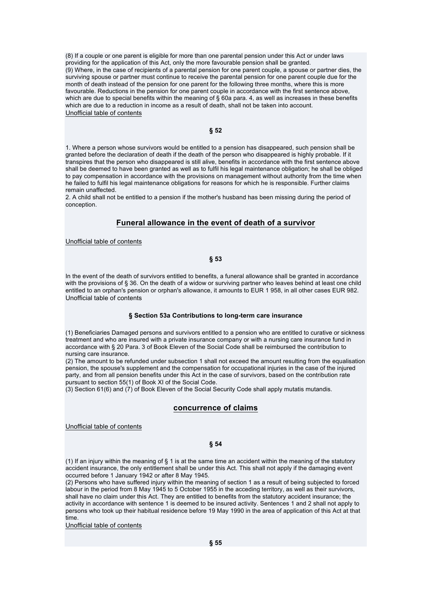(8) If a couple or one parent is eligible for more than one parental pension under this Act or under laws providing for the application of this Act, only the more favourable pension shall be granted. (9) Where, in the case of recipients of a parental pension for one parent couple, a spouse or partner dies, the surviving spouse or partner must continue to receive the parental pension for one parent couple due for the month of death instead of the pension for one parent for the following three months, where this is more favourable. Reductions in the pension for one parent couple in accordance with the first sentence above, which are due to special benefits within the meaning of § 60a para. 4, as well as increases in these benefits which are due to a reduction in income as a result of death, shall not be taken into account. Unofficial table of contents

### **§ 52**

1. Where a person whose survivors would be entitled to a pension has disappeared, such pension shall be granted before the declaration of death if the death of the person who disappeared is highly probable. If it transpires that the person who disappeared is still alive, benefits in accordance with the first sentence above shall be deemed to have been granted as well as to fulfil his legal maintenance obligation; he shall be obliged to pay compensation in accordance with the provisions on management without authority from the time when he failed to fulfil his legal maintenance obligations for reasons for which he is responsible. Further claims remain unaffected.

2. A child shall not be entitled to a pension if the mother's husband has been missing during the period of conception.

## **Funeral allowance in the event of death of a survivor**

Unofficial table of contents

### **§ 53**

In the event of the death of survivors entitled to benefits, a funeral allowance shall be granted in accordance with the provisions of § 36. On the death of a widow or surviving partner who leaves behind at least one child entitled to an orphan's pension or orphan's allowance, it amounts to EUR 1 958, in all other cases EUR 982. Unofficial table of contents

### **§ Section 53a Contributions to long-term care insurance**

(1) Beneficiaries Damaged persons and survivors entitled to a pension who are entitled to curative or sickness treatment and who are insured with a private insurance company or with a nursing care insurance fund in accordance with § 20 Para. 3 of Book Eleven of the Social Code shall be reimbursed the contribution to nursing care insurance.

(2) The amount to be refunded under subsection 1 shall not exceed the amount resulting from the equalisation pension, the spouse's supplement and the compensation for occupational injuries in the case of the injured party, and from all pension benefits under this Act in the case of survivors, based on the contribution rate pursuant to section 55(1) of Book XI of the Social Code.

(3) Section 61(6) and (7) of Book Eleven of the Social Security Code shall apply mutatis mutandis.

### **concurrence of claims**

Unofficial table of contents

#### **§ 54**

(1) If an injury within the meaning of § 1 is at the same time an accident within the meaning of the statutory accident insurance, the only entitlement shall be under this Act. This shall not apply if the damaging event occurred before 1 January 1942 or after 8 May 1945.

(2) Persons who have suffered injury within the meaning of section 1 as a result of being subjected to forced labour in the period from 8 May 1945 to 5 October 1955 in the acceding territory, as well as their survivors, shall have no claim under this Act. They are entitled to benefits from the statutory accident insurance; the activity in accordance with sentence 1 is deemed to be insured activity. Sentences 1 and 2 shall not apply to persons who took up their habitual residence before 19 May 1990 in the area of application of this Act at that time.

Unofficial table of contents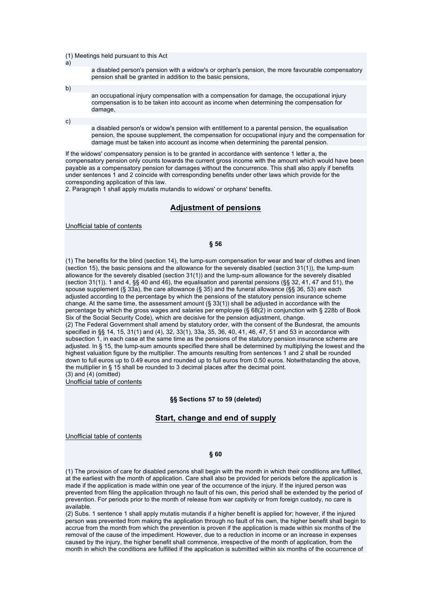(1) Meetings held pursuant to this Act

a disabled person's pension with a widow's or orphan's pension, the more favourable compensatory pension shall be granted in addition to the basic pensions,

b)

a)

an occupational injury compensation with a compensation for damage, the occupational injury compensation is to be taken into account as income when determining the compensation for damage

c)

a disabled person's or widow's pension with entitlement to a parental pension, the equalisation pension, the spouse supplement, the compensation for occupational injury and the compensation for damage must be taken into account as income when determining the parental pension.

If the widows' compensatory pension is to be granted in accordance with sentence 1 letter a, the compensatory pension only counts towards the current gross income with the amount which would have been payable as a compensatory pension for damages without the concurrence. This shall also apply if benefits under sentences 1 and 2 coincide with corresponding benefits under other laws which provide for the corresponding application of this law.

2. Paragraph 1 shall apply mutatis mutandis to widows' or orphans' benefits.

## **Adjustment of pensions**

Unofficial table of contents

### **§ 56**

(1) The benefits for the blind (section 14), the lump-sum compensation for wear and tear of clothes and linen (section 15), the basic pensions and the allowance for the severely disabled (section 31(1)), the lump-sum allowance for the severely disabled (section 31(1)) and the lump-sum allowance for the severely disabled (section 31(1)). 1 and 4, §§ 40 and 46), the equalisation and parental pensions (§§ 32, 41, 47 and 51), the spouse supplement (§ 33a), the care allowance (§ 35) and the funeral allowance (§§ 36, 53) are each adjusted according to the percentage by which the pensions of the statutory pension insurance scheme change. At the same time, the assessment amount (§ 33(1)) shall be adjusted in accordance with the percentage by which the gross wages and salaries per employee (§ 68(2) in conjunction with § 228b of Book Six of the Social Security Code), which are decisive for the pension adjustment, change. (2) The Federal Government shall amend by statutory order, with the consent of the Bundesrat, the amounts specified in §§ 14, 15, 31(1) and (4), 32, 33(1), 33a, 35, 36, 40, 41, 46, 47, 51 and 53 in accordance with subsection 1, in each case at the same time as the pensions of the statutory pension insurance scheme are adjusted. In § 15, the lump-sum amounts specified there shall be determined by multiplying the lowest and the highest valuation figure by the multiplier. The amounts resulting from sentences 1 and 2 shall be rounded down to full euros up to 0.49 euros and rounded up to full euros from 0.50 euros. Notwithstanding the above, the multiplier in § 15 shall be rounded to 3 decimal places after the decimal point.

 $(3)$  and  $(4)$  (omitted) Unofficial table of contents

**§§ Sections 57 to 59 (deleted)**

## **Start, change and end of supply**

Unofficial table of contents

### **§ 60**

(1) The provision of care for disabled persons shall begin with the month in which their conditions are fulfilled, at the earliest with the month of application. Care shall also be provided for periods before the application is made if the application is made within one year of the occurrence of the injury. If the injured person was prevented from filing the application through no fault of his own, this period shall be extended by the period of prevention. For periods prior to the month of release from war captivity or from foreign custody, no care is available.

(2) Subs. 1 sentence 1 shall apply mutatis mutandis if a higher benefit is applied for; however, if the injured person was prevented from making the application through no fault of his own, the higher benefit shall begin to accrue from the month from which the prevention is proven if the application is made within six months of the removal of the cause of the impediment. However, due to a reduction in income or an increase in expenses caused by the injury, the higher benefit shall commence, irrespective of the month of application, from the month in which the conditions are fulfilled if the application is submitted within six months of the occurrence of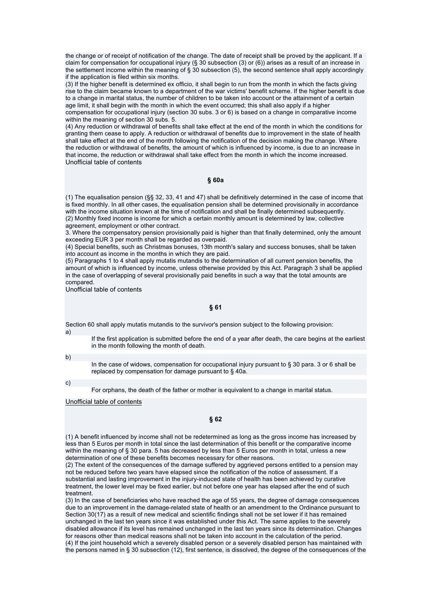the change or of receipt of notification of the change. The date of receipt shall be proved by the applicant. If a claim for compensation for occupational injury (§ 30 subsection (3) or (6)) arises as a result of an increase in the settlement income within the meaning of § 30 subsection (5), the second sentence shall apply accordingly if the application is filed within six months.

(3) If the higher benefit is determined ex officio, it shall begin to run from the month in which the facts giving rise to the claim became known to a department of the war victims' benefit scheme. If the higher benefit is due to a change in marital status, the number of children to be taken into account or the attainment of a certain age limit, it shall begin with the month in which the event occurred; this shall also apply if a higher compensation for occupational injury (section 30 subs. 3 or 6) is based on a change in comparative income within the meaning of section 30 subs. 5.

(4) Any reduction or withdrawal of benefits shall take effect at the end of the month in which the conditions for granting them cease to apply. A reduction or withdrawal of benefits due to improvement in the state of health shall take effect at the end of the month following the notification of the decision making the change. Where the reduction or withdrawal of benefits, the amount of which is influenced by income, is due to an increase in that income, the reduction or withdrawal shall take effect from the month in which the income increased. Unofficial table of contents

### **§ 60a**

(1) The equalisation pension (§§ 32, 33, 41 and 47) shall be definitively determined in the case of income that is fixed monthly. In all other cases, the equalisation pension shall be determined provisionally in accordance with the income situation known at the time of notification and shall be finally determined subsequently. (2) Monthly fixed income is income for which a certain monthly amount is determined by law, collective agreement, employment or other contract.

3. Where the compensatory pension provisionally paid is higher than that finally determined, only the amount exceeding EUR 3 per month shall be regarded as overpaid.

(4) Special benefits, such as Christmas bonuses, 13th month's salary and success bonuses, shall be taken into account as income in the months in which they are paid.

(5) Paragraphs 1 to 4 shall apply mutatis mutandis to the determination of all current pension benefits, the amount of which is influenced by income, unless otherwise provided by this Act. Paragraph 3 shall be applied in the case of overlapping of several provisionally paid benefits in such a way that the total amounts are compared.

Unofficial table of contents

## **§ 61**

Section 60 shall apply mutatis mutandis to the survivor's pension subject to the following provision: a)

If the first application is submitted before the end of a year after death, the care begins at the earliest in the month following the month of death.

b)

In the case of widows, compensation for occupational injury pursuant to § 30 para. 3 or 6 shall be replaced by compensation for damage pursuant to § 40a.

c)

For orphans, the death of the father or mother is equivalent to a change in marital status.

Unofficial table of contents

### **§ 62**

(1) A benefit influenced by income shall not be redetermined as long as the gross income has increased by less than 5 Euros per month in total since the last determination of this benefit or the comparative income within the meaning of § 30 para. 5 has decreased by less than 5 Euros per month in total, unless a new determination of one of these benefits becomes necessary for other reasons.

(2) The extent of the consequences of the damage suffered by aggrieved persons entitled to a pension may not be reduced before two years have elapsed since the notification of the notice of assessment. If a substantial and lasting improvement in the injury-induced state of health has been achieved by curative treatment, the lower level may be fixed earlier, but not before one year has elapsed after the end of such treatment.

(3) In the case of beneficiaries who have reached the age of 55 years, the degree of damage consequences due to an improvement in the damage-related state of health or an amendment to the Ordinance pursuant to Section 30(17) as a result of new medical and scientific findings shall not be set lower if it has remained unchanged in the last ten years since it was established under this Act. The same applies to the severely disabled allowance if its level has remained unchanged in the last ten years since its determination. Changes for reasons other than medical reasons shall not be taken into account in the calculation of the period. (4) If the joint household which a severely disabled person or a severely disabled person has maintained with the persons named in § 30 subsection (12), first sentence, is dissolved, the degree of the consequences of the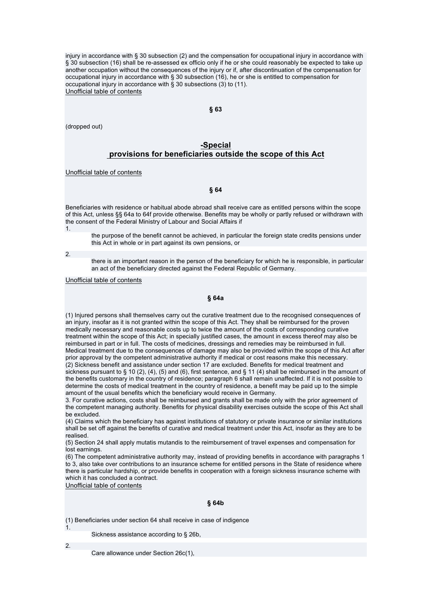injury in accordance with § 30 subsection (2) and the compensation for occupational injury in accordance with § 30 subsection (16) shall be re-assessed ex officio only if he or she could reasonably be expected to take up another occupation without the consequences of the injury or if, after discontinuation of the compensation for occupational injury in accordance with § 30 subsection (16), he or she is entitled to compensation for occupational injury in accordance with § 30 subsections (3) to (11). Unofficial table of contents

**§ 63** 

(dropped out)

## **-Special provisions for beneficiaries outside the scope of this Act**

Unofficial table of contents

#### **§ 64**

Beneficiaries with residence or habitual abode abroad shall receive care as entitled persons within the scope of this Act, unless §§ 64a to 64f provide otherwise. Benefits may be wholly or partly refused or withdrawn with the consent of the Federal Ministry of Labour and Social Affairs if 1.

the purpose of the benefit cannot be achieved, in particular the foreign state credits pensions under this Act in whole or in part against its own pensions, or

2.

there is an important reason in the person of the beneficiary for which he is responsible, in particular an act of the beneficiary directed against the Federal Republic of Germany.

Unofficial table of contents

### **§ 64a**

(1) Injured persons shall themselves carry out the curative treatment due to the recognised consequences of an injury, insofar as it is not granted within the scope of this Act. They shall be reimbursed for the proven medically necessary and reasonable costs up to twice the amount of the costs of corresponding curative treatment within the scope of this Act; in specially justified cases, the amount in excess thereof may also be reimbursed in part or in full. The costs of medicines, dressings and remedies may be reimbursed in full. Medical treatment due to the consequences of damage may also be provided within the scope of this Act after prior approval by the competent administrative authority if medical or cost reasons make this necessary. (2) Sickness benefit and assistance under section 17 are excluded. Benefits for medical treatment and sickness pursuant to § 10 (2), (4), (5) and (6), first sentence, and § 11 (4) shall be reimbursed in the amount of the benefits customary in the country of residence; paragraph 6 shall remain unaffected. If it is not possible to determine the costs of medical treatment in the country of residence, a benefit may be paid up to the simple amount of the usual benefits which the beneficiary would receive in Germany.

3. For curative actions, costs shall be reimbursed and grants shall be made only with the prior agreement of the competent managing authority. Benefits for physical disability exercises outside the scope of this Act shall be excluded.

(4) Claims which the beneficiary has against institutions of statutory or private insurance or similar institutions shall be set off against the benefits of curative and medical treatment under this Act, insofar as they are to be realised.

(5) Section 24 shall apply mutatis mutandis to the reimbursement of travel expenses and compensation for lost earnings.

(6) The competent administrative authority may, instead of providing benefits in accordance with paragraphs 1 to 3, also take over contributions to an insurance scheme for entitled persons in the State of residence where there is particular hardship, or provide benefits in cooperation with a foreign sickness insurance scheme with which it has concluded a contract.

Unofficial table of contents

#### **§ 64b**

(1) Beneficiaries under section 64 shall receive in case of indigence

Sickness assistance according to § 26b,

2.

1.

Care allowance under Section 26c(1),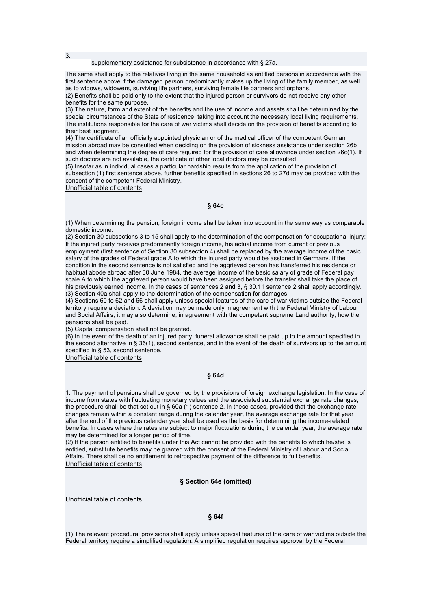supplementary assistance for subsistence in accordance with § 27a.

The same shall apply to the relatives living in the same household as entitled persons in accordance with the first sentence above if the damaged person predominantly makes up the living of the family member, as well as to widows, widowers, surviving life partners, surviving female life partners and orphans.

(2) Benefits shall be paid only to the extent that the injured person or survivors do not receive any other benefits for the same purpose.

(3) The nature, form and extent of the benefits and the use of income and assets shall be determined by the special circumstances of the State of residence, taking into account the necessary local living requirements. The institutions responsible for the care of war victims shall decide on the provision of benefits according to their best judgment.

(4) The certificate of an officially appointed physician or of the medical officer of the competent German mission abroad may be consulted when deciding on the provision of sickness assistance under section 26b and when determining the degree of care required for the provision of care allowance under section 26c(1). If such doctors are not available, the certificate of other local doctors may be consulted.

(5) Insofar as in individual cases a particular hardship results from the application of the provision of subsection (1) first sentence above, further benefits specified in sections 26 to 27d may be provided with the consent of the competent Federal Ministry.

Unofficial table of contents

### **§ 64c**

(1) When determining the pension, foreign income shall be taken into account in the same way as comparable domestic income.

(2) Section 30 subsections 3 to 15 shall apply to the determination of the compensation for occupational injury: If the injured party receives predominantly foreign income, his actual income from current or previous employment (first sentence of Section 30 subsection 4) shall be replaced by the average income of the basic salary of the grades of Federal grade A to which the injured party would be assigned in Germany. If the condition in the second sentence is not satisfied and the aggrieved person has transferred his residence or habitual abode abroad after 30 June 1984, the average income of the basic salary of grade of Federal pay scale A to which the aggrieved person would have been assigned before the transfer shall take the place of his previously earned income. In the cases of sentences 2 and 3, § 30.11 sentence 2 shall apply accordingly. (3) Section 40a shall apply to the determination of the compensation for damages.

(4) Sections 60 to 62 and 66 shall apply unless special features of the care of war victims outside the Federal territory require a deviation. A deviation may be made only in agreement with the Federal Ministry of Labour and Social Affairs; it may also determine, in agreement with the competent supreme Land authority, how the pensions shall be paid.

(5) Capital compensation shall not be granted.

(6) In the event of the death of an injured party, funeral allowance shall be paid up to the amount specified in the second alternative in § 36(1), second sentence, and in the event of the death of survivors up to the amount specified in § 53, second sentence.

Unofficial table of contents

### **§ 64d**

1. The payment of pensions shall be governed by the provisions of foreign exchange legislation. In the case of income from states with fluctuating monetary values and the associated substantial exchange rate changes, the procedure shall be that set out in § 60a (1) sentence 2. In these cases, provided that the exchange rate changes remain within a constant range during the calendar year, the average exchange rate for that year after the end of the previous calendar year shall be used as the basis for determining the income-related benefits. In cases where the rates are subject to major fluctuations during the calendar year, the average rate may be determined for a longer period of time.

(2) If the person entitled to benefits under this Act cannot be provided with the benefits to which he/she is entitled, substitute benefits may be granted with the consent of the Federal Ministry of Labour and Social Affairs. There shall be no entitlement to retrospective payment of the difference to full benefits. Unofficial table of contents

### **§ Section 64e (omitted)**

Unofficial table of contents

#### **§ 64f**

(1) The relevant procedural provisions shall apply unless special features of the care of war victims outside the Federal territory require a simplified regulation. A simplified regulation requires approval by the Federal

3.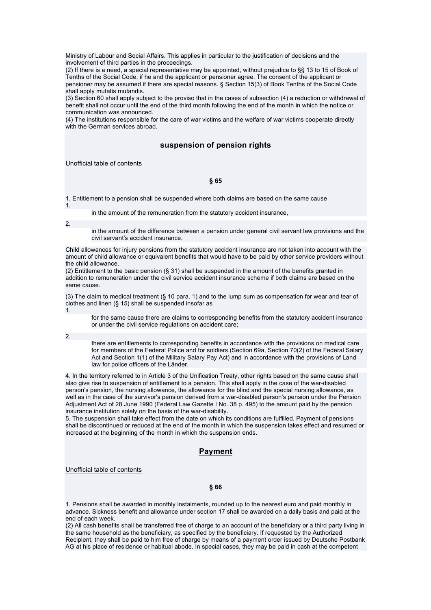Ministry of Labour and Social Affairs. This applies in particular to the justification of decisions and the involvement of third parties in the proceedings.

(2) If there is a need, a special representative may be appointed, without prejudice to §§ 13 to 15 of Book of Tenths of the Social Code, if he and the applicant or pensioner agree. The consent of the applicant or pensioner may be assumed if there are special reasons. § Section 15(3) of Book Tenths of the Social Code shall apply mutatis mutandis.

(3) Section 60 shall apply subject to the proviso that in the cases of subsection (4) a reduction or withdrawal of benefit shall not occur until the end of the third month following the end of the month in which the notice or communication was announced.

(4) The institutions responsible for the care of war victims and the welfare of war victims cooperate directly with the German services abroad.

## **suspension of pension rights**

Unofficial table of contents

### **§ 65**

1. Entitlement to a pension shall be suspended where both claims are based on the same cause 1.

in the amount of the remuneration from the statutory accident insurance,

2.

in the amount of the difference between a pension under general civil servant law provisions and the civil servant's accident insurance.

Child allowances for injury pensions from the statutory accident insurance are not taken into account with the amount of child allowance or equivalent benefits that would have to be paid by other service providers without the child allowance.

(2) Entitlement to the basic pension (§ 31) shall be suspended in the amount of the benefits granted in addition to remuneration under the civil service accident insurance scheme if both claims are based on the same cause.

(3) The claim to medical treatment (§ 10 para. 1) and to the lump sum as compensation for wear and tear of clothes and linen (§ 15) shall be suspended insofar as 1.

for the same cause there are claims to corresponding benefits from the statutory accident insurance or under the civil service regulations on accident care;

2.

there are entitlements to corresponding benefits in accordance with the provisions on medical care for members of the Federal Police and for soldiers (Section 69a, Section 70(2) of the Federal Salary Act and Section 1(1) of the Military Salary Pay Act) and in accordance with the provisions of Land law for police officers of the Länder.

4. In the territory referred to in Article 3 of the Unification Treaty, other rights based on the same cause shall also give rise to suspension of entitlement to a pension. This shall apply in the case of the war-disabled person's pension, the nursing allowance, the allowance for the blind and the special nursing allowance, as well as in the case of the survivor's pension derived from a war-disabled person's pension under the Pension Adjustment Act of 28 June 1990 (Federal Law Gazette I No. 38 p. 495) to the amount paid by the pension insurance institution solely on the basis of the war-disability.

5. The suspension shall take effect from the date on which its conditions are fulfilled. Payment of pensions shall be discontinued or reduced at the end of the month in which the suspension takes effect and resumed or increased at the beginning of the month in which the suspension ends.

## **Payment**

Unofficial table of contents

**§ 66** 

1. Pensions shall be awarded in monthly instalments, rounded up to the nearest euro and paid monthly in advance. Sickness benefit and allowance under section 17 shall be awarded on a daily basis and paid at the end of each week.

(2) All cash benefits shall be transferred free of charge to an account of the beneficiary or a third party living in the same household as the beneficiary, as specified by the beneficiary. If requested by the Authorized Recipient, they shall be paid to him free of charge by means of a payment order issued by Deutsche Postbank AG at his place of residence or habitual abode. In special cases, they may be paid in cash at the competent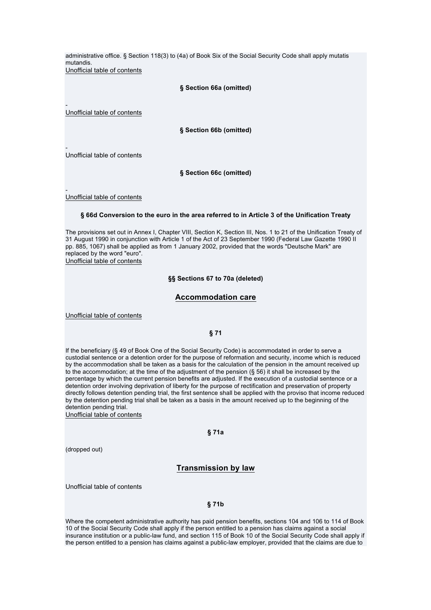administrative office. § Section 118(3) to (4a) of Book Six of the Social Security Code shall apply mutatis mutandis. Unofficial table of contents

**§ Section 66a (omitted)**

Unofficial table of contents

-

**§ Section 66b (omitted)**

- Unofficial table of contents

**§ Section 66c (omitted)**

- Unofficial table of contents

#### **§ 66d Conversion to the euro in the area referred to in Article 3 of the Unification Treaty**

The provisions set out in Annex I, Chapter VIII, Section K, Section III, Nos. 1 to 21 of the Unification Treaty of 31 August 1990 in conjunction with Article 1 of the Act of 23 September 1990 (Federal Law Gazette 1990 II pp. 885, 1067) shall be applied as from 1 January 2002, provided that the words "Deutsche Mark" are replaced by the word "euro".

Unofficial table of contents

#### **§§ Sections 67 to 70a (deleted)**

## **Accommodation care**

Unofficial table of contents

### **§ 71**

If the beneficiary (§ 49 of Book One of the Social Security Code) is accommodated in order to serve a custodial sentence or a detention order for the purpose of reformation and security, income which is reduced by the accommodation shall be taken as a basis for the calculation of the pension in the amount received up to the accommodation; at the time of the adjustment of the pension (§ 56) it shall be increased by the percentage by which the current pension benefits are adjusted. If the execution of a custodial sentence or a detention order involving deprivation of liberty for the purpose of rectification and preservation of property directly follows detention pending trial, the first sentence shall be applied with the proviso that income reduced by the detention pending trial shall be taken as a basis in the amount received up to the beginning of the detention pending trial.

Unofficial table of contents

**§ 71a** 

(dropped out)

### **Transmission by law**

Unofficial table of contents

### **§ 71b**

Where the competent administrative authority has paid pension benefits, sections 104 and 106 to 114 of Book 10 of the Social Security Code shall apply if the person entitled to a pension has claims against a social insurance institution or a public-law fund, and section 115 of Book 10 of the Social Security Code shall apply if the person entitled to a pension has claims against a public-law employer, provided that the claims are due to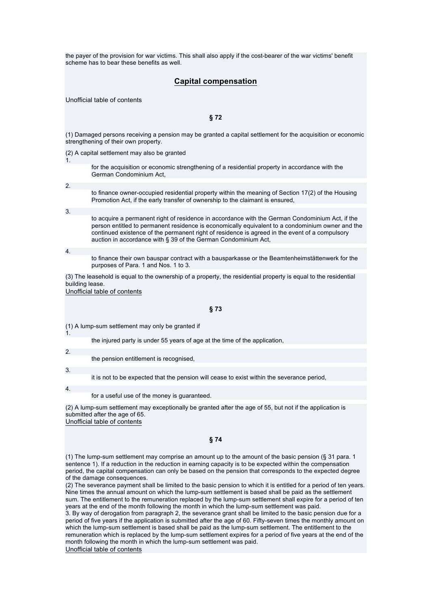the payer of the provision for war victims. This shall also apply if the cost-bearer of the war victims' benefit scheme has to bear these benefits as well.

## **Capital compensation**

Unofficial table of contents

**§ 72** 

(1) Damaged persons receiving a pension may be granted a capital settlement for the acquisition or economic strengthening of their own property.

(2) A capital settlement may also be granted

for the acquisition or economic strengthening of a residential property in accordance with the German Condominium Act,

2.

1.

to finance owner-occupied residential property within the meaning of Section 17(2) of the Housing Promotion Act, if the early transfer of ownership to the claimant is ensured,

3.

to acquire a permanent right of residence in accordance with the German Condominium Act, if the person entitled to permanent residence is economically equivalent to a condominium owner and the continued existence of the permanent right of residence is agreed in the event of a compulsory auction in accordance with § 39 of the German Condominium Act,

4.

to finance their own bauspar contract with a bausparkasse or the Beamtenheimstättenwerk for the purposes of Para. 1 and Nos. 1 to 3.

(3) The leasehold is equal to the ownership of a property, the residential property is equal to the residential building lease.

Unofficial table of contents

#### **§ 73**

(1) A lump-sum settlement may only be granted if

the injured party is under 55 years of age at the time of the application,

2.

1.

the pension entitlement is recognised,

3.

it is not to be expected that the pension will cease to exist within the severance period,

4.

for a useful use of the money is guaranteed.

(2) A lump-sum settlement may exceptionally be granted after the age of 55, but not if the application is submitted after the age of 65. Unofficial table of contents

**§ 74** 

(1) The lump-sum settlement may comprise an amount up to the amount of the basic pension (§ 31 para. 1 sentence 1). If a reduction in the reduction in earning capacity is to be expected within the compensation period, the capital compensation can only be based on the pension that corresponds to the expected degree of the damage consequences.

(2) The severance payment shall be limited to the basic pension to which it is entitled for a period of ten years. Nine times the annual amount on which the lump-sum settlement is based shall be paid as the settlement sum. The entitlement to the remuneration replaced by the lump-sum settlement shall expire for a period of ten years at the end of the month following the month in which the lump-sum settlement was paid.

3. By way of derogation from paragraph 2, the severance grant shall be limited to the basic pension due for a period of five years if the application is submitted after the age of 60. Fifty-seven times the monthly amount on which the lump-sum settlement is based shall be paid as the lump-sum settlement. The entitlement to the remuneration which is replaced by the lump-sum settlement expires for a period of five years at the end of the month following the month in which the lump-sum settlement was paid.

Unofficial table of contents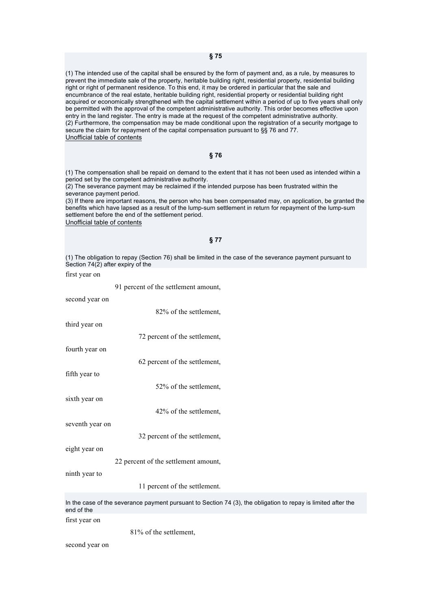(1) The intended use of the capital shall be ensured by the form of payment and, as a rule, by measures to prevent the immediate sale of the property, heritable building right, residential property, residential building right or right of permanent residence. To this end, it may be ordered in particular that the sale and encumbrance of the real estate, heritable building right, residential property or residential building right acquired or economically strengthened with the capital settlement within a period of up to five years shall only be permitted with the approval of the competent administrative authority. This order becomes effective upon entry in the land register. The entry is made at the request of the competent administrative authority. (2) Furthermore, the compensation may be made conditional upon the registration of a security mortgage to secure the claim for repayment of the capital compensation pursuant to §§ 76 and 77. Unofficial table of contents

### **§ 76**

(1) The compensation shall be repaid on demand to the extent that it has not been used as intended within a period set by the competent administrative authority.

(2) The severance payment may be reclaimed if the intended purpose has been frustrated within the severance payment period.

(3) If there are important reasons, the person who has been compensated may, on application, be granted the benefits which have lapsed as a result of the lump-sum settlement in return for repayment of the lump-sum settlement before the end of the settlement period.

Unofficial table of contents

#### **§ 77**

(1) The obligation to repay (Section 76) shall be limited in the case of the severance payment pursuant to Section 74(2) after expiry of the

first year on

91 percent of the settlement amount,

second year on

third year on

72 percent of the settlement,

82% of the settlement,

fourth year on

fifth year to

52% of the settlement,

62 percent of the settlement,

sixth year on

42% of the settlement,

seventh year on

32 percent of the settlement,

eight year on

22 percent of the settlement amount,

ninth year to

11 percent of the settlement.

In the case of the severance payment pursuant to Section 74 (3), the obligation to repay is limited after the end of the

first year on

81% of the settlement,

second year on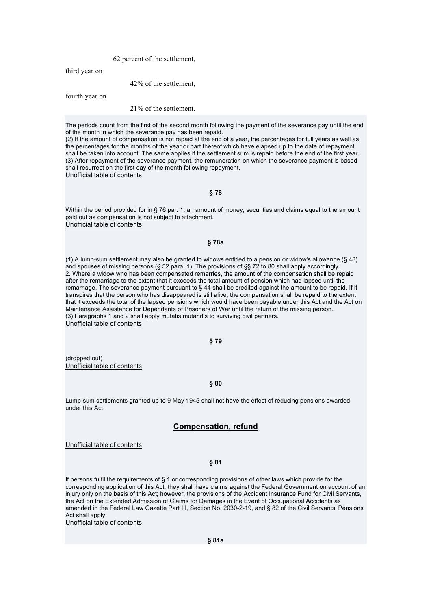62 percent of the settlement,

third year on

### 42% of the settlement,

fourth year on

### 21% of the settlement.

The periods count from the first of the second month following the payment of the severance pay until the end of the month in which the severance pay has been repaid.

(2) If the amount of compensation is not repaid at the end of a year, the percentages for full years as well as the percentages for the months of the year or part thereof which have elapsed up to the date of repayment shall be taken into account. The same applies if the settlement sum is repaid before the end of the first year. (3) After repayment of the severance payment, the remuneration on which the severance payment is based shall resurrect on the first day of the month following repayment. Unofficial table of contents

#### **§ 78**

Within the period provided for in § 76 par. 1, an amount of money, securities and claims equal to the amount paid out as compensation is not subject to attachment. Unofficial table of contents

#### **§ 78a**

(1) A lump-sum settlement may also be granted to widows entitled to a pension or widow's allowance (§ 48) and spouses of missing persons (§ 52 para. 1). The provisions of §§ 72 to 80 shall apply accordingly. 2. Where a widow who has been compensated remarries, the amount of the compensation shall be repaid after the remarriage to the extent that it exceeds the total amount of pension which had lapsed until the remarriage. The severance payment pursuant to § 44 shall be credited against the amount to be repaid. If it transpires that the person who has disappeared is still alive, the compensation shall be repaid to the extent that it exceeds the total of the lapsed pensions which would have been payable under this Act and the Act on Maintenance Assistance for Dependants of Prisoners of War until the return of the missing person. (3) Paragraphs 1 and 2 shall apply mutatis mutandis to surviving civil partners. Unofficial table of contents

#### **§ 79**

(dropped out) Unofficial table of contents

### **§ 80**

Lump-sum settlements granted up to 9 May 1945 shall not have the effect of reducing pensions awarded under this Act.

## **Compensation, refund**

Unofficial table of contents

#### **§ 81**

If persons fulfil the requirements of § 1 or corresponding provisions of other laws which provide for the corresponding application of this Act, they shall have claims against the Federal Government on account of an injury only on the basis of this Act; however, the provisions of the Accident Insurance Fund for Civil Servants, the Act on the Extended Admission of Claims for Damages in the Event of Occupational Accidents as amended in the Federal Law Gazette Part III, Section No. 2030-2-19, and § 82 of the Civil Servants' Pensions Act shall apply.

Unofficial table of contents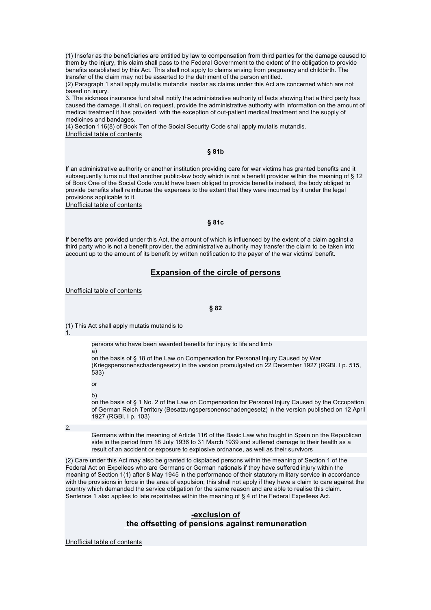(1) Insofar as the beneficiaries are entitled by law to compensation from third parties for the damage caused to them by the injury, this claim shall pass to the Federal Government to the extent of the obligation to provide benefits established by this Act. This shall not apply to claims arising from pregnancy and childbirth. The transfer of the claim may not be asserted to the detriment of the person entitled.

(2) Paragraph 1 shall apply mutatis mutandis insofar as claims under this Act are concerned which are not based on injury.

3. The sickness insurance fund shall notify the administrative authority of facts showing that a third party has caused the damage. It shall, on request, provide the administrative authority with information on the amount of medical treatment it has provided, with the exception of out-patient medical treatment and the supply of medicines and bandages.

(4) Section 116(8) of Book Ten of the Social Security Code shall apply mutatis mutandis. Unofficial table of contents

### **§ 81b**

If an administrative authority or another institution providing care for war victims has granted benefits and it subsequently turns out that another public-law body which is not a benefit provider within the meaning of § 12 of Book One of the Social Code would have been obliged to provide benefits instead, the body obliged to provide benefits shall reimburse the expenses to the extent that they were incurred by it under the legal provisions applicable to it.

Unofficial table of contents

### **§ 81c**

If benefits are provided under this Act, the amount of which is influenced by the extent of a claim against a third party who is not a benefit provider, the administrative authority may transfer the claim to be taken into account up to the amount of its benefit by written notification to the payer of the war victims' benefit.

## **Expansion of the circle of persons**

Unofficial table of contents

**§ 82** 

(1) This Act shall apply mutatis mutandis to

1.

persons who have been awarded benefits for injury to life and limb

a) on the basis of § 18 of the Law on Compensation for Personal Injury Caused by War (Kriegspersonenschadengesetz) in the version promulgated on 22 December 1927 (RGBl. I p. 515, 533)

or

b)

on the basis of § 1 No. 2 of the Law on Compensation for Personal Injury Caused by the Occupation of German Reich Territory (Besatzungspersonenschadengesetz) in the version published on 12 April 1927 (RGBl. I p. 103)

2.

Germans within the meaning of Article 116 of the Basic Law who fought in Spain on the Republican side in the period from 18 July 1936 to 31 March 1939 and suffered damage to their health as a result of an accident or exposure to explosive ordnance, as well as their survivors

(2) Care under this Act may also be granted to displaced persons within the meaning of Section 1 of the Federal Act on Expellees who are Germans or German nationals if they have suffered injury within the meaning of Section 1(1) after 8 May 1945 in the performance of their statutory military service in accordance with the provisions in force in the area of expulsion; this shall not apply if they have a claim to care against the country which demanded the service obligation for the same reason and are able to realise this claim. Sentence 1 also applies to late repatriates within the meaning of § 4 of the Federal Expellees Act.

## **-exclusion of the offsetting of pensions against remuneration**

Unofficial table of contents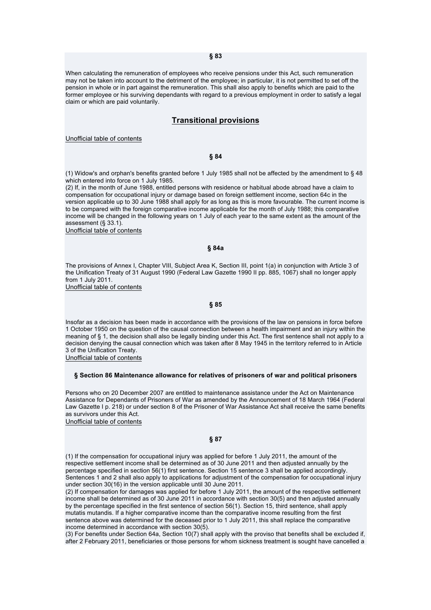When calculating the remuneration of employees who receive pensions under this Act, such remuneration may not be taken into account to the detriment of the employee; in particular, it is not permitted to set off the pension in whole or in part against the remuneration. This shall also apply to benefits which are paid to the former employee or his surviving dependants with regard to a previous employment in order to satisfy a legal claim or which are paid voluntarily.

## **Transitional provisions**

Unofficial table of contents

### **§ 84**

(1) Widow's and orphan's benefits granted before 1 July 1985 shall not be affected by the amendment to § 48 which entered into force on 1 July 1985.

(2) If, in the month of June 1988, entitled persons with residence or habitual abode abroad have a claim to compensation for occupational injury or damage based on foreign settlement income, section 64c in the version applicable up to 30 June 1988 shall apply for as long as this is more favourable. The current income is to be compared with the foreign comparative income applicable for the month of July 1988; this comparative income will be changed in the following years on 1 July of each year to the same extent as the amount of the assessment (§ 33.1).

Unofficial table of contents

### **§ 84a**

The provisions of Annex I, Chapter VIII, Subject Area K, Section III, point 1(a) in conjunction with Article 3 of the Unification Treaty of 31 August 1990 (Federal Law Gazette 1990 II pp. 885, 1067) shall no longer apply from 1 July 2011.

Unofficial table of contents

#### **§ 85**

Insofar as a decision has been made in accordance with the provisions of the law on pensions in force before 1 October 1950 on the question of the causal connection between a health impairment and an injury within the meaning of § 1, the decision shall also be legally binding under this Act. The first sentence shall not apply to a decision denying the causal connection which was taken after 8 May 1945 in the territory referred to in Article 3 of the Unification Treaty.

Unofficial table of contents

#### **§ Section 86 Maintenance allowance for relatives of prisoners of war and political prisoners**

Persons who on 20 December 2007 are entitled to maintenance assistance under the Act on Maintenance Assistance for Dependants of Prisoners of War as amended by the Announcement of 18 March 1964 (Federal Law Gazette I p. 218) or under section 8 of the Prisoner of War Assistance Act shall receive the same benefits as survivors under this Act.

Unofficial table of contents

### **§ 87**

(1) If the compensation for occupational injury was applied for before 1 July 2011, the amount of the respective settlement income shall be determined as of 30 June 2011 and then adjusted annually by the percentage specified in section 56(1) first sentence. Section 15 sentence 3 shall be applied accordingly. Sentences 1 and 2 shall also apply to applications for adjustment of the compensation for occupational injury under section 30(16) in the version applicable until 30 June 2011.

(2) If compensation for damages was applied for before 1 July 2011, the amount of the respective settlement income shall be determined as of 30 June 2011 in accordance with section 30(5) and then adjusted annually by the percentage specified in the first sentence of section 56(1). Section 15, third sentence, shall apply mutatis mutandis. If a higher comparative income than the comparative income resulting from the first sentence above was determined for the deceased prior to 1 July 2011, this shall replace the comparative income determined in accordance with section 30(5).

(3) For benefits under Section 64a, Section 10(7) shall apply with the proviso that benefits shall be excluded if, after 2 February 2011, beneficiaries or those persons for whom sickness treatment is sought have cancelled a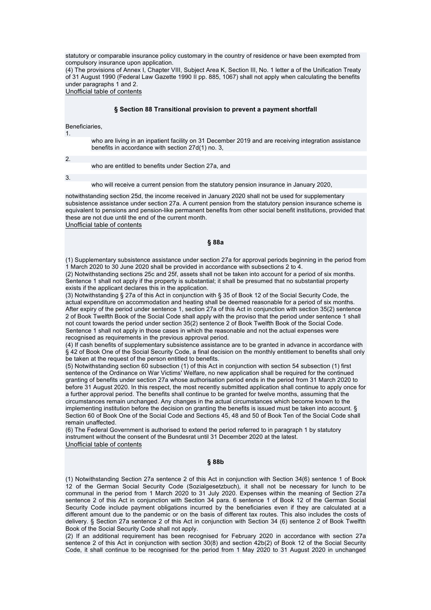statutory or comparable insurance policy customary in the country of residence or have been exempted from compulsory insurance upon application.

(4) The provisions of Annex I, Chapter VIII, Subject Area K, Section III, No. 1 letter a of the Unification Treaty of 31 August 1990 (Federal Law Gazette 1990 II pp. 885, 1067) shall not apply when calculating the benefits under paragraphs 1 and 2.

Unofficial table of contents

#### **§ Section 88 Transitional provision to prevent a payment shortfall**

#### Beneficiaries,

who are living in an inpatient facility on 31 December 2019 and are receiving integration assistance benefits in accordance with section 27d(1) no. 3,

2.

1.

who are entitled to benefits under Section 27a, and

3.

who will receive a current pension from the statutory pension insurance in January 2020,

notwithstanding section 25d, the income received in January 2020 shall not be used for supplementary subsistence assistance under section 27a. A current pension from the statutory pension insurance scheme is equivalent to pensions and pension-like permanent benefits from other social benefit institutions, provided that these are not due until the end of the current month.

Unofficial table of contents

### **§ 88a**

(1) Supplementary subsistence assistance under section 27a for approval periods beginning in the period from 1 March 2020 to 30 June 2020 shall be provided in accordance with subsections 2 to 4.

(2) Notwithstanding sections 25c and 25f, assets shall not be taken into account for a period of six months. Sentence 1 shall not apply if the property is substantial; it shall be presumed that no substantial property exists if the applicant declares this in the application.

(3) Notwithstanding § 27a of this Act in conjunction with § 35 of Book 12 of the Social Security Code, the actual expenditure on accommodation and heating shall be deemed reasonable for a period of six months. After expiry of the period under sentence 1, section 27a of this Act in conjunction with section 35(2) sentence 2 of Book Twelfth Book of the Social Code shall apply with the proviso that the period under sentence 1 shall not count towards the period under section 35(2) sentence 2 of Book Twelfth Book of the Social Code. Sentence 1 shall not apply in those cases in which the reasonable and not the actual expenses were recognised as requirements in the previous approval period.

(4) If cash benefits of supplementary subsistence assistance are to be granted in advance in accordance with § 42 of Book One of the Social Security Code, a final decision on the monthly entitlement to benefits shall only be taken at the request of the person entitled to benefits.

(5) Notwithstanding section 60 subsection (1) of this Act in conjunction with section 54 subsection (1) first sentence of the Ordinance on War Victims' Welfare, no new application shall be required for the continued granting of benefits under section 27a whose authorisation period ends in the period from 31 March 2020 to before 31 August 2020. In this respect, the most recently submitted application shall continue to apply once for a further approval period. The benefits shall continue to be granted for twelve months, assuming that the circumstances remain unchanged. Any changes in the actual circumstances which become known to the implementing institution before the decision on granting the benefits is issued must be taken into account. § Section 60 of Book One of the Social Code and Sections 45, 48 and 50 of Book Ten of the Social Code shall remain unaffected.

(6) The Federal Government is authorised to extend the period referred to in paragraph 1 by statutory instrument without the consent of the Bundesrat until 31 December 2020 at the latest. Unofficial table of contents

#### **§ 88b**

(1) Notwithstanding Section 27a sentence 2 of this Act in conjunction with Section 34(6) sentence 1 of Book 12 of the German Social Security Code (Sozialgesetzbuch), it shall not be necessary for lunch to be communal in the period from 1 March 2020 to 31 July 2020. Expenses within the meaning of Section 27a sentence 2 of this Act in conjunction with Section 34 para. 6 sentence 1 of Book 12 of the German Social Security Code include payment obligations incurred by the beneficiaries even if they are calculated at a different amount due to the pandemic or on the basis of different tax routes. This also includes the costs of delivery. § Section 27a sentence 2 of this Act in conjunction with Section 34 (6) sentence 2 of Book Twelfth Book of the Social Security Code shall not apply.

(2) If an additional requirement has been recognised for February 2020 in accordance with section 27a sentence 2 of this Act in conjunction with section 30(8) and section 42b(2) of Book 12 of the Social Security Code, it shall continue to be recognised for the period from 1 May 2020 to 31 August 2020 in unchanged